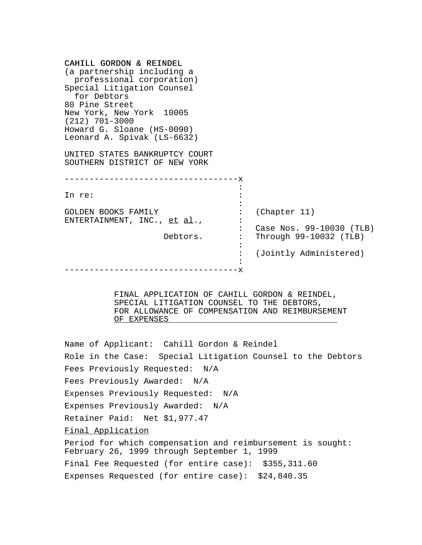| CAHILL GORDON & REINDEL<br>(a partnership including a<br>professional corporation)<br>Special Litigation Counsel<br>for Debtors<br>80 Pine Street |    |                                                    |
|---------------------------------------------------------------------------------------------------------------------------------------------------|----|----------------------------------------------------|
| New York, New York 10005<br>$(212)$ 701-3000                                                                                                      |    |                                                    |
| Howard G. Sloane (HS-0090)<br>Leonard A. Spivak (LS-6632)                                                                                         |    |                                                    |
| UNITED STATES BANKRUPTCY COURT<br>SOUTHERN DISTRICT OF NEW YORK                                                                                   |    |                                                    |
| ---------------------------<br>-------- <b>x</b>                                                                                                  |    |                                                    |
| In re:                                                                                                                                            |    |                                                    |
| GOLDEN BOOKS FAMILY<br>ENTERTAINMENT, INC., et al.,                                                                                               |    | (Chapter 11)                                       |
| Debtors.                                                                                                                                          |    | Case Nos. 99-10030 (TLB)<br>Through 99-10032 (TLB) |
|                                                                                                                                                   |    | (Jointly Administered)                             |
|                                                                                                                                                   | -x |                                                    |

FINAL APPLICATION OF CAHILL GORDON & REINDEL, SPECIAL LITIGATION COUNSEL TO THE DEBTORS, FOR ALLOWANCE OF COMPENSATION AND REIMBURSEMENT OF EXPENSES

Name of Applicant: Cahill Gordon & Reindel Role in the Case: Special Litigation Counsel to the Debtors Fees Previously Requested: N/A Fees Previously Awarded: N/A Expenses Previously Requested: N/A Expenses Previously Awarded: N/A Retainer Paid: Net \$1,977.47 Final Application Period for which compensation and reimbursement is sought: February 26, 1999 through September 1, 1999 Final Fee Requested (for entire case): \$355,311.60

Expenses Requested (for entire case): \$24,840.35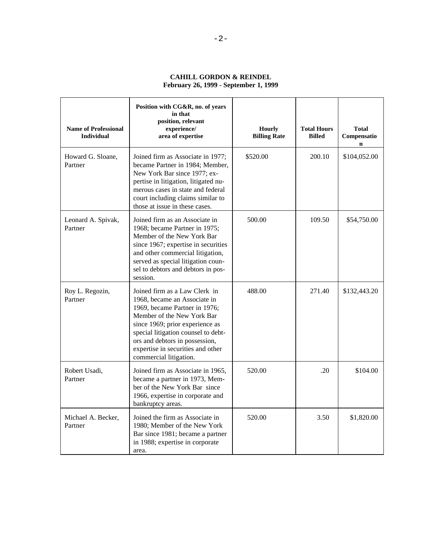# **CAHILL GORDON & REINDEL February 26, 1999 - September 1, 1999**

| <b>Name of Professional</b><br><b>Individual</b> | Position with CG&R, no. of years<br>in that<br>position, relevant<br>experience/<br>area of expertise                                                                                                                                                                                                   | <b>Hourly</b><br><b>Billing Rate</b> | <b>Total Hours</b><br><b>Billed</b> | <b>Total</b><br>Compensatio<br>$\mathbf n$ |
|--------------------------------------------------|---------------------------------------------------------------------------------------------------------------------------------------------------------------------------------------------------------------------------------------------------------------------------------------------------------|--------------------------------------|-------------------------------------|--------------------------------------------|
| Howard G. Sloane,<br>Partner                     | Joined firm as Associate in 1977;<br>became Partner in 1984; Member,<br>New York Bar since 1977; ex-<br>pertise in litigation, litigated nu-<br>merous cases in state and federal<br>court including claims similar to<br>those at issue in these cases.                                                | \$520.00                             | 200.10                              | \$104,052.00                               |
| Leonard A. Spivak,<br>Partner                    | Joined firm as an Associate in<br>1968; became Partner in 1975;<br>Member of the New York Bar<br>since 1967; expertise in securities<br>and other commercial litigation,<br>served as special litigation coun-<br>sel to debtors and debtors in pos-<br>session.                                        | 500.00                               | 109.50                              | \$54,750.00                                |
| Roy L. Regozin,<br>Partner                       | Joined firm as a Law Clerk in<br>1968, became an Associate in<br>1969, became Partner in 1976;<br>Member of the New York Bar<br>since 1969; prior experience as<br>special litigation counsel to debt-<br>ors and debtors in possession,<br>expertise in securities and other<br>commercial litigation. | 488.00                               | 271.40                              | \$132,443.20                               |
| Robert Usadi,<br>Partner                         | Joined firm as Associate in 1965,<br>became a partner in 1973, Mem-<br>ber of the New York Bar since<br>1966, expertise in corporate and<br>bankruptcy areas.                                                                                                                                           | 520.00                               | .20                                 | \$104.00                                   |
| Michael A. Becker,<br>Partner                    | Joined the firm as Associate in<br>1980; Member of the New York<br>Bar since 1981; became a partner<br>in 1988; expertise in corporate<br>area.                                                                                                                                                         | 520.00                               | 3.50                                | \$1,820.00                                 |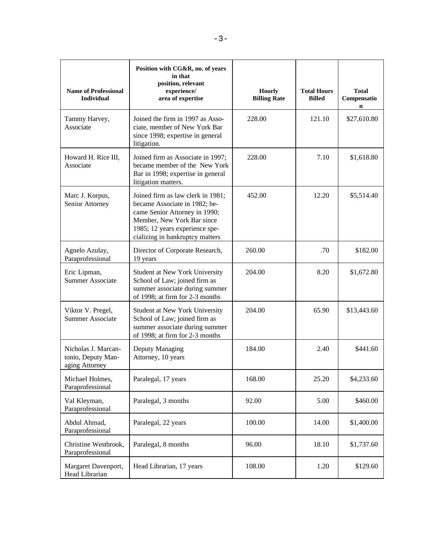| <b>Name of Professional</b><br><b>Individual</b>                                                                                                                                                                                             | Position with CG&R, no. of years<br>in that<br>position, relevant<br>experience/<br>area of expertise                                | <b>Hourly</b><br><b>Billing Rate</b> | <b>Total Hours</b><br><b>Billed</b> | <b>Total</b><br>Compensatio<br>$\mathbf n$ |
|----------------------------------------------------------------------------------------------------------------------------------------------------------------------------------------------------------------------------------------------|--------------------------------------------------------------------------------------------------------------------------------------|--------------------------------------|-------------------------------------|--------------------------------------------|
| Tammy Harvey,<br>Associate                                                                                                                                                                                                                   | Joined the firm in 1997 as Asso-<br>ciate, member of New York Bar<br>since 1998; expertise in general<br>litigation.                 | 228.00                               | 121.10                              | \$27,610.80                                |
| Howard H. Rice III,<br>Joined firm as Associate in 1997;<br>became member of the New York<br>Associate<br>Bar in 1998; expertise in general<br>litigation matters.                                                                           |                                                                                                                                      | 228.00                               | 7.10                                | \$1,618.80                                 |
| Marc J. Korpus,<br>Joined firm as law clerk in 1981;<br>Senior Attorney<br>became Associate in 1982; be-<br>came Senior Attorney in 1990;<br>Member, New York Bar since<br>1985; 12 years experience spe-<br>cializing in bankruptcy matters |                                                                                                                                      | 452.00                               | 12.20                               | \$5,514.40                                 |
| Agnelo Azulay,<br>Paraprofessional                                                                                                                                                                                                           | Director of Corporate Research,<br>19 years                                                                                          | 260.00                               | .70                                 | \$182.00                                   |
| Eric Lipman,<br><b>Summer Associate</b>                                                                                                                                                                                                      | Student at New York University<br>School of Law; joined firm as<br>summer associate during summer<br>of 1998; at firm for 2-3 months | 204.00                               | 8.20                                | \$1,672.80                                 |
| Viktor V. Pregel,<br>Student at New York University<br><b>Summer Associate</b><br>School of Law; joined firm as<br>summer associate during summer<br>of 1998; at firm for 2-3 months                                                         |                                                                                                                                      | 204.00                               | 65.90                               | \$13,443.60                                |
| Nicholas J. Marcan-<br>tonio, Deputy Man-<br>aging Attorney                                                                                                                                                                                  | Deputy Managing<br>Attorney, 10 years                                                                                                | 184.00                               | 2.40                                | \$441.60                                   |
| Michael Holmes,<br>Paraprofessional                                                                                                                                                                                                          | Paralegal, 17 years                                                                                                                  | 168.00                               | 25.20                               | \$4,233.60                                 |
| Val Kleyman,<br>Paraprofessional                                                                                                                                                                                                             | Paralegal, 3 months                                                                                                                  | 92.00                                | 5.00                                | \$460.00                                   |
| Abdul Ahmad,<br>Paraprofessional                                                                                                                                                                                                             | Paralegal, 22 years                                                                                                                  | 100.00                               | 14.00                               | \$1,400.00                                 |
| Christine Westbrook,<br>Paraprofessional                                                                                                                                                                                                     | Paralegal, 8 months                                                                                                                  | 96.00                                | 18.10                               | \$1,737.60                                 |
| Margaret Davenport,<br>Head Librarian                                                                                                                                                                                                        | Head Librarian, 17 years                                                                                                             | 108.00                               | 1.20                                | \$129.60                                   |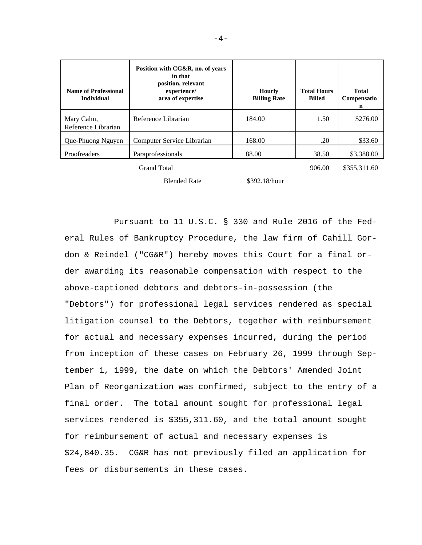| <b>Name of Professional</b><br><b>Individual</b> | Position with CG&R, no. of years<br>in that<br>position, relevant<br>experience/<br>area of expertise | <b>Hourly</b><br><b>Billing Rate</b> | <b>Total Hours</b><br><b>Billed</b> | Total<br>Compensatio<br>n |
|--------------------------------------------------|-------------------------------------------------------------------------------------------------------|--------------------------------------|-------------------------------------|---------------------------|
| Mary Cahn,<br>Reference Librarian                | Reference Librarian                                                                                   | 184.00                               | 1.50                                | \$276.00                  |
| Que-Phuong Nguyen                                | Computer Service Librarian                                                                            | 168.00                               | .20                                 | \$33.60                   |
| Proofreaders                                     | Paraprofessionals                                                                                     | 88.00                                | 38.50                               | \$3,388.00                |
|                                                  | <b>Grand Total</b>                                                                                    |                                      | 906.00                              | \$355,311.60              |
|                                                  |                                                                                                       |                                      |                                     |                           |

Blended Rate \$392.18/hour

Pursuant to 11 U.S.C. § 330 and Rule 2016 of the Federal Rules of Bankruptcy Procedure, the law firm of Cahill Gordon & Reindel ("CG&R") hereby moves this Court for a final order awarding its reasonable compensation with respect to the above-captioned debtors and debtors-in-possession (the "Debtors") for professional legal services rendered as special litigation counsel to the Debtors, together with reimbursement for actual and necessary expenses incurred, during the period from inception of these cases on February 26, 1999 through September 1, 1999, the date on which the Debtors' Amended Joint Plan of Reorganization was confirmed, subject to the entry of a final order. The total amount sought for professional legal services rendered is \$355,311.60, and the total amount sought for reimbursement of actual and necessary expenses is \$24,840.35. CG&R has not previously filed an application for fees or disbursements in these cases.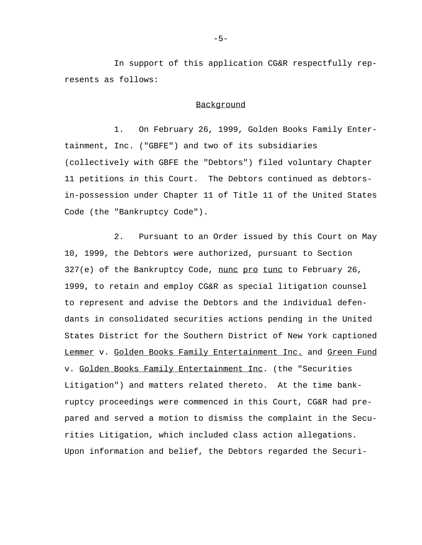In support of this application CG&R respectfully represents as follows:

#### Background

1. On February 26, 1999, Golden Books Family Entertainment, Inc. ("GBFE") and two of its subsidiaries (collectively with GBFE the "Debtors") filed voluntary Chapter 11 petitions in this Court. The Debtors continued as debtorsin-possession under Chapter 11 of Title 11 of the United States Code (the "Bankruptcy Code").

2. Pursuant to an Order issued by this Court on May 10, 1999, the Debtors were authorized, pursuant to Section 327(e) of the Bankruptcy Code, nunc pro tunc to February 26, 1999, to retain and employ CG&R as special litigation counsel to represent and advise the Debtors and the individual defendants in consolidated securities actions pending in the United States District for the Southern District of New York captioned Lemmer v. Golden Books Family Entertainment Inc. and Green Fund v. Golden Books Family Entertainment Inc. (the "Securities Litigation") and matters related thereto. At the time bankruptcy proceedings were commenced in this Court, CG&R had prepared and served a motion to dismiss the complaint in the Securities Litigation, which included class action allegations. Upon information and belief, the Debtors regarded the Securi-

-5-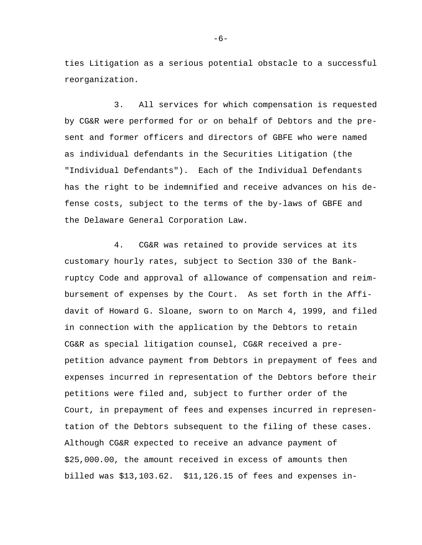ties Litigation as a serious potential obstacle to a successful reorganization.

3. All services for which compensation is requested by CG&R were performed for or on behalf of Debtors and the present and former officers and directors of GBFE who were named as individual defendants in the Securities Litigation (the "Individual Defendants"). Each of the Individual Defendants has the right to be indemnified and receive advances on his defense costs, subject to the terms of the by-laws of GBFE and the Delaware General Corporation Law.

4. CG&R was retained to provide services at its customary hourly rates, subject to Section 330 of the Bankruptcy Code and approval of allowance of compensation and reimbursement of expenses by the Court. As set forth in the Affidavit of Howard G. Sloane, sworn to on March 4, 1999, and filed in connection with the application by the Debtors to retain CG&R as special litigation counsel, CG&R received a prepetition advance payment from Debtors in prepayment of fees and expenses incurred in representation of the Debtors before their petitions were filed and, subject to further order of the Court, in prepayment of fees and expenses incurred in representation of the Debtors subsequent to the filing of these cases. Although CG&R expected to receive an advance payment of \$25,000.00, the amount received in excess of amounts then billed was \$13,103.62. \$11,126.15 of fees and expenses in-

-6-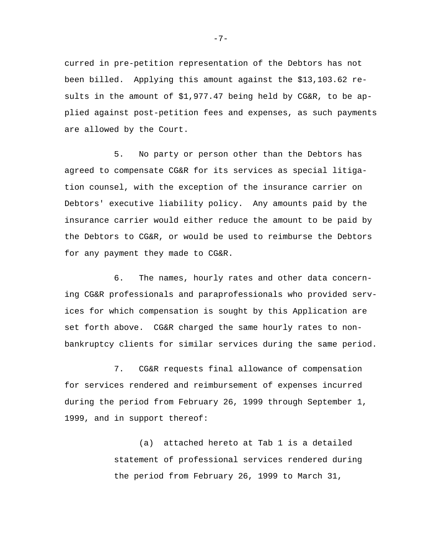curred in pre-petition representation of the Debtors has not been billed. Applying this amount against the \$13,103.62 results in the amount of \$1,977.47 being held by CG&R, to be applied against post-petition fees and expenses, as such payments are allowed by the Court.

5. No party or person other than the Debtors has agreed to compensate CG&R for its services as special litigation counsel, with the exception of the insurance carrier on Debtors' executive liability policy. Any amounts paid by the insurance carrier would either reduce the amount to be paid by the Debtors to CG&R, or would be used to reimburse the Debtors for any payment they made to CG&R.

6. The names, hourly rates and other data concerning CG&R professionals and paraprofessionals who provided services for which compensation is sought by this Application are set forth above. CG&R charged the same hourly rates to nonbankruptcy clients for similar services during the same period.

7. CG&R requests final allowance of compensation for services rendered and reimbursement of expenses incurred during the period from February 26, 1999 through September 1, 1999, and in support thereof:

> (a) attached hereto at Tab 1 is a detailed statement of professional services rendered during the period from February 26, 1999 to March 31,

-7-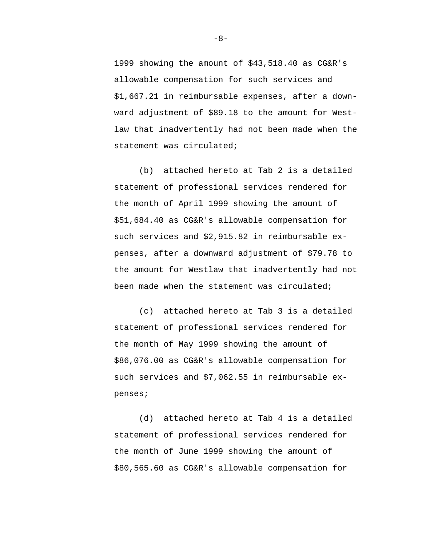1999 showing the amount of \$43,518.40 as CG&R's allowable compensation for such services and \$1,667.21 in reimbursable expenses, after a downward adjustment of \$89.18 to the amount for Westlaw that inadvertently had not been made when the statement was circulated;

(b) attached hereto at Tab 2 is a detailed statement of professional services rendered for the month of April 1999 showing the amount of \$51,684.40 as CG&R's allowable compensation for such services and \$2,915.82 in reimbursable expenses, after a downward adjustment of \$79.78 to the amount for Westlaw that inadvertently had not been made when the statement was circulated;

(c) attached hereto at Tab 3 is a detailed statement of professional services rendered for the month of May 1999 showing the amount of \$86,076.00 as CG&R's allowable compensation for such services and \$7,062.55 in reimbursable expenses;

(d) attached hereto at Tab 4 is a detailed statement of professional services rendered for the month of June 1999 showing the amount of \$80,565.60 as CG&R's allowable compensation for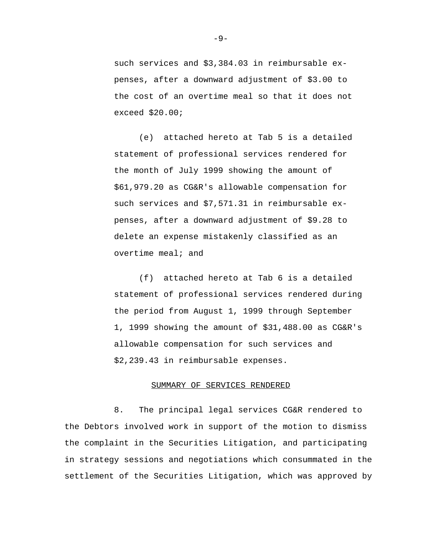such services and \$3,384.03 in reimbursable expenses, after a downward adjustment of \$3.00 to the cost of an overtime meal so that it does not exceed \$20.00;

(e) attached hereto at Tab 5 is a detailed statement of professional services rendered for the month of July 1999 showing the amount of \$61,979.20 as CG&R's allowable compensation for such services and \$7,571.31 in reimbursable expenses, after a downward adjustment of \$9.28 to delete an expense mistakenly classified as an overtime meal; and

(f) attached hereto at Tab 6 is a detailed statement of professional services rendered during the period from August 1, 1999 through September 1, 1999 showing the amount of \$31,488.00 as CG&R's allowable compensation for such services and \$2,239.43 in reimbursable expenses.

#### SUMMARY OF SERVICES RENDERED

8. The principal legal services CG&R rendered to the Debtors involved work in support of the motion to dismiss the complaint in the Securities Litigation, and participating in strategy sessions and negotiations which consummated in the settlement of the Securities Litigation, which was approved by

-9-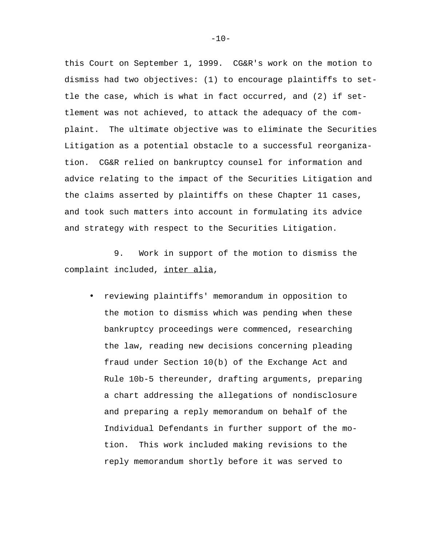this Court on September 1, 1999. CG&R's work on the motion to dismiss had two objectives: (1) to encourage plaintiffs to settle the case, which is what in fact occurred, and (2) if settlement was not achieved, to attack the adequacy of the complaint. The ultimate objective was to eliminate the Securities Litigation as a potential obstacle to a successful reorganization. CG&R relied on bankruptcy counsel for information and advice relating to the impact of the Securities Litigation and the claims asserted by plaintiffs on these Chapter 11 cases, and took such matters into account in formulating its advice and strategy with respect to the Securities Litigation.

9. Work in support of the motion to dismiss the complaint included, inter alia,

• reviewing plaintiffs' memorandum in opposition to the motion to dismiss which was pending when these bankruptcy proceedings were commenced, researching the law, reading new decisions concerning pleading fraud under Section 10(b) of the Exchange Act and Rule 10b-5 thereunder, drafting arguments, preparing a chart addressing the allegations of nondisclosure and preparing a reply memorandum on behalf of the Individual Defendants in further support of the motion. This work included making revisions to the reply memorandum shortly before it was served to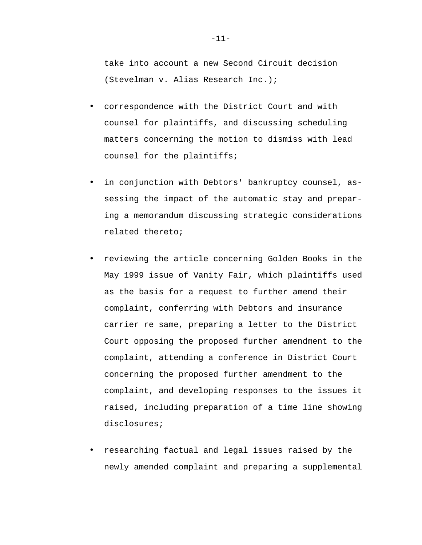take into account a new Second Circuit decision (Stevelman v. Alias Research Inc.);

- correspondence with the District Court and with counsel for plaintiffs, and discussing scheduling matters concerning the motion to dismiss with lead counsel for the plaintiffs;
- in conjunction with Debtors' bankruptcy counsel, assessing the impact of the automatic stay and preparing a memorandum discussing strategic considerations related thereto;
- reviewing the article concerning Golden Books in the May 1999 issue of Vanity Fair, which plaintiffs used as the basis for a request to further amend their complaint, conferring with Debtors and insurance carrier re same, preparing a letter to the District Court opposing the proposed further amendment to the complaint, attending a conference in District Court concerning the proposed further amendment to the complaint, and developing responses to the issues it raised, including preparation of a time line showing disclosures;
- researching factual and legal issues raised by the newly amended complaint and preparing a supplemental

-11-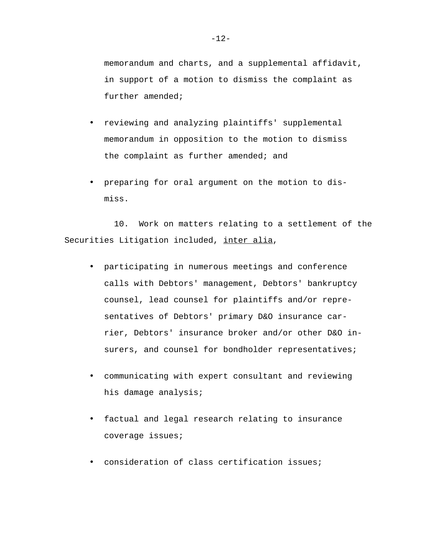memorandum and charts, and a supplemental affidavit, in support of a motion to dismiss the complaint as further amended;

- reviewing and analyzing plaintiffs' supplemental memorandum in opposition to the motion to dismiss the complaint as further amended; and
- preparing for oral argument on the motion to dismiss.

10. Work on matters relating to a settlement of the Securities Litigation included, inter alia,

- participating in numerous meetings and conference calls with Debtors' management, Debtors' bankruptcy counsel, lead counsel for plaintiffs and/or representatives of Debtors' primary D&O insurance carrier, Debtors' insurance broker and/or other D&O insurers, and counsel for bondholder representatives;
- communicating with expert consultant and reviewing his damage analysis;
- factual and legal research relating to insurance coverage issues;
- consideration of class certification issues;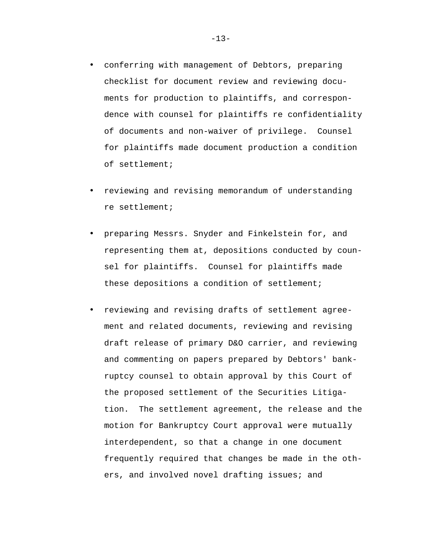- conferring with management of Debtors, preparing checklist for document review and reviewing documents for production to plaintiffs, and correspondence with counsel for plaintiffs re confidentiality of documents and non-waiver of privilege. Counsel for plaintiffs made document production a condition of settlement;
- reviewing and revising memorandum of understanding re settlement;
- preparing Messrs. Snyder and Finkelstein for, and representing them at, depositions conducted by counsel for plaintiffs. Counsel for plaintiffs made these depositions a condition of settlement;
- reviewing and revising drafts of settlement agreement and related documents, reviewing and revising draft release of primary D&O carrier, and reviewing and commenting on papers prepared by Debtors' bankruptcy counsel to obtain approval by this Court of the proposed settlement of the Securities Litigation. The settlement agreement, the release and the motion for Bankruptcy Court approval were mutually interdependent, so that a change in one document frequently required that changes be made in the others, and involved novel drafting issues; and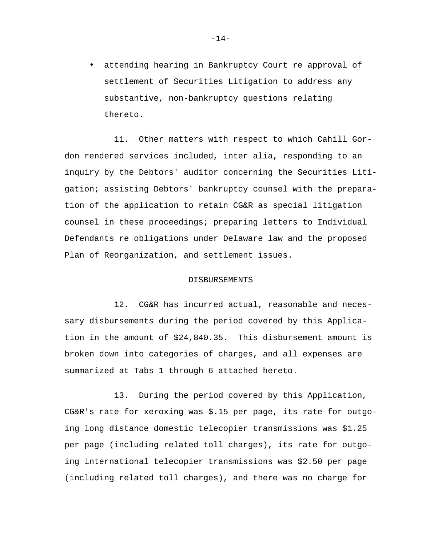• attending hearing in Bankruptcy Court re approval of settlement of Securities Litigation to address any substantive, non-bankruptcy questions relating thereto.

11. Other matters with respect to which Cahill Gordon rendered services included, inter alia, responding to an inquiry by the Debtors' auditor concerning the Securities Litigation; assisting Debtors' bankruptcy counsel with the preparation of the application to retain CG&R as special litigation counsel in these proceedings; preparing letters to Individual Defendants re obligations under Delaware law and the proposed Plan of Reorganization, and settlement issues.

#### DISBURSEMENTS

12. CG&R has incurred actual, reasonable and necessary disbursements during the period covered by this Application in the amount of \$24,840.35. This disbursement amount is broken down into categories of charges, and all expenses are summarized at Tabs 1 through 6 attached hereto.

13. During the period covered by this Application, CG&R's rate for xeroxing was \$.15 per page, its rate for outgoing long distance domestic telecopier transmissions was \$1.25 per page (including related toll charges), its rate for outgoing international telecopier transmissions was \$2.50 per page (including related toll charges), and there was no charge for

-14-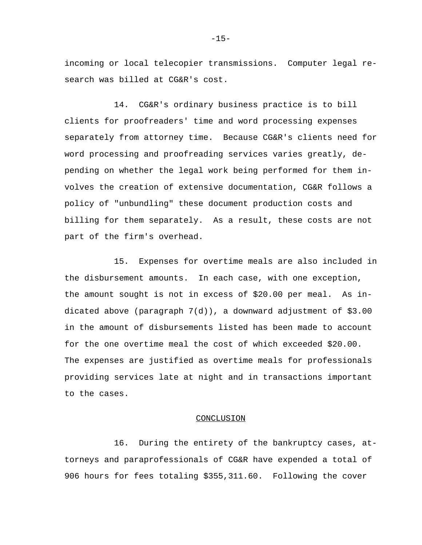incoming or local telecopier transmissions. Computer legal research was billed at CG&R's cost.

14. CG&R's ordinary business practice is to bill clients for proofreaders' time and word processing expenses separately from attorney time. Because CG&R's clients need for word processing and proofreading services varies greatly, depending on whether the legal work being performed for them involves the creation of extensive documentation, CG&R follows a policy of "unbundling" these document production costs and billing for them separately. As a result, these costs are not part of the firm's overhead.

15. Expenses for overtime meals are also included in the disbursement amounts. In each case, with one exception, the amount sought is not in excess of \$20.00 per meal. As indicated above (paragraph 7(d)), a downward adjustment of \$3.00 in the amount of disbursements listed has been made to account for the one overtime meal the cost of which exceeded \$20.00. The expenses are justified as overtime meals for professionals providing services late at night and in transactions important to the cases.

#### **CONCLUSION**

16. During the entirety of the bankruptcy cases, attorneys and paraprofessionals of CG&R have expended a total of 906 hours for fees totaling \$355,311.60. Following the cover

 $-15-$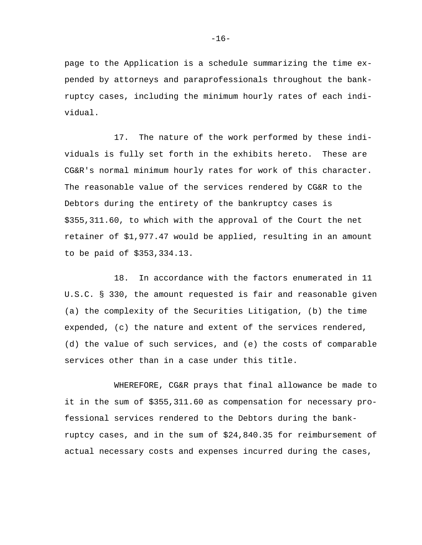page to the Application is a schedule summarizing the time expended by attorneys and paraprofessionals throughout the bankruptcy cases, including the minimum hourly rates of each individual.

17. The nature of the work performed by these individuals is fully set forth in the exhibits hereto. These are CG&R's normal minimum hourly rates for work of this character. The reasonable value of the services rendered by CG&R to the Debtors during the entirety of the bankruptcy cases is \$355,311.60, to which with the approval of the Court the net retainer of \$1,977.47 would be applied, resulting in an amount to be paid of \$353,334.13.

18. In accordance with the factors enumerated in 11 U.S.C. § 330, the amount requested is fair and reasonable given (a) the complexity of the Securities Litigation, (b) the time expended, (c) the nature and extent of the services rendered, (d) the value of such services, and (e) the costs of comparable services other than in a case under this title.

WHEREFORE, CG&R prays that final allowance be made to it in the sum of \$355,311.60 as compensation for necessary professional services rendered to the Debtors during the bankruptcy cases, and in the sum of \$24,840.35 for reimbursement of actual necessary costs and expenses incurred during the cases,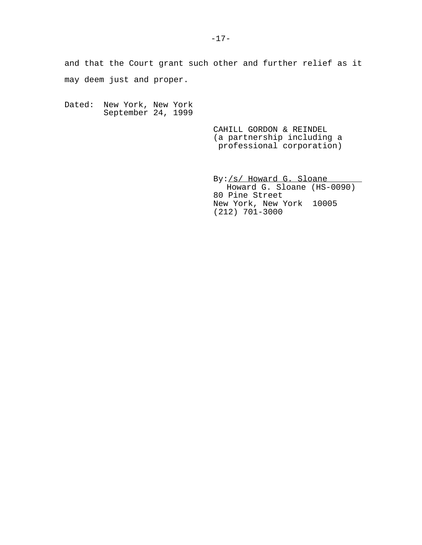and that the Court grant such other and further relief as it may deem just and proper.

Dated: New York, New York September 24, 1999

> CAHILL GORDON & REINDEL (a partnership including a professional corporation)

By:/s/ Howard G. Sloane Howard G. Sloane (HS-0090) 80 Pine Street New York, New York 10005 (212) 701-3000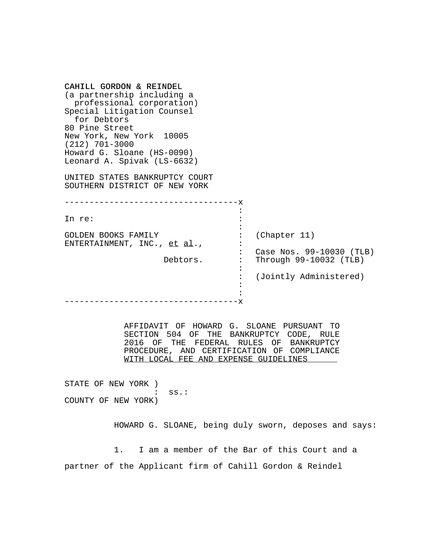| CAHILL GORDON & REINDEL<br>(a partnership including a<br>professional corporation)<br>Special Litigation Counsel<br>for Debtors<br>80 Pine Street<br>New York, New York 10005<br>$(212)$ 701-3000<br>Howard G. Sloane (HS-0090)<br>Leonard A. Spivak (LS-6632)<br>UNITED STATES BANKRUPTCY COURT<br>SOUTHERN DISTRICT OF NEW YORK |                                                                                                                                                                                |
|-----------------------------------------------------------------------------------------------------------------------------------------------------------------------------------------------------------------------------------------------------------------------------------------------------------------------------------|--------------------------------------------------------------------------------------------------------------------------------------------------------------------------------|
| In re:                                                                                                                                                                                                                                                                                                                            |                                                                                                                                                                                |
| <b>GOLDEN BOOKS FAMILY</b><br>ENTERTAINMENT, INC., et al.,<br>Debtors.                                                                                                                                                                                                                                                            | (Chapter 11)<br>Case Nos. 99-10030 (TLB)<br>Through 99-10032 (TLB)<br>(Jointly Administered)                                                                                   |
| WITH LOCAL FEE AND EXPENSE GUIDELINES<br>STATE OF NEW YORK )<br>$ss$ .:                                                                                                                                                                                                                                                           | AFFIDAVIT OF HOWARD G. SLOANE PURSUANT TO<br>SECTION 504 OF THE BANKRUPTCY CODE, RULE<br>2016 OF THE FEDERAL RULES OF BANKRUPTCY<br>PROCEDURE, AND CERTIFICATION OF COMPLIANCE |
| COUNTY OF NEW YORK)                                                                                                                                                                                                                                                                                                               | HOWARD G. SLOANE, being duly sworn, deposes and says:                                                                                                                          |
| partner of the Applicant firm of Cahill Gordon & Reindel                                                                                                                                                                                                                                                                          | I am a member of the Bar of this Court and a                                                                                                                                   |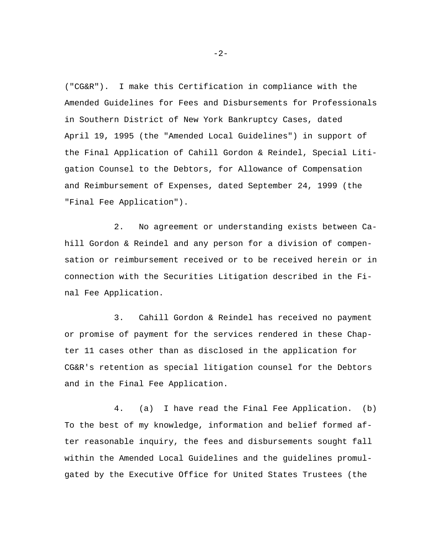("CG&R"). I make this Certification in compliance with the Amended Guidelines for Fees and Disbursements for Professionals in Southern District of New York Bankruptcy Cases, dated April 19, 1995 (the "Amended Local Guidelines") in support of the Final Application of Cahill Gordon & Reindel, Special Litigation Counsel to the Debtors, for Allowance of Compensation and Reimbursement of Expenses, dated September 24, 1999 (the "Final Fee Application").

2. No agreement or understanding exists between Cahill Gordon & Reindel and any person for a division of compensation or reimbursement received or to be received herein or in connection with the Securities Litigation described in the Final Fee Application.

3. Cahill Gordon & Reindel has received no payment or promise of payment for the services rendered in these Chapter 11 cases other than as disclosed in the application for CG&R's retention as special litigation counsel for the Debtors and in the Final Fee Application.

4. (a) I have read the Final Fee Application. (b) To the best of my knowledge, information and belief formed after reasonable inquiry, the fees and disbursements sought fall within the Amended Local Guidelines and the guidelines promulgated by the Executive Office for United States Trustees (the

 $-2-$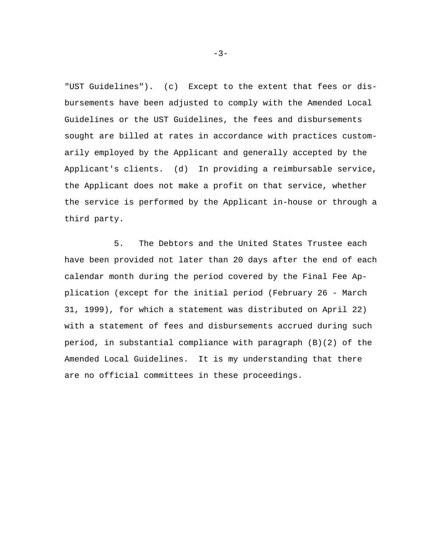"UST Guidelines"). (c) Except to the extent that fees or disbursements have been adjusted to comply with the Amended Local Guidelines or the UST Guidelines, the fees and disbursements sought are billed at rates in accordance with practices customarily employed by the Applicant and generally accepted by the Applicant's clients. (d) In providing a reimbursable service, the Applicant does not make a profit on that service, whether the service is performed by the Applicant in-house or through a third party.

5. The Debtors and the United States Trustee each have been provided not later than 20 days after the end of each calendar month during the period covered by the Final Fee Application (except for the initial period (February 26 - March 31, 1999), for which a statement was distributed on April 22) with a statement of fees and disbursements accrued during such period, in substantial compliance with paragraph (B)(2) of the Amended Local Guidelines. It is my understanding that there are no official committees in these proceedings.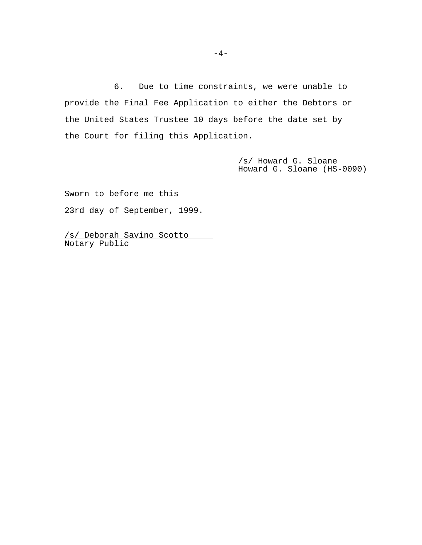6. Due to time constraints, we were unable to provide the Final Fee Application to either the Debtors or the United States Trustee 10 days before the date set by the Court for filing this Application.

> /s/ Howard G. Sloane Howard G. Sloane (HS-0090)

Sworn to before me this 23rd day of September, 1999.

/s/ Deborah Savino Scotto Notary Public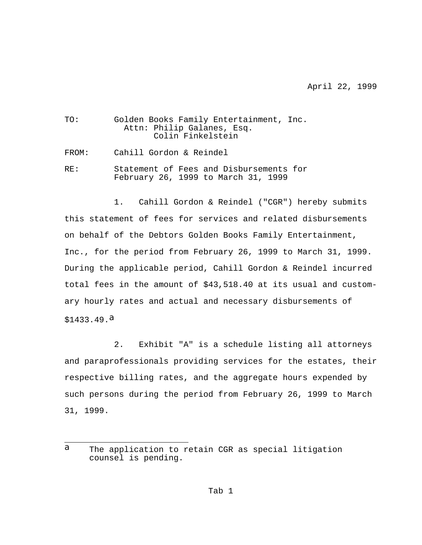April 22, 1999

| TO:   | Golden Books Family Entertainment, Inc.<br>Attn: Philip Galanes, Esq.<br>Colin Finkelstein |
|-------|--------------------------------------------------------------------------------------------|
| FROM: | Cahill Gordon & Reindel                                                                    |
| RF.:  | Statement of Fees and Disbursements for<br>February 26, 1999 to March 31, 1999             |

1. Cahill Gordon & Reindel ("CGR") hereby submits this statement of fees for services and related disbursements on behalf of the Debtors Golden Books Family Entertainment, Inc., for the period from February 26, 1999 to March 31, 1999. During the applicable period, Cahill Gordon & Reindel incurred total fees in the amount of \$43,518.40 at its usual and customary hourly rates and actual and necessary disbursements of  $$1433.49$ .

2. Exhibit "A" is a schedule listing all attorneys and paraprofessionals providing services for the estates, their respective billing rates, and the aggregate hours expended by such persons during the period from February 26, 1999 to March 31, 1999.

J.

a The application to retain CGR as special litigation counsel is pending.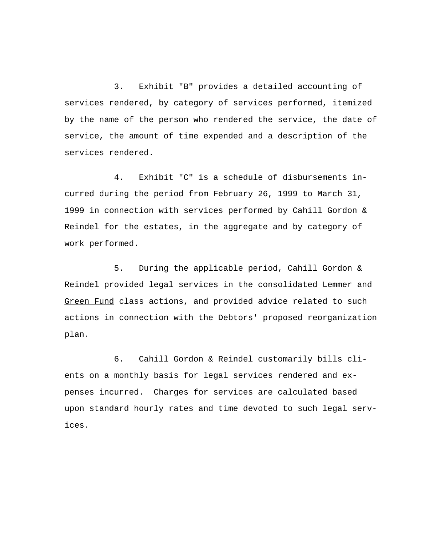3. Exhibit "B" provides a detailed accounting of services rendered, by category of services performed, itemized by the name of the person who rendered the service, the date of service, the amount of time expended and a description of the services rendered.

4. Exhibit "C" is a schedule of disbursements incurred during the period from February 26, 1999 to March 31, 1999 in connection with services performed by Cahill Gordon & Reindel for the estates, in the aggregate and by category of work performed.

5. During the applicable period, Cahill Gordon & Reindel provided legal services in the consolidated Lemmer and Green Fund class actions, and provided advice related to such actions in connection with the Debtors' proposed reorganization plan.

6. Cahill Gordon & Reindel customarily bills clients on a monthly basis for legal services rendered and expenses incurred. Charges for services are calculated based upon standard hourly rates and time devoted to such legal services.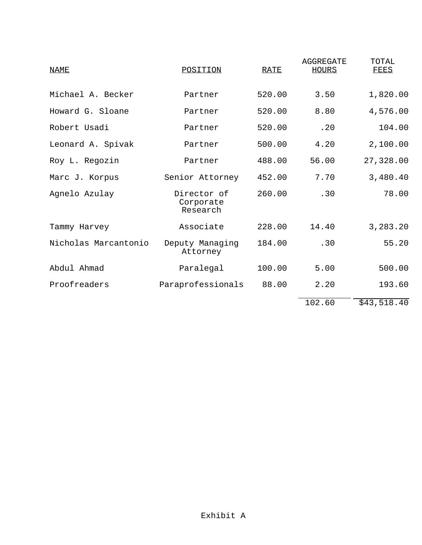| <u>NAME</u>          | POSITION                             | <b>RATE</b> | AGGREGATE<br><b>HOURS</b> | TOTAL<br>FEES |
|----------------------|--------------------------------------|-------------|---------------------------|---------------|
| Michael A. Becker    | Partner                              | 520.00      | 3.50                      | 1,820.00      |
| Howard G. Sloane     | Partner                              | 520.00      | 8.80                      | 4,576.00      |
| Robert Usadi         | Partner                              | 520.00      | .20                       | 104.00        |
| Leonard A. Spivak    | Partner                              | 500.00      | 4.20                      | 2,100.00      |
| Roy L. Regozin       | Partner                              | 488.00      | 56.00                     | 27,328.00     |
| Marc J. Korpus       | Senior Attorney                      | 452.00      | 7.70                      | 3,480.40      |
| Agnelo Azulay        | Director of<br>Corporate<br>Research | 260.00      | .30                       | 78.00         |
| Tammy Harvey         | Associate                            | 228.00      | 14.40                     | 3,283.20      |
| Nicholas Marcantonio | Deputy Managing<br>Attorney          | 184.00      | .30                       | 55.20         |
| Abdul Ahmad          | Paralegal                            | 100.00      | 5.00                      | 500.00        |
| Proofreaders         | Paraprofessionals                    | 88.00       | 2.20                      | 193.60        |
|                      |                                      |             | 102.60                    | \$43,518.40   |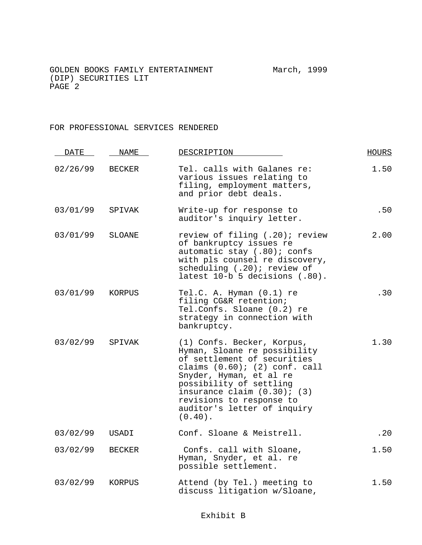### FOR PROFESSIONAL SERVICES RENDERED

| <b>DATE</b> | NAME          | DESCRIPTION                                                                                                                                                                                                                                                                                        | <b>HOURS</b> |
|-------------|---------------|----------------------------------------------------------------------------------------------------------------------------------------------------------------------------------------------------------------------------------------------------------------------------------------------------|--------------|
| 02/26/99    | <b>BECKER</b> | Tel. calls with Galanes re:<br>various issues relating to<br>filing, employment matters,<br>and prior debt deals.                                                                                                                                                                                  | 1.50         |
| 03/01/99    | SPIVAK        | Write-up for response to<br>auditor's inquiry letter.                                                                                                                                                                                                                                              | .50          |
| 03/01/99    | SLOANE        | review of filing (.20); review<br>of bankruptcy issues re<br>automatic stay (.80); confs<br>with pls counsel re discovery,<br>scheduling (.20); review of<br>latest 10-b 5 decisions (.80).                                                                                                        | 2.00         |
| 03/01/99    | KORPUS        | Tel.C. A. Hyman (0.1) re<br>filing CG&R retention;<br>Tel.Confs. Sloane (0.2) re<br>strategy in connection with<br>bankruptcy.                                                                                                                                                                     | .30          |
| 03/02/99    | SPIVAK        | (1) Confs. Becker, Korpus,<br>Hyman, Sloane re possibility<br>of settlement of securities<br>claims $(0.60)$ ; $(2)$ conf. call<br>Snyder, Hyman, et al re<br>possibility of settling<br>insurance claim $(0.30)$ ; $(3)$<br>revisions to response to<br>auditor's letter of inquiry<br>$(0.40)$ . | 1.30         |
| 03/02/99    | USADI         | Conf. Sloane & Meistrell.                                                                                                                                                                                                                                                                          | .20          |
| 03/02/99    | <b>BECKER</b> | Confs. call with Sloane,<br>Hyman, Snyder, et al. re<br>possible settlement.                                                                                                                                                                                                                       | 1.50         |
| 03/02/99    | KORPUS        | Attend (by Tel.) meeting to<br>discuss litigation w/Sloane,                                                                                                                                                                                                                                        | 1.50         |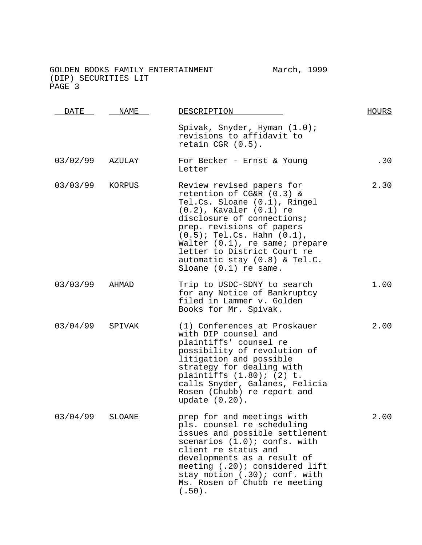| <b>DATE</b>     | NAME   | DESCRIPTION                                                                                                                                                                                                                                                                                                                                      | HOURS |
|-----------------|--------|--------------------------------------------------------------------------------------------------------------------------------------------------------------------------------------------------------------------------------------------------------------------------------------------------------------------------------------------------|-------|
|                 |        | Spivak, Snyder, Hyman (1.0);<br>revisions to affidavit to<br>retain CGR (0.5).                                                                                                                                                                                                                                                                   |       |
| 03/02/99        | AZULAY | For Becker - Ernst & Young<br>Letter                                                                                                                                                                                                                                                                                                             | .30   |
| 03/03/99 KORPUS |        | Review revised papers for<br>retention of CG&R (0.3) &<br>Tel.Cs. Sloane (0.1), Ringel<br>$(0.2)$ , Kavaler $(0.1)$ re<br>disclosure of connections;<br>prep. revisions of papers<br>$(0.5)$ ; Tel.Cs. Hahn $(0.1)$ ,<br>Walter (0.1), re same; prepare<br>letter to District Court re<br>automatic stay (0.8) & Tel.C.<br>Sloane (0.1) re same. | 2.30  |
| 03/03/99        | AHMAD  | Trip to USDC-SDNY to search<br>for any Notice of Bankruptcy<br>filed in Lammer v. Golden<br>Books for Mr. Spivak.                                                                                                                                                                                                                                | 1.00  |
| 03/04/99        | SPIVAK | (1) Conferences at Proskauer<br>with DIP counsel and<br>plaintiffs' counsel re<br>possibility of revolution of<br>litigation and possible<br>strategy for dealing with<br>plaintiffs (1.80); (2) t.<br>calls Snyder, Galanes, Felicia<br>Rosen (Chubb) re report and<br>update $(0.20)$ .                                                        | 2.00  |
| 03/04/99        | SLOANE | prep for and meetings with<br>pls. counsel re scheduling<br>issues and possible settlement<br>scenarios (1.0); confs. with<br>client re status and<br>developments as a result of<br>meeting (.20); considered lift<br>stay motion (.30); conf. with<br>Ms. Rosen of Chubb re meeting<br>$(.50)$ .                                               | 2.00  |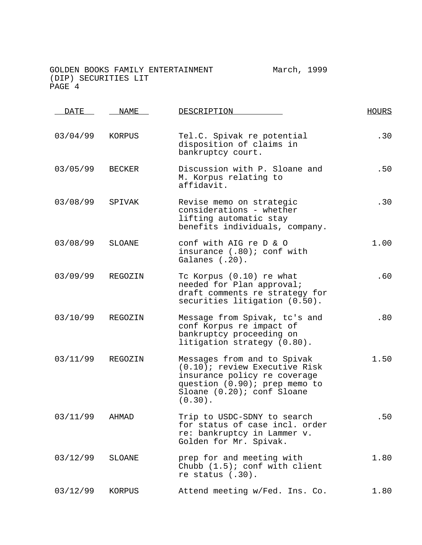| DATE     | <b>NAME</b>   | DESCRIPTION                                                                                                                                                               | <b>HOURS</b> |
|----------|---------------|---------------------------------------------------------------------------------------------------------------------------------------------------------------------------|--------------|
| 03/04/99 | KORPUS        | Tel.C. Spivak re potential<br>disposition of claims in<br>bankruptcy court.                                                                                               | .30          |
| 03/05/99 | BECKER        | Discussion with P. Sloane and<br>M. Korpus relating to<br>affidavit.                                                                                                      | .50          |
| 03/08/99 | SPIVAK        | Revise memo on strategic<br>considerations - whether<br>lifting automatic stay<br>benefits individuals, company.                                                          | .30          |
| 03/08/99 | <b>SLOANE</b> | conf with AIG re D & O<br>insurance (.80); conf with<br>Galanes (.20).                                                                                                    | 1.00         |
| 03/09/99 | REGOZIN       | Tc Korpus (0.10) re what<br>needed for Plan approval;<br>draft comments re strategy for<br>securities litigation (0.50).                                                  | .60          |
| 03/10/99 | REGOZIN       | Message from Spivak, tc's and<br>conf Korpus re impact of<br>bankruptcy proceeding on<br>litigation strategy (0.80).                                                      | .80          |
| 03/11/99 | REGOZIN       | Messages from and to Spivak<br>(0.10); review Executive Risk<br>insurance policy re coverage<br>question (0.90); prep memo to<br>Sloane (0.20); conf Sloane<br>$(0.30)$ . | 1.50         |
| 03/11/99 | AHMAD         | Trip to USDC-SDNY to search<br>for status of case incl. order<br>re: bankruptcy in Lammer v.<br>Golden for Mr. Spivak.                                                    | .50          |
| 03/12/99 | SLOANE        | prep for and meeting with<br>Chubb $(1.5)$ ; conf with client<br>re status $(.30)$ .                                                                                      | 1.80         |
| 03/12/99 | KORPUS        | Attend meeting w/Fed. Ins. Co.                                                                                                                                            | 1.80         |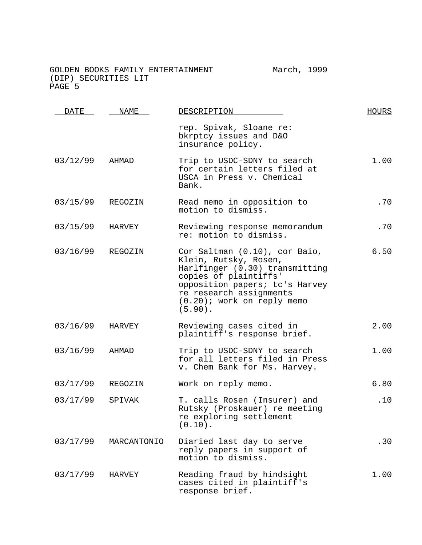DATE NAME DESCRIPTION HOURS rep. Spivak, Sloane re: bkrptcy issues and D&O insurance policy. 03/12/99 AHMAD Trip to USDC-SDNY to search for certain letters filed at USCA in Press v. Chemical Bank. 1.00 03/15/99 REGOZIN Read memo in opposition to motion to dismiss. .70 03/15/99 HARVEY Reviewing response memorandum re: motion to dismiss. .70 03/16/99 REGOZIN Cor Saltman (0.10), cor Baio, Klein, Rutsky, Rosen, Harlfinger (0.30) transmitting copies of plaintiffs' opposition papers; tc's Harvey re research assignments (0.20); work on reply memo (5.90). 6.50 03/16/99 HARVEY Reviewing cases cited in plaintiff's response brief. 2.00 03/16/99 AHMAD Trip to USDC-SDNY to search for all letters filed in Press v. Chem Bank for Ms. Harvey. 1.00 03/17/99 REGOZIN Work on reply memo. 6.80 03/17/99 SPIVAK T. calls Rosen (Insurer) and Rutsky (Proskauer) re meeting re exploring settlement (0.10). .10 03/17/99 MARCANTONIO Diaried last day to serve reply papers in support of motion to dismiss. .30 03/17/99 HARVEY Reading fraud by hindsight cases cited in plaintiff's response brief. 1.00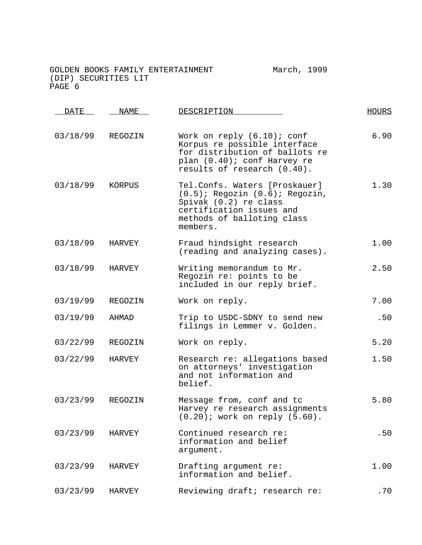| <b>DATE</b> | <b>NAME</b> | DESCRIPTION                                                                                                                                                          | <b>HOURS</b> |
|-------------|-------------|----------------------------------------------------------------------------------------------------------------------------------------------------------------------|--------------|
| 03/18/99    | REGOZIN     | Work on reply $(6.10)$ ; conf<br>Korpus re possible interface<br>for distribution of ballots re<br>plan (0.40); conf Harvey re<br>results of research (0.40).        | 6.90         |
| 03/18/99    | KORPUS      | Tel.Confs. Waters [Proskauer]<br>$(0.5)$ ; Regozin $(0.6)$ ; Regozin,<br>Spivak (0.2) re class<br>certification issues and<br>methods of balloting class<br>members. | 1.30         |
| 03/18/99    | HARVEY      | Fraud hindsight research<br>(reading and analyzing cases).                                                                                                           | 1.00         |
| 03/18/99    | HARVEY      | Writing memorandum to Mr.<br>Regozin re: points to be<br>included in our reply brief.                                                                                | 2.50         |
| 03/19/99    | REGOZIN     | Work on reply.                                                                                                                                                       | 7.00         |
| 03/19/99    | AHMAD       | Trip to USDC-SDNY to send new<br>filings in Lemmer v. Golden.                                                                                                        | .50          |
| 03/22/99    | REGOZIN     | Work on reply.                                                                                                                                                       | 5.20         |
| 03/22/99    | HARVEY      | Research re: allegations based<br>on attorneys' investigation<br>and not information and<br>belief.                                                                  | 1.50         |
| 03/23/99    | REGOZIN     | Message from, conf and tc<br>Harvey re research assignments<br>$(0.20)$ ; work on reply $(5.60)$ .                                                                   | 5.80         |
| 03/23/99    | HARVEY      | Continued research re:<br>information and belief<br>argument.                                                                                                        | .50          |
| 03/23/99    | HARVEY      | Drafting argument re:<br>information and belief.                                                                                                                     | 1.00         |
| 03/23/99    | HARVEY      | Reviewing draft; research re:                                                                                                                                        | .70          |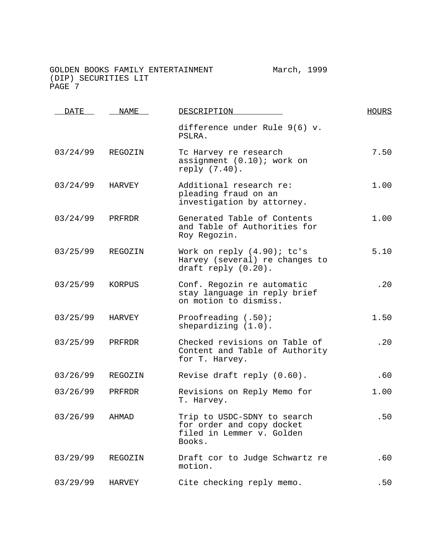DATE NAME DESCRIPTION HOURS difference under Rule 9(6) v. PSLRA. 03/24/99 REGOZIN Tc Harvey re research assignment (0.10); work on reply (7.40). 7.50 03/24/99 HARVEY Additional research re: pleading fraud on an investigation by attorney. 1.00 03/24/99 PRFRDR Generated Table of Contents and Table of Authorities for Roy Regozin. 1.00 03/25/99 REGOZIN Work on reply (4.90); tc's Harvey (several) re changes to draft reply (0.20). 5.10 03/25/99 KORPUS Conf. Regozin re automatic stay language in reply brief on motion to dismiss. .20 03/25/99 HARVEY Proofreading (.50); shepardizing (1.0). 1.50 03/25/99 PRFRDR Checked revisions on Table of Content and Table of Authority for T. Harvey. .20 03/26/99 REGOZIN Revise draft reply (0.60). 60 03/26/99 PRFRDR Revisions on Reply Memo for T. Harvey. 1.00 03/26/99 AHMAD Trip to USDC-SDNY to search for order and copy docket filed in Lemmer v. Golden Books. .50 03/29/99 REGOZIN Draft cor to Judge Schwartz re motion. .60 03/29/99 HARVEY Cite checking reply memo. 50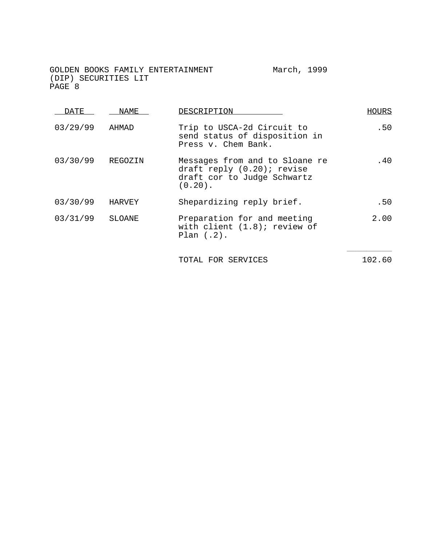DATE NAME DESCRIPTION HOURS 03/29/99 AHMAD Trip to USCA-2d Circuit to send status of disposition in Press v. Chem Bank. .50 03/30/99 REGOZIN Messages from and to Sloane re draft reply (0.20); revise draft cor to Judge Schwartz (0.20). .40 03/30/99 HARVEY Shepardizing reply brief. 50 03/31/99 SLOANE Preparation for and meeting with client (1.8); review of Plan (.2). 2.00  $\overline{\phantom{a}}$  , where  $\overline{\phantom{a}}$ TOTAL FOR SERVICES 102.60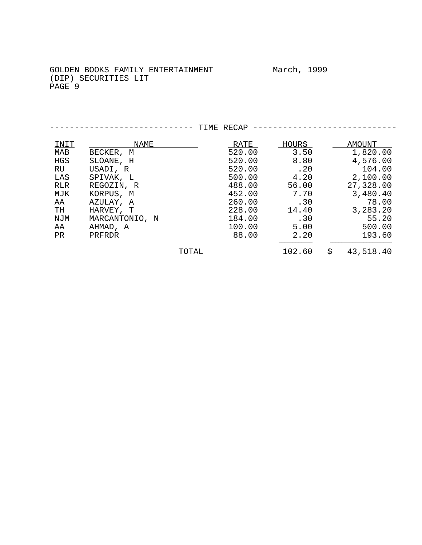|           |                |       | TIME RECAP |              |                 |
|-----------|----------------|-------|------------|--------------|-----------------|
| INIT      | NAME           |       | RATE       | <u>HOURS</u> | AMOUNT          |
| MAB       | BECKER, M      |       | 520.00     | 3.50         | 1,820.00        |
| HGS       | SLOANE, H      |       | 520.00     | 8.80         | 4,576.00        |
| RU        | USADI, R       |       | 520.00     | .20          | 104.00          |
| LAS       | SPIVAK, L      |       | 500.00     | 4.20         | 2,100.00        |
| RLR       | REGOZIN, R     |       | 488.00     | 56.00        | 27,328.00       |
| MJK       | KORPUS, M      |       | 452.00     | 7.70         | 3,480.40        |
| AA        | AZULAY, A      |       | 260.00     | .30          | 78.00           |
| TH        | HARVEY, T      |       | 228.00     | 14.40        | 3,283.20        |
| NJM       | MARCANTONIO, N |       | 184.00     | .30          | 55.20           |
| AA        | AHMAD, A       |       | 100.00     | 5.00         | 500.00          |
| <b>PR</b> | PRFRDR         |       | 88.00      | 2.20         | 193.60          |
|           |                | TOTAL |            | 102.60       | \$<br>43,518.40 |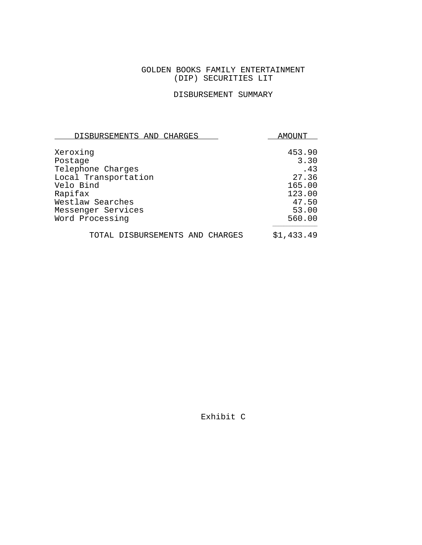## GOLDEN BOOKS FAMILY ENTERTAINMENT (DIP) SECURITIES LIT

# DISBURSEMENT SUMMARY

| DISBURSEMENTS AND CHARGES       | AMOUNT     |  |
|---------------------------------|------------|--|
|                                 | 453.90     |  |
| Xeroxing<br>Postage             | 3.30       |  |
| Telephone Charges               | .43        |  |
| Local Transportation            | 27.36      |  |
| Velo Bind                       | 165.00     |  |
| Rapifax                         | 123.00     |  |
| Westlaw Searches                | 47.50      |  |
| Messenger Services              | 53.00      |  |
| Word Processing                 | 560.00     |  |
| TOTAL DISBURSEMENTS AND CHARGES | \$1,433.49 |  |

Exhibit C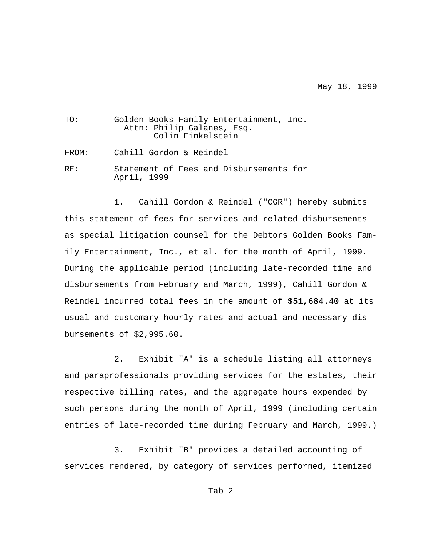May 18, 1999

| TO:   | Golden Books Family Entertainment, Inc.<br>Attn: Philip Galanes, Esq.<br>Colin Finkelstein |
|-------|--------------------------------------------------------------------------------------------|
| FROM: | Cahill Gordon & Reindel                                                                    |
| RF.:  | Statement of Fees and Disbursements for<br>April, 1999                                     |

1. Cahill Gordon & Reindel ("CGR") hereby submits this statement of fees for services and related disbursements as special litigation counsel for the Debtors Golden Books Family Entertainment, Inc., et al. for the month of April, 1999. During the applicable period (including late-recorded time and disbursements from February and March, 1999), Cahill Gordon & Reindel incurred total fees in the amount of \$51,684.40 at its usual and customary hourly rates and actual and necessary disbursements of \$2,995.60.

2. Exhibit "A" is a schedule listing all attorneys and paraprofessionals providing services for the estates, their respective billing rates, and the aggregate hours expended by such persons during the month of April, 1999 (including certain entries of late-recorded time during February and March, 1999.)

3. Exhibit "B" provides a detailed accounting of services rendered, by category of services performed, itemized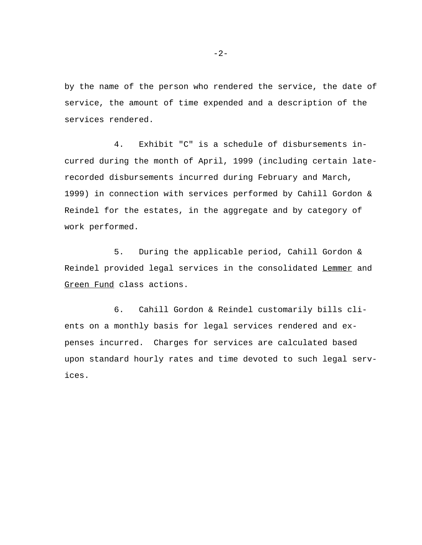by the name of the person who rendered the service, the date of service, the amount of time expended and a description of the services rendered.

4. Exhibit "C" is a schedule of disbursements incurred during the month of April, 1999 (including certain laterecorded disbursements incurred during February and March, 1999) in connection with services performed by Cahill Gordon & Reindel for the estates, in the aggregate and by category of work performed.

5. During the applicable period, Cahill Gordon & Reindel provided legal services in the consolidated Lemmer and Green Fund class actions.

6. Cahill Gordon & Reindel customarily bills clients on a monthly basis for legal services rendered and expenses incurred. Charges for services are calculated based upon standard hourly rates and time devoted to such legal services.

-2-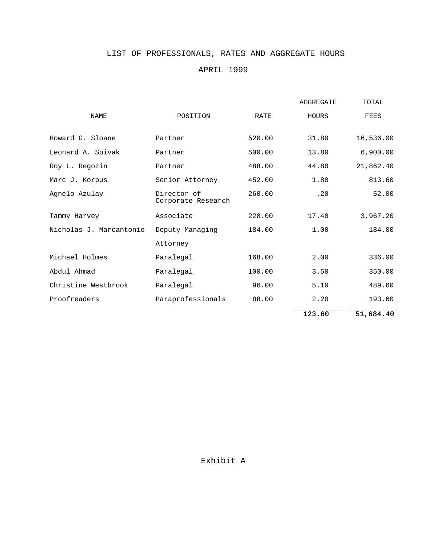# LIST OF PROFESSIONALS, RATES AND AGGREGATE HOURS

## APRIL 1999

|                         |                                   |        | <b>AGGREGATE</b> | TOTAL     |
|-------------------------|-----------------------------------|--------|------------------|-----------|
| <b>NAME</b>             | POSITION                          | RATE   | HOURS            | FEES      |
| Howard G. Sloane        | Partner                           | 520.00 | 31.80            | 16,536.00 |
| Leonard A. Spivak       | Partner                           | 500.00 | 13.80            | 6,900.00  |
| Roy L. Regozin          | Partner                           | 488.00 | 44.80            | 21,862.40 |
| Marc J. Korpus          | Senior Attorney                   | 452.00 | 1.80             | 813.60    |
| Agnelo Azulay           | Director of<br>Corporate Research | 260.00 | .20              | 52.00     |
| Tammy Harvey            | Associate                         | 228.00 | 17.40            | 3,967.20  |
| Nicholas J. Marcantonio | Deputy Managing                   | 184.00 | 1.00             | 184.00    |
|                         | Attorney                          |        |                  |           |
| Michael Holmes          | Paralegal                         | 168.00 | 2.00             | 336.00    |
| Abdul Ahmad             | Paralegal                         | 100.00 | 3.50             | 350.00    |
| Christine Westbrook     | Paralegal                         | 96.00  | 5.10             | 489.60    |
| Proofreaders            | Paraprofessionals                 | 88.00  | 2.20             | 193.60    |
|                         |                                   |        | 123.60           | 51,684.40 |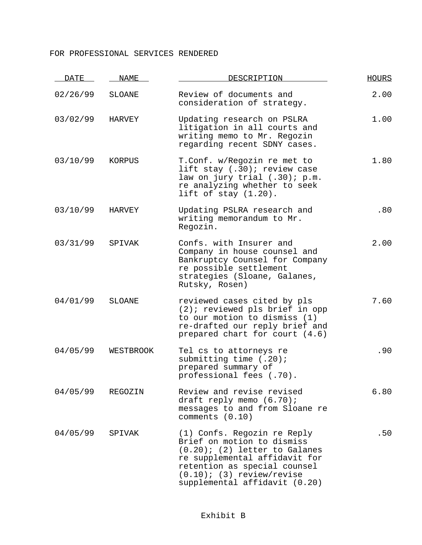## FOR PROFESSIONAL SERVICES RENDERED

| <b>DATE</b> | NAME      | DESCRIPTION                                                                                                                                                                                                                     | <b>HOURS</b> |
|-------------|-----------|---------------------------------------------------------------------------------------------------------------------------------------------------------------------------------------------------------------------------------|--------------|
| 02/26/99    | SLOANE    | Review of documents and<br>consideration of strategy.                                                                                                                                                                           | 2.00         |
| 03/02/99    | HARVEY    | Updating research on PSLRA<br>litigation in all courts and<br>writing memo to Mr. Regozin<br>regarding recent SDNY cases.                                                                                                       | 1.00         |
| 03/10/99    | KORPUS    | T.Conf. w/Regozin re met to<br>lift stay (.30); review case<br>law on jury trial (.30); p.m.<br>re analyzing whether to seek<br>lift of $stay(1.20)$ .                                                                          | 1.80         |
| 03/10/99    | HARVEY    | Updating PSLRA research and<br>writing memorandum to Mr.<br>Regozin.                                                                                                                                                            | .80          |
| 03/31/99    | SPIVAK    | Confs. with Insurer and<br>Company in house counsel and<br>Bankruptcy Counsel for Company<br>re possible settlement<br>strategies (Sloane, Galanes,<br>Rutsky, Rosen)                                                           | 2.00         |
| 04/01/99    | SLOANE    | reviewed cases cited by pls<br>$(2)$ ; reviewed pls brief in opp<br>to our motion to dismiss (1)<br>re-drafted our reply brief and<br>prepared chart for court (4.6)                                                            | 7.60         |
| 04/05/99    | WESTBROOK | Tel cs to attorneys re<br>submitting time $(.20)$ ;<br>prepared summary of<br>professional fees (.70).                                                                                                                          | .90          |
| 04/05/99    | REGOZIN   | Review and revise revised<br>draft reply memo $(6.70)$ ;<br>messages to and from Sloane re<br>comments (0.10)                                                                                                                   | 6.80         |
| 04/05/99    | SPIVAK    | (1) Confs. Regozin re Reply<br>Brief on motion to dismiss<br>$(0.20)$ ; (2) letter to Galanes<br>re supplemental affidavit for<br>retention as special counsel<br>$(0.10)$ ; (3) review/revise<br>supplemental affidavit (0.20) | .50          |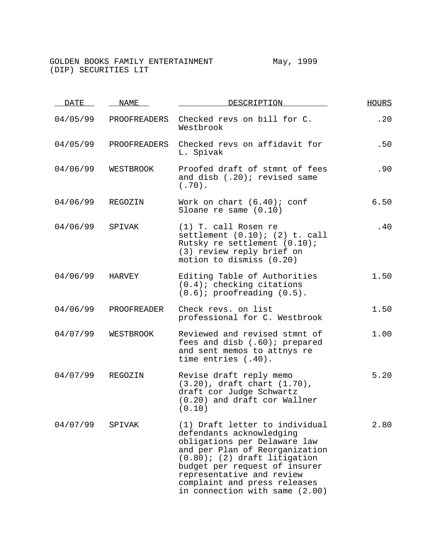| <b>DATE</b> | <b>NAME</b>  | DESCRIPTION                                                                                                                                                                                                                                                                                     | <b>HOURS</b> |
|-------------|--------------|-------------------------------------------------------------------------------------------------------------------------------------------------------------------------------------------------------------------------------------------------------------------------------------------------|--------------|
| 04/05/99    | PROOFREADERS | Checked revs on bill for C.<br>Westbrook                                                                                                                                                                                                                                                        | .20          |
| 04/05/99    | PROOFREADERS | Checked revs on affidavit for<br>L. Spivak                                                                                                                                                                                                                                                      | .50          |
| 04/06/99    | WESTBROOK    | Proofed draft of stmnt of fees<br>and disb (.20); revised same<br>$(.70)$ .                                                                                                                                                                                                                     | .90          |
| 04/06/99    | REGOZIN      | Work on chart $(6.40)$ ; conf<br>Sloane re same $(0.10)$                                                                                                                                                                                                                                        | 6.50         |
| 04/06/99    | SPIVAK       | $(1)$ T. call Rosen re<br>settlement $(0.10)$ ; $(2)$ t. call<br>Rutsky re settlement (0.10);<br>(3) review reply brief on<br>motion to dismiss (0.20)                                                                                                                                          | .40          |
| 04/06/99    | HARVEY       | Editing Table of Authorities<br>$(0.4)$ ; checking citations<br>$(0.6)$ ; proofreading $(0.5)$ .                                                                                                                                                                                                | 1.50         |
| 04/06/99    | PROOFREADER  | Check revs. on list<br>professional for C. Westbrook                                                                                                                                                                                                                                            | 1.50         |
| 04/07/99    | WESTBROOK    | Reviewed and revised stmnt of<br>fees and disb (.60); prepared<br>and sent memos to attnys re<br>time entries (.40).                                                                                                                                                                            | 1.00         |
| 04/07/99    | REGOZIN      | Revise draft reply memo<br>$(3.20)$ , draft chart $(1.70)$ ,<br>draft cor Judge Schwartz<br>(0.20) and draft cor Wallner<br>(0.10)                                                                                                                                                              | 5.20         |
| 04/07/99    | SPIVAK       | (1) Draft letter to individual<br>defendants acknowledging<br>obligations per Delaware law<br>and per Plan of Reorganization<br>$(0.80)$ ; (2) draft litigation<br>budget per request of insurer<br>representative and review<br>complaint and press releases<br>in connection with same (2.00) | 2.80         |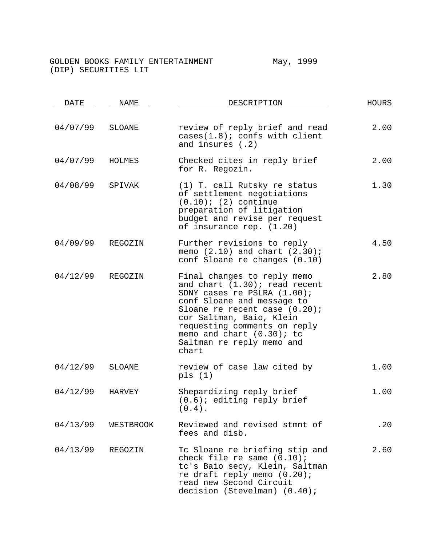| <b>DATE</b> | NAME      | DESCRIPTION                                                                                                                                                                                                                                                                                     | HOURS |  |
|-------------|-----------|-------------------------------------------------------------------------------------------------------------------------------------------------------------------------------------------------------------------------------------------------------------------------------------------------|-------|--|
| 04/07/99    | SLOANE    | review of reply brief and read<br>cases(1.8); consts with client<br>and insures $(.2)$                                                                                                                                                                                                          | 2.00  |  |
| 04/07/99    | HOLMES    | Checked cites in reply brief<br>for R. Regozin.                                                                                                                                                                                                                                                 | 2.00  |  |
| 04/08/99    | SPIVAK    | (1) T. call Rutsky re status<br>of settlement negotiations<br>$(0.10)$ ; $(2)$ continue<br>preparation of litigation<br>budget and revise per request<br>of insurance rep. (1.20)                                                                                                               | 1.30  |  |
| 04/09/99    | REGOZIN   | Further revisions to reply<br>memo $(2.10)$ and chart $(2.30)$ ;<br>conf Sloane re changes (0.10)                                                                                                                                                                                               | 4.50  |  |
| 04/12/99    | REGOZIN   | Final changes to reply memo<br>and chart (1.30); read recent<br>SDNY cases re PSLRA (1.00);<br>conf Sloane and message to<br>Sloane re recent case $(0.20)$ ;<br>cor Saltman, Baio, Klein<br>requesting comments on reply<br>memo and chart $(0.30)$ ; to<br>Saltman re reply memo and<br>chart | 2.80  |  |
| 04/12/99    | SLOANE    | review of case law cited by<br>pls(1)                                                                                                                                                                                                                                                           | 1.00  |  |
| 04/12/99    | HARVEY    | Shepardizing reply brief<br>$(0.6)$ ; editing reply brief<br>$(0.4)$ .                                                                                                                                                                                                                          | 1.00  |  |
| 04/13/99    | WESTBROOK | Reviewed and revised stmnt of<br>fees and disb.                                                                                                                                                                                                                                                 | .20   |  |
| 04/13/99    | REGOZIN   | Tc Sloane re briefing stip and<br>check file re same $(0.10)$ ;<br>tc's Baio secy, Klein, Saltman<br>re draft reply memo $(0.20)$ ;<br>read new Second Circuit<br>decision (Stevelman) (0.40);                                                                                                  | 2.60  |  |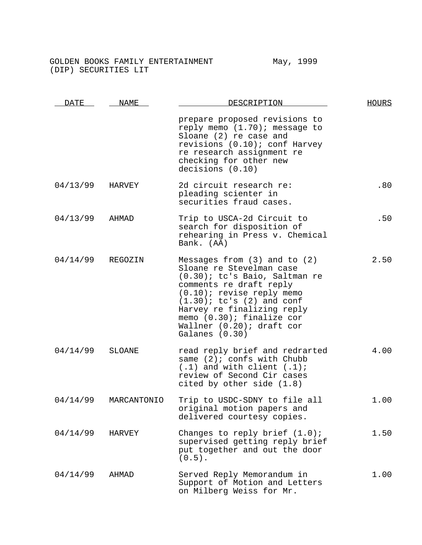| DATE     | NAME          | DESCRIPTION                                                                                                                                                                                                                                                                                                | <b>HOURS</b> |
|----------|---------------|------------------------------------------------------------------------------------------------------------------------------------------------------------------------------------------------------------------------------------------------------------------------------------------------------------|--------------|
|          |               | prepare proposed revisions to<br>reply memo (1.70); message to<br>Sloane (2) re case and<br>revisions (0.10); conf Harvey<br>re research assignment re<br>checking for other new<br>decisions (0.10)                                                                                                       |              |
| 04/13/99 | <b>HARVEY</b> | 2d circuit research re:<br>pleading scienter in<br>securities fraud cases.                                                                                                                                                                                                                                 | .80          |
| 04/13/99 | AHMAD         | Trip to USCA-2d Circuit to<br>search for disposition of<br>rehearing in Press v. Chemical<br>Bank. (AA)                                                                                                                                                                                                    | .50          |
| 04/14/99 | REGOZIN       | Messages from $(3)$ and to $(2)$<br>Sloane re Stevelman case<br>$(0.30)$ ; tc's Baio, Saltman re<br>comments re draft reply<br>$(0.10)$ ; revise reply memo<br>$(1.30)$ ; tc's $(2)$ and conf<br>Harvey re finalizing reply<br>memo $(0.30)$ ; finalize cor<br>Wallner (0.20); draft cor<br>Galanes (0.30) | 2.50         |
| 04/14/99 | <b>SLOANE</b> | read reply brief and redrarted<br>same $(2)$ ; confs with Chubb<br>$(.1)$ and with client $(.1)$ ;<br>review of Second Cir cases<br>cited by other side $(1.8)$                                                                                                                                            | 4.00         |
| 04/14/99 | MARCANTONIO   | Trip to USDC-SDNY to file all<br>original motion papers and<br>delivered courtesy copies.                                                                                                                                                                                                                  | 1.00         |
| 04/14/99 | HARVEY        | Changes to reply brief $(1.0)$ ;<br>supervised getting reply brief<br>put together and out the door<br>$(0.5)$ .                                                                                                                                                                                           | 1.50         |
| 04/14/99 | AHMAD         | Served Reply Memorandum in<br>Support of Motion and Letters<br>on Milberg Weiss for Mr.                                                                                                                                                                                                                    | 1.00         |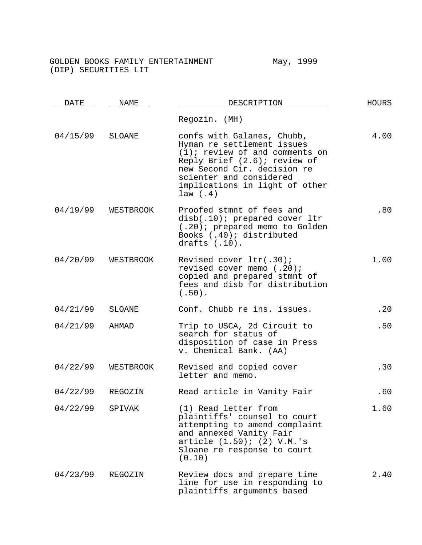| <b>DATE</b> | NAME      | DESCRIPTION                                                                                                                                                                                                                          | <b>HOURS</b> |
|-------------|-----------|--------------------------------------------------------------------------------------------------------------------------------------------------------------------------------------------------------------------------------------|--------------|
|             |           | Regozin. (MH)                                                                                                                                                                                                                        |              |
| 04/15/99    | SLOANE    | confs with Galanes, Chubb,<br>Hyman re settlement issues<br>$(1)$ ; review of and comments on<br>Reply Brief (2.6); review of<br>new Second Cir. decision re<br>scienter and considered<br>implications in light of other<br>law(.4) | 4.00         |
| 04/19/99    | WESTBROOK | Proofed stmnt of fees and<br>disb(.10); prepared cover ltr<br>(.20); prepared memo to Golden<br>Books (.40); distributed<br>drafts $(.10)$ .                                                                                         | .80          |
| 04/20/99    | WESTBROOK | Revised cover ltr(.30);<br>revised cover memo (.20);<br>copied and prepared stmnt of<br>fees and disb for distribution<br>$(.50)$ .                                                                                                  | 1.00         |
| 04/21/99    | SLOANE    | Conf. Chubb re ins. issues.                                                                                                                                                                                                          | .20          |
| 04/21/99    | AHMAD     | Trip to USCA, 2d Circuit to<br>search for status of<br>disposition of case in Press<br>v. Chemical Bank. (AA)                                                                                                                        | .50          |
| 04/22/99    | WESTBROOK | Revised and copied cover<br>letter and memo.                                                                                                                                                                                         | .30          |
| 04/22/99    | REGOZIN   | Read article in Vanity Fair                                                                                                                                                                                                          | .60          |
| 04/22/99    | SPIVAK    | (1) Read letter from<br>plaintiffs' counsel to court<br>attempting to amend complaint<br>and annexed Vanity Fair<br>article (1.50); (2) V.M.'s<br>Sloane re response to court<br>(0.10)                                              | 1.60         |
| 04/23/99    | REGOZIN   | Review docs and prepare time<br>line for use in responding to<br>plaintiffs arguments based                                                                                                                                          | 2.40         |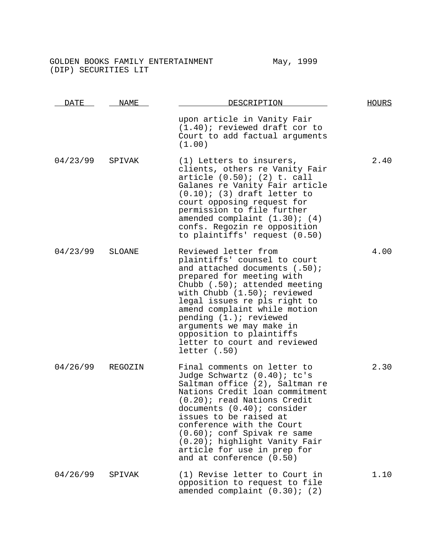| <u>DATE</u> | NAME<br>DESCRIPTION |                                                                                                                                                                                                                                                                                                                                                                                                | <b>HOURS</b> |
|-------------|---------------------|------------------------------------------------------------------------------------------------------------------------------------------------------------------------------------------------------------------------------------------------------------------------------------------------------------------------------------------------------------------------------------------------|--------------|
|             |                     | upon article in Vanity Fair<br>$(1.40)$ ; reviewed draft cor to<br>Court to add factual arguments<br>(1.00)                                                                                                                                                                                                                                                                                    |              |
| 04/23/99    | SPIVAK              | (1) Letters to insurers,<br>clients, others re Vanity Fair<br>article (0.50); (2) t. call<br>Galanes re Vanity Fair article<br>$(0.10)$ ; (3) draft letter to<br>court opposing request for<br>permission to file further<br>amended complaint $(1.30)$ ; $(4)$<br>confs. Regozin re opposition<br>to plaintiffs' request (0.50)                                                               | 2.40         |
| 04/23/99    | SLOANE              | Reviewed letter from<br>plaintiffs' counsel to court<br>and attached documents (.50);<br>prepared for meeting with<br>Chubb $(.50)$ ; attended meeting<br>with Chubb $(1.50)$ ; reviewed<br>legal issues re pls right to<br>amend complaint while motion<br>pending $(1. )$ ; reviewed<br>arguments we may make in<br>opposition to plaintiffs<br>letter to court and reviewed<br>letter( .50) | 4.00         |
| 04/26/99    | REGOZIN             | Final comments on letter to<br>Judge Schwartz (0.40); tc's<br>Saltman office (2), Saltman re<br>Nations Credit loan commitment<br>$(0.20)$ ; read Nations Credit<br>documents (0.40); consider<br>issues to be raised at<br>conference with the Court<br>$(0.60)$ ; conf Spivak re same<br>(0.20); highlight Vanity Fair<br>article for use in prep for<br>and at conference (0.50)            | 2.30         |
| 04/26/99    | SPIVAK              | (1) Revise letter to Court in<br>opposition to request to file<br>amended complaint $(0.30)$ ; $(2)$                                                                                                                                                                                                                                                                                           | 1.10         |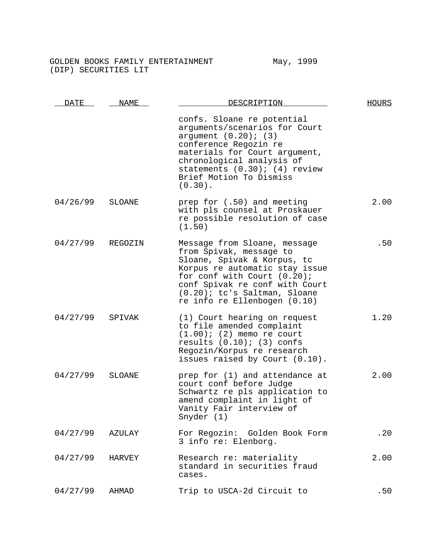| <b>DATE</b>      | NAME   | DESCRIPTION                                                                                                                                                                                                                                                    | <b>HOURS</b> |  |
|------------------|--------|----------------------------------------------------------------------------------------------------------------------------------------------------------------------------------------------------------------------------------------------------------------|--------------|--|
|                  |        | confs. Sloane re potential<br>arguments/scenarios for Court<br>argument $(0.20)$ ; $(3)$<br>conference Regozin re<br>materials for Court argument,<br>chronological analysis of<br>statements $(0.30)$ ; $(4)$ review<br>Brief Motion To Dismiss<br>$(0.30)$ . |              |  |
| 04/26/99         | SLOANE | prep for (.50) and meeting<br>with pls counsel at Proskauer<br>re possible resolution of case<br>(1.50)                                                                                                                                                        | 2.00         |  |
| 04/27/99 REGOZIN |        | Message from Sloane, message<br>from Spivak, message to<br>Sloane, Spivak & Korpus, tc<br>Korpus re automatic stay issue<br>for conf with Court (0.20);<br>conf Spivak re conf with Court<br>(0.20); tc's Saltman, Sloane<br>re info re Ellenbogen (0.10)      | .50          |  |
| 04/27/99         | SPIVAK | (1) Court hearing on request<br>to file amended complaint<br>$(1.00)$ ; $(2)$ memo re court<br>results $(0.10)$ ; $(3)$ confs<br>Regozin/Korpus re research<br>issues raised by Court (0.10).                                                                  | 1.20         |  |
| 04/27/99         | SLOANE | prep for (1) and attendance at<br>court conf before Judge<br>Schwartz re pls application to<br>amend complaint in light of<br>Vanity Fair interview of<br>Snyder (1)                                                                                           | 2.00         |  |
| 04/27/99         | AZULAY | For Regozin: Golden Book Form<br>3 info re: Elenborg.                                                                                                                                                                                                          | .20          |  |
| 04/27/99         | HARVEY | Research re: materiality<br>standard in securities fraud<br>cases.                                                                                                                                                                                             | 2.00         |  |
| 04/27/99         | AHMAD  | Trip to USCA-2d Circuit to                                                                                                                                                                                                                                     | .50          |  |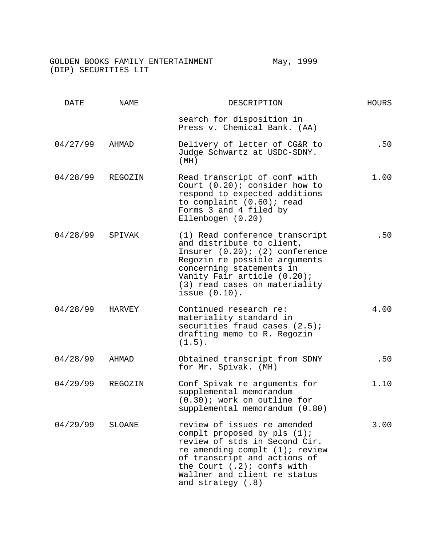| DATE     | NAME<br>DESCRIPTION |                                                                                                                                                                                                                                                           | <b>HOURS</b> |
|----------|---------------------|-----------------------------------------------------------------------------------------------------------------------------------------------------------------------------------------------------------------------------------------------------------|--------------|
|          |                     | search for disposition in<br>Press v. Chemical Bank. (AA)                                                                                                                                                                                                 |              |
| 04/27/99 | AHMAD               | Delivery of letter of CG&R to<br>Judge Schwartz at USDC-SDNY.<br>(MH)                                                                                                                                                                                     | .50          |
| 04/28/99 | REGOZIN             | Read transcript of conf with<br>Court $(0.20)$ ; consider how to<br>respond to expected additions<br>to complaint (0.60); read<br>Forms 3 and 4 filed by<br>Ellenbogen (0.20)                                                                             | 1.00         |
| 04/28/99 | SPIVAK              | (1) Read conference transcript<br>and distribute to client,<br>Insurer $(0.20)$ ; $(2)$ conference<br>Regozin re possible arguments<br>concerning statements in<br>Vanity Fair article (0.20);<br>(3) read cases on materiality<br>issue $(0.10)$ .       | .50          |
| 04/28/99 | HARVEY              | Continued research re:<br>materiality standard in<br>securities fraud cases $(2.5)$ ;<br>drafting memo to R. Regozin<br>$(1.5)$ .                                                                                                                         | 4.00         |
| 04/28/99 | AHMAD               | Obtained transcript from SDNY<br>for Mr. Spivak. (MH)                                                                                                                                                                                                     | .50          |
| 04/29/99 | REGOZIN             | Conf Spivak re arguments for<br>supplemental memorandum<br>$(0.30)$ ; work on outline for<br>supplemental memorandum (0.80)                                                                                                                               | 1.10         |
| 04/29/99 | SLOANE              | review of issues re amended<br>complt proposed by pls $(1)$ ;<br>review of stds in Second Cir.<br>re amending complt $(1)$ ; review<br>of transcript and actions of<br>the Court $(.2)$ ; confs with<br>Wallner and client re status<br>and strategy (.8) | 3.00         |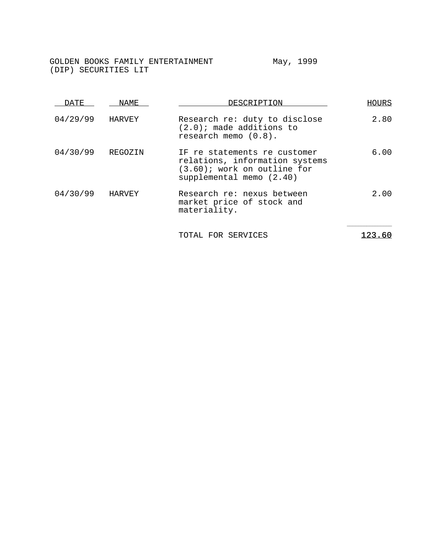| DATE     | NAME    | DESCRIPTION                                                                                                                  | HOURS |
|----------|---------|------------------------------------------------------------------------------------------------------------------------------|-------|
| 04/29/99 | HARVEY  | Research re: duty to disclose<br>$(2.0)$ ; made additions to<br>research memo $(0.8)$ .                                      | 2.80  |
| 04/30/99 | REGOZIN | IF re statements re customer<br>relations, information systems<br>$(3.60)$ ; work on outline for<br>supplemental memo (2.40) | 6.00  |
| 04/30/99 | HARVEY  | Research re: nexus between<br>market price of stock and<br>materiality.                                                      | 2.00  |
|          |         | TOTAL FOR SERVICES                                                                                                           |       |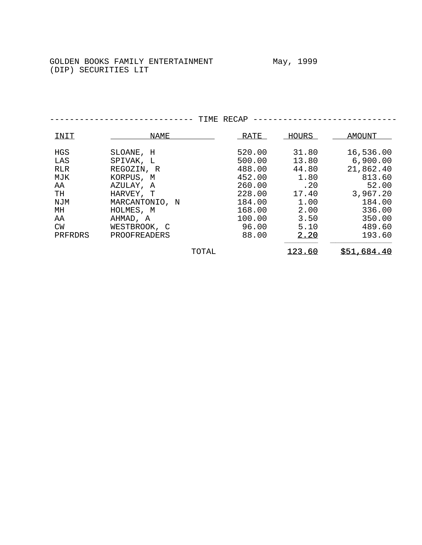$\begin{tabular}{lllllllllll} \multicolumn{2}{l}{} & \multicolumn{2}{l}{} & \multicolumn{2}{l}{} & \multicolumn{2}{l}{} & \multicolumn{2}{l}{} & \multicolumn{2}{l}{} & \multicolumn{2}{l}{} & \multicolumn{2}{l}{} & \multicolumn{2}{l}{} & \multicolumn{2}{l}{} & \multicolumn{2}{l}{} & \multicolumn{2}{l}{} & \multicolumn{2}{l}{} & \multicolumn{2}{l}{} & \multicolumn{2}{l}{} & \multicolumn{2}{l}{} & \multicolumn{2}{l}{} & \multicolumn{2}{l}{} & \multicolumn{2}{l}{}$ HGS SLOANE, H 520.00 31.80 16,536.00 LAS SPIVAK, L 500.00 13.80 6,900.00 RLR REGOZIN, R 488.00 44.80 21,862.40 MJK KORPUS, M 452.00 1.80 813.60 AA AZULAY, A 260.00 .20 52.00 TH HARVEY, T 228.00 17.40 3,967.20 NJM MARCANTONIO, N 184.00 1.00 184.00 MH
MH
HOLMES, M
H
HOLMES, M
168.00
2.00
336.00
350.00
AA
NH
MH
AHMAD, A
100.00
3.50
350.00
<br>
CW
WESTBROOK, C
96.00
5.10
489.60 AA AHMAD, A 100.00 3.50 350.00<br>
CW WESTBROOK, C 96.00 5.10 489.60 CW WESTBROOK, C 96.00 5.10 489.60 PRFRDRS PROOFREADERS  $90.00$   $2.20$ TOTAL 123.60 \$51,684.40

----------------------------- TIME RECAP -----------------------------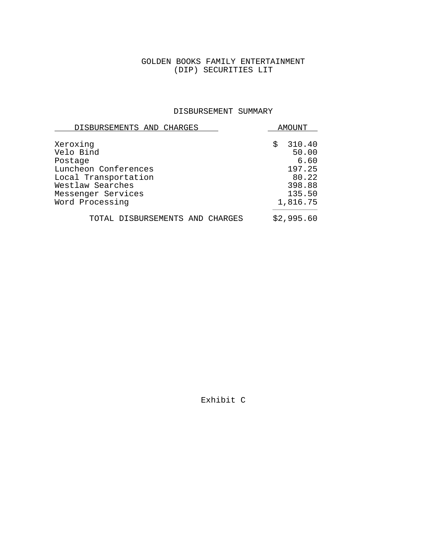#### DISBURSEMENT SUMMARY

| DISBURSEMENTS AND CHARGES                                                                                                                     |    | AMOUNT                                                                     |
|-----------------------------------------------------------------------------------------------------------------------------------------------|----|----------------------------------------------------------------------------|
| Xeroxinq<br>Velo Bind<br>Postage<br>Luncheon Conferences<br>Local Transportation<br>Westlaw Searches<br>Messenger Services<br>Word Processing | Ŝ. | 310.40<br>50.00<br>6.60<br>197.25<br>80.22<br>398.88<br>135.50<br>1,816.75 |
| TOTAL DISBURSEMENTS AND CHARGES                                                                                                               |    | \$2,995.60                                                                 |

Exhibit C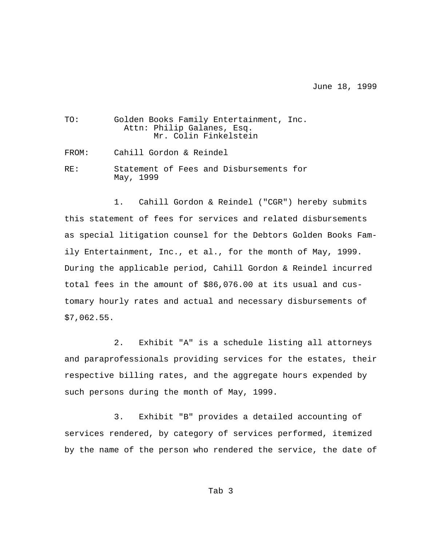June 18, 1999

| TO:   | Golden Books Family Entertainment, Inc.<br>Attn: Philip Galanes, Esq.<br>Mr. Colin Finkelstein |
|-------|------------------------------------------------------------------------------------------------|
| FROM: | Cahill Gordon & Reindel                                                                        |
| RF.:  | Statement of Fees and Disbursements for<br>May, 1999                                           |

1. Cahill Gordon & Reindel ("CGR") hereby submits this statement of fees for services and related disbursements as special litigation counsel for the Debtors Golden Books Family Entertainment, Inc., et al., for the month of May, 1999. During the applicable period, Cahill Gordon & Reindel incurred total fees in the amount of \$86,076.00 at its usual and customary hourly rates and actual and necessary disbursements of \$7,062.55.

2. Exhibit "A" is a schedule listing all attorneys and paraprofessionals providing services for the estates, their respective billing rates, and the aggregate hours expended by such persons during the month of May, 1999.

3. Exhibit "B" provides a detailed accounting of services rendered, by category of services performed, itemized by the name of the person who rendered the service, the date of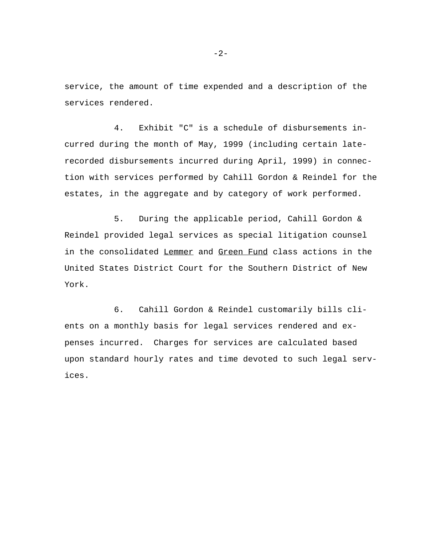service, the amount of time expended and a description of the services rendered.

4. Exhibit "C" is a schedule of disbursements incurred during the month of May, 1999 (including certain laterecorded disbursements incurred during April, 1999) in connection with services performed by Cahill Gordon & Reindel for the estates, in the aggregate and by category of work performed.

5. During the applicable period, Cahill Gordon & Reindel provided legal services as special litigation counsel in the consolidated Lemmer and Green Fund class actions in the United States District Court for the Southern District of New York.

6. Cahill Gordon & Reindel customarily bills clients on a monthly basis for legal services rendered and expenses incurred. Charges for services are calculated based upon standard hourly rates and time devoted to such legal services.

 $-2-$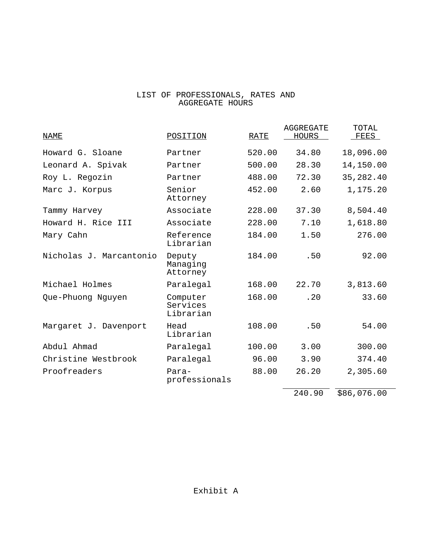#### LIST OF PROFESSIONALS, RATES AND AGGREGATE HOURS

| NAME                    | POSITION                          | <b>RATE</b> | AGGREGATE<br>HOURS   | TOTAL<br>$\_FEES$ |
|-------------------------|-----------------------------------|-------------|----------------------|-------------------|
| Howard G. Sloane        | Partner                           | 520.00      | 34.80                | 18,096.00         |
| Leonard A. Spivak       | Partner                           | 500.00      | 28.30                | 14,150.00         |
| Roy L. Regozin          | Partner                           | 488.00      | 72.30                | 35,282.40         |
| Marc J. Korpus          | Senior<br>Attorney                | 452.00      | 2.60                 | 1,175.20          |
| Tammy Harvey            | Associate                         | 228.00      | 37.30                | 8,504.40          |
| Howard H. Rice III      | Associate                         | 228.00      | 7.10                 | 1,618.80          |
| Mary Cahn               | Reference<br>Librarian            | 184.00      | 1.50                 | 276.00            |
| Nicholas J. Marcantonio | Deputy<br>Managing<br>Attorney    | 184.00      | .50                  | 92.00             |
| Michael Holmes          | Paralegal                         | 168.00      | 22.70                | 3,813.60          |
| Que-Phuong Nguyen       | Computer<br>Services<br>Librarian | 168.00      | .20                  | 33.60             |
| Margaret J. Davenport   | Head<br>Librarian                 | 108.00      | .50                  | 54.00             |
| Abdul Ahmad             | Paralegal                         | 100.00      | 3.00                 | 300.00            |
| Christine Westbrook     | Paralegal                         | 96.00       | 3.90                 | 374.40            |
| Proofreaders            | Para-<br>professionals            | 88.00       | 26.20                | 2,305.60          |
|                         |                                   |             | $\sim$ $\sim$ $\sim$ | $\frac{1}{2}$     |

240.90 \$86,076.00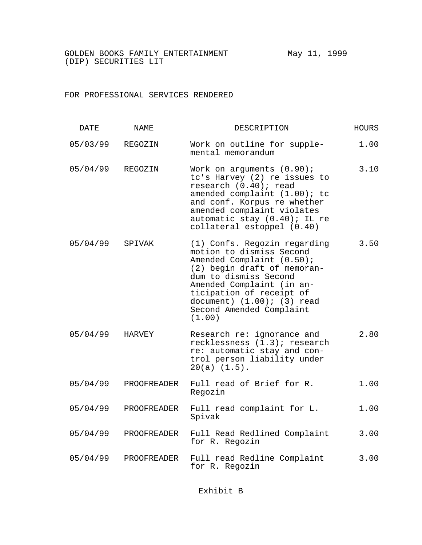#### FOR PROFESSIONAL SERVICES RENDERED

| <b>DATE</b> | NAME        | DESCRIPTION                                                                                                                                                                                                                                                                     | <b>HOURS</b> |
|-------------|-------------|---------------------------------------------------------------------------------------------------------------------------------------------------------------------------------------------------------------------------------------------------------------------------------|--------------|
| 05/03/99    | REGOZIN     | Work on outline for supple-<br>mental memorandum                                                                                                                                                                                                                                | 1.00         |
| 05/04/99    | REGOZIN     | Work on arguments $(0.90)$ ;<br>tc's Harvey (2) re issues to<br>research (0.40); read<br>amended complaint (1.00); tc<br>and conf. Korpus re whether<br>amended complaint violates<br>automatic stay (0.40); IL re<br>collateral estoppel (0.40)                                | 3.10         |
| 05/04/99    | SPIVAK      | (1) Confs. Regozin regarding<br>motion to dismiss Second<br>Amended Complaint (0.50);<br>(2) begin draft of memoran-<br>dum to dismiss Second<br>Amended Complaint (in an-<br>ticipation of receipt of<br>document) $(1.00)$ ; $(3)$ read<br>Second Amended Complaint<br>(1.00) | 3.50         |
| 05/04/99    | HARVEY      | Research re: ignorance and<br>recklessness (1.3); research<br>re: automatic stay and con-<br>trol person liability under<br>$20(a)$ $(1.5)$ .                                                                                                                                   | 2.80         |
| 05/04/99    | PROOFREADER | Full read of Brief for R.<br>Regozin                                                                                                                                                                                                                                            | 1.00         |
| 05/04/99    | PROOFREADER | Full read complaint for L.<br>Spivak                                                                                                                                                                                                                                            | 1.00         |
| 05/04/99    | PROOFREADER | Full Read Redlined Complaint<br>for R. Regozin                                                                                                                                                                                                                                  | 3.00         |
| 05/04/99    | PROOFREADER | Full read Redline Complaint<br>for R. Regozin                                                                                                                                                                                                                                   | 3.00         |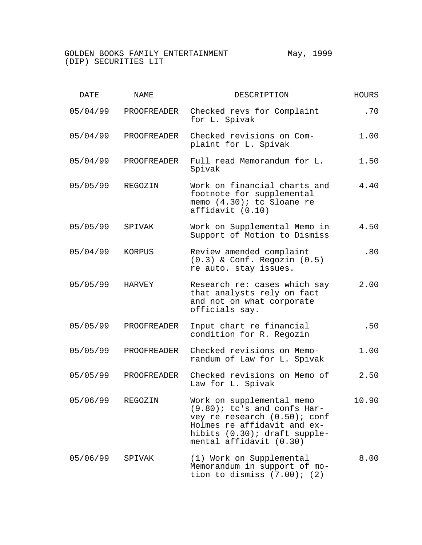| <b>DATE</b> | NAME               | DESCRIPTION                                                                                                                                                                           | HOURS |
|-------------|--------------------|---------------------------------------------------------------------------------------------------------------------------------------------------------------------------------------|-------|
| 05/04/99    | PROOFREADER        | Checked revs for Complaint<br>for L. Spivak                                                                                                                                           | .70   |
| 05/04/99    | PROOFREADER        | Checked revisions on Com-<br>plaint for L. Spivak                                                                                                                                     | 1.00  |
| 05/04/99    | PROOFREADER        | Full read Memorandum for L.<br>Spivak                                                                                                                                                 | 1.50  |
| 05/05/99    | REGOZIN            | Work on financial charts and<br>footnote for supplemental<br>memo (4.30); tc Sloane re<br>affidavit (0.10)                                                                            | 4.40  |
| 05/05/99    | SPIVAK             | Work on Supplemental Memo in<br>Support of Motion to Dismiss                                                                                                                          | 4.50  |
| 05/04/99    | KORPUS             | Review amended complaint<br>$(0.3)$ & Conf. Regozin $(0.5)$<br>re auto. stay issues.                                                                                                  | .80   |
| 05/05/99    | HARVEY             | Research re: cases which say<br>that analysts rely on fact<br>and not on what corporate<br>officials say.                                                                             | 2.00  |
| 05/05/99    | PROOFREADER        | Input chart re financial<br>condition for R. Regozin                                                                                                                                  | .50   |
| 05/05/99    | <b>PROOFREADER</b> | Checked revisions on Memo-<br>randum of Law for L. Spivak                                                                                                                             | 1.00  |
| 05/05/99    | PROOFREADER        | Checked revisions on Memo of<br>Law for L. Spivak                                                                                                                                     | 2.50  |
| 05/06/99    | REGOZIN            | Work on supplemental memo<br>$(9.80)$ ; tc's and confs Har-<br>vey re research (0.50); conf<br>Holmes re affidavit and ex-<br>hibits (0.30); draft supple-<br>mental affidavit (0.30) | 10.90 |
| 05/06/99    | SPIVAK             | (1) Work on Supplemental<br>Memorandum in support of mo-<br>tion to dismiss $(7.00)$ ; $(2)$                                                                                          | 8.00  |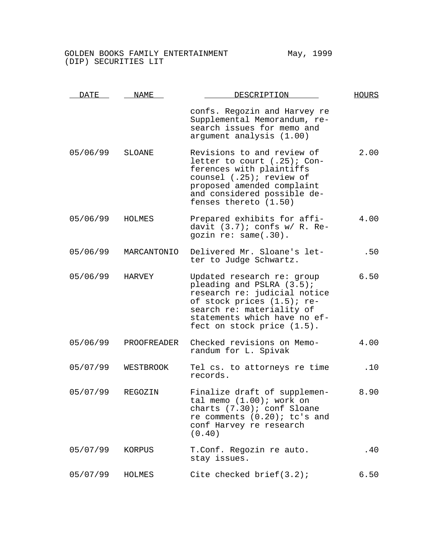| <u>DATE</u> | NAME           | DESCRIPTION                                                                                                                                                                                                      | <b>HOURS</b> |
|-------------|----------------|------------------------------------------------------------------------------------------------------------------------------------------------------------------------------------------------------------------|--------------|
|             |                | confs. Regozin and Harvey re<br>Supplemental Memorandum, re-<br>search issues for memo and<br>argument analysis (1.00)                                                                                           |              |
| 05/06/99    | <b>SLOANE</b>  | Revisions to and review of<br>letter to court $(.25)$ ; Con-<br>ferences with plaintiffs<br>counsel (.25); review of<br>proposed amended complaint<br>and considered possible de-<br>fenses thereto (1.50)       | 2.00         |
| 05/06/99    | HOLMES         | Prepared exhibits for affi-<br>davit $(3.7)$ ; confs w/ R. Re-<br>gozin re: same(.30).                                                                                                                           | 4.00         |
| 05/06/99    | MARCANTONIO    | Delivered Mr. Sloane's let-<br>ter to Judge Schwartz.                                                                                                                                                            | .50          |
| 05/06/99    | HARVEY         | Updated research re: group<br>pleading and PSLRA (3.5);<br>research re: judicial notice<br>of stock prices (1.5); re-<br>search re: materiality of<br>statements which have no ef-<br>fect on stock price (1.5). | 6.50         |
| 05/06/99    | PROOFREADER    | Checked revisions on Memo-<br>randum for L. Spivak                                                                                                                                                               | 4.00         |
| 05/07/99    | WESTBROOK      | Tel cs. to attorneys re time<br>records.                                                                                                                                                                         | .10          |
| 05/07/99    | <b>REGOZIN</b> | Finalize draft of supplemen-<br>tal memo $(1.00)$ ; work on<br>charts (7.30); conf Sloane<br>re comments $(0.20)$ ; tc's and<br>conf Harvey re research<br>(0.40)                                                | 8.90         |
| 05/07/99    | KORPUS         | T.Conf. Regozin re auto.<br>stay issues.                                                                                                                                                                         | .40          |
| 05/07/99    | HOLMES         | Cite checked $brief(3.2)$ ;                                                                                                                                                                                      | 6.50         |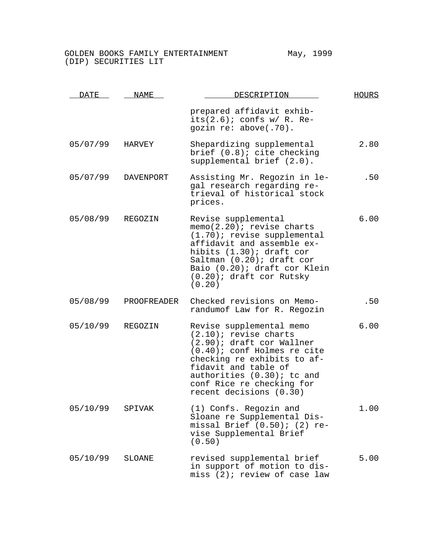| DATE     | NAME             | DESCRIPTION                                                                                                                                                                                                                                                      | <b>HOURS</b> |
|----------|------------------|------------------------------------------------------------------------------------------------------------------------------------------------------------------------------------------------------------------------------------------------------------------|--------------|
|          |                  | prepared affidavit exhib-<br>its $(2.6)$ ; confs w/ R. Re-<br>gozin re: above(.70).                                                                                                                                                                              |              |
| 05/07/99 | HARVEY           | Shepardizing supplemental<br>brief $(0.8)$ ; cite checking<br>supplemental brief (2.0).                                                                                                                                                                          | 2.80         |
| 05/07/99 | <b>DAVENPORT</b> | Assisting Mr. Regozin in le-<br>gal research regarding re-<br>trieval of historical stock<br>prices.                                                                                                                                                             | .50          |
| 05/08/99 | REGOZIN          | Revise supplemental<br>memo(2.20); revise charts<br>(1.70); revise supplemental<br>affidavit and assemble ex-<br>hibits (1.30); draft cor<br>Saltman (0.20); draft cor<br>Baio (0.20); draft cor Klein<br>$(0.20)$ ; draft cor Rutsky<br>(0.20)                  | 6.00         |
| 05/08/99 | PROOFREADER      | Checked revisions on Memo-<br>randumof Law for R. Regozin                                                                                                                                                                                                        | .50          |
| 05/10/99 | REGOZIN          | Revise supplemental memo<br>$(2.10)$ ; revise charts<br>(2.90); draft cor Wallner<br>$(0.40)$ ; conf Holmes re cite<br>checking re exhibits to af-<br>fidavit and table of<br>authorities (0.30); tc and<br>conf Rice re checking for<br>recent decisions (0.30) | 6.00         |
| 05/10/99 | SPIVAK           | (1) Confs. Regozin and<br>Sloane re Supplemental Dis-<br>missal Brief $(0.50)$ ; (2) re-<br>vise Supplemental Brief<br>(0.50)                                                                                                                                    | 1.00         |
| 05/10/99 | SLOANE           | revised supplemental brief<br>in support of motion to dis-<br>miss (2); review of case law                                                                                                                                                                       | 5.00         |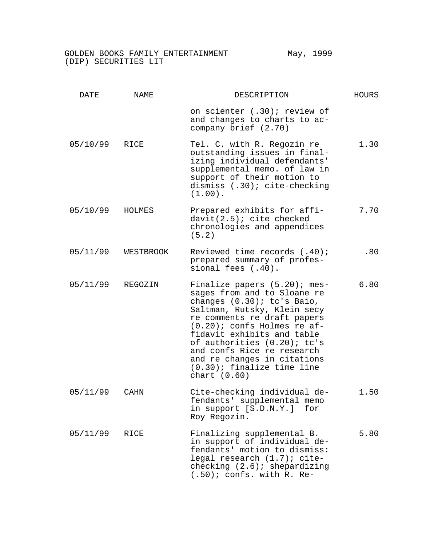| DATE     | <b>NAME</b> | DESCRIPTION                                                                                                                                                                                                                                                                                                                                                            | <b>HOURS</b> |
|----------|-------------|------------------------------------------------------------------------------------------------------------------------------------------------------------------------------------------------------------------------------------------------------------------------------------------------------------------------------------------------------------------------|--------------|
|          |             | on scienter (.30); review of<br>and changes to charts to ac-<br>company brief (2.70)                                                                                                                                                                                                                                                                                   |              |
| 05/10/99 | RICE        | Tel. C. with R. Regozin re<br>outstanding issues in final-<br>izing individual defendants'<br>supplemental memo. of law in<br>support of their motion to<br>dismiss (.30); cite-checking<br>$(1.00)$ .                                                                                                                                                                 | 1.30         |
| 05/10/99 | HOLMES      | Prepared exhibits for affi-<br>$davit(2.5)$ ; cite checked<br>chronologies and appendices<br>(5.2)                                                                                                                                                                                                                                                                     | 7.70         |
| 05/11/99 | WESTBROOK   | Reviewed time records (.40);<br>prepared summary of profes-<br>sional fees (.40).                                                                                                                                                                                                                                                                                      | .80          |
| 05/11/99 | REGOZIN     | Finalize papers (5.20); mes-<br>sages from and to Sloane re<br>changes (0.30); tc's Baio,<br>Saltman, Rutsky, Klein secy<br>re comments re draft papers<br>$(0.20)$ ; confs Holmes re af-<br>fidavit exhibits and table<br>of authorities (0.20); tc's<br>and confs Rice re research<br>and re changes in citations<br>$(0.30)$ ; finalize time line<br>chart $(0.60)$ | 6.80         |
| 05/11/99 | CAHN        | Cite-checking individual de-<br>fendants' supplemental memo<br>in support [S.D.N.Y.]<br>for<br>Roy Regozin.                                                                                                                                                                                                                                                            | 1.50         |
| 05/11/99 | <b>RICE</b> | Finalizing supplemental B.<br>in support of individual de-<br>fendants' motion to dismiss:<br>legal research (1.7); cite-<br>checking $(2.6)$ ; shepardizing<br>$(.50)$ ; confs. with R. Re-                                                                                                                                                                           | 5.80         |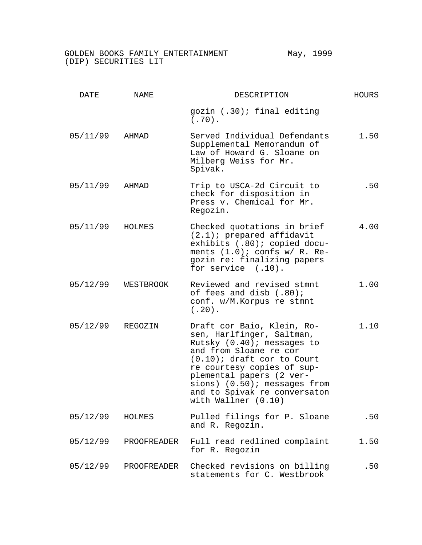| DATE     | NAME        | DESCRIPTION                                                                                                                                                                                                                                                                                          | <b>HOURS</b> |
|----------|-------------|------------------------------------------------------------------------------------------------------------------------------------------------------------------------------------------------------------------------------------------------------------------------------------------------------|--------------|
|          |             | gozin (.30); final editing<br>$(.70)$ .                                                                                                                                                                                                                                                              |              |
| 05/11/99 | AHMAD       | Served Individual Defendants<br>Supplemental Memorandum of<br>Law of Howard G. Sloane on<br>Milberg Weiss for Mr.<br>Spivak.                                                                                                                                                                         | 1.50         |
| 05/11/99 | AHMAD       | Trip to USCA-2d Circuit to<br>check for disposition in<br>Press v. Chemical for Mr.<br>Regozin.                                                                                                                                                                                                      | .50          |
| 05/11/99 | HOLMES      | Checked quotations in brief<br>$(2.1)$ ; prepared affidavit<br>exhibits (.80); copied docu-<br>ments $(1.0)$ ; confs w/ R. Re-<br>gozin re: finalizing papers<br>for service $(.10)$ .                                                                                                               | 4.00         |
| 05/12/99 | WESTBROOK   | Reviewed and revised stmnt<br>of fees and disb (.80);<br>conf. w/M.Korpus re stmnt<br>$(.20)$ .                                                                                                                                                                                                      | 1.00         |
| 05/12/99 | REGOZIN     | Draft cor Baio, Klein, Ro-<br>sen, Harlfinger, Saltman,<br>Rutsky (0.40); messages to<br>and from Sloane re cor<br>$(0.10)$ ; draft cor to Court<br>re courtesy copies of sup-<br>plemental papers (2 ver-<br>sions) $(0.50)$ ; messages from<br>and to Spivak re conversaton<br>with Wallner (0.10) | 1.10         |
| 05/12/99 | HOLMES      | Pulled filings for P. Sloane<br>and R. Regozin.                                                                                                                                                                                                                                                      | .50          |
| 05/12/99 | PROOFREADER | Full read redlined complaint<br>for R. Regozin                                                                                                                                                                                                                                                       | 1.50         |
| 05/12/99 | PROOFREADER | Checked revisions on billing<br>statements for C. Westbrook                                                                                                                                                                                                                                          | .50          |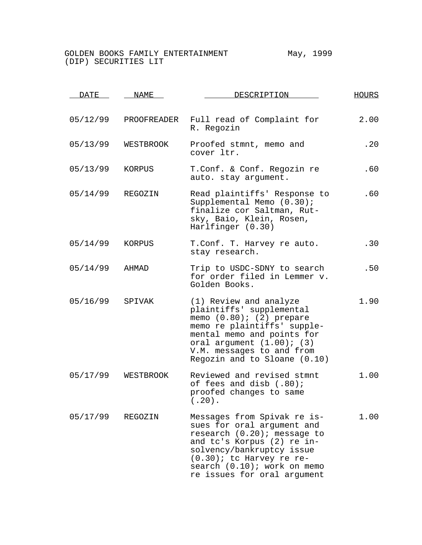| <u>DATE</u> | NAME        | DESCRIPTION                                                                                                                                                                                                                                      | <b>HOURS</b> |
|-------------|-------------|--------------------------------------------------------------------------------------------------------------------------------------------------------------------------------------------------------------------------------------------------|--------------|
| 05/12/99    | PROOFREADER | Full read of Complaint for<br>R. Regozin                                                                                                                                                                                                         | 2.00         |
| 05/13/99    | WESTBROOK   | Proofed stmnt, memo and<br>cover ltr.                                                                                                                                                                                                            | .20          |
| 05/13/99    | KORPUS      | T.Conf. & Conf. Regozin re<br>auto. stay argument.                                                                                                                                                                                               | .60          |
| 05/14/99    | REGOZIN     | Read plaintiffs' Response to<br>Supplemental Memo (0.30);<br>finalize cor Saltman, Rut-<br>sky, Baio, Klein, Rosen,<br>Harlfinger (0.30)                                                                                                         | .60          |
| 05/14/99    | KORPUS      | T.Conf. T. Harvey re auto.<br>stay research.                                                                                                                                                                                                     | .30          |
| 05/14/99    | AHMAD       | Trip to USDC-SDNY to search<br>for order filed in Lemmer v.<br>Golden Books.                                                                                                                                                                     | .50          |
| 05/16/99    | SPIVAK      | (1) Review and analyze<br>plaintiffs' supplemental<br>memo $(0.80)$ ; $(2)$ prepare<br>memo re plaintiffs' supple-<br>mental memo and points for<br>oral argument $(1.00)$ ; $(3)$<br>V.M. messages to and from<br>Regozin and to Sloane (0.10)  | 1.90         |
| 05/17/99    | WESTBROOK   | Reviewed and revised stmnt<br>of fees and disb (.80);<br>proofed changes to same<br>$(.20)$ .                                                                                                                                                    | 1.00         |
| 05/17/99    | REGOZIN     | Messages from Spivak re is-<br>sues for oral argument and<br>research (0.20); message to<br>and tc's Korpus (2) re in-<br>solvency/bankruptcy issue<br>$(0.30)$ ; tc Harvey re re-<br>search (0.10); work on memo<br>re issues for oral argument | 1.00         |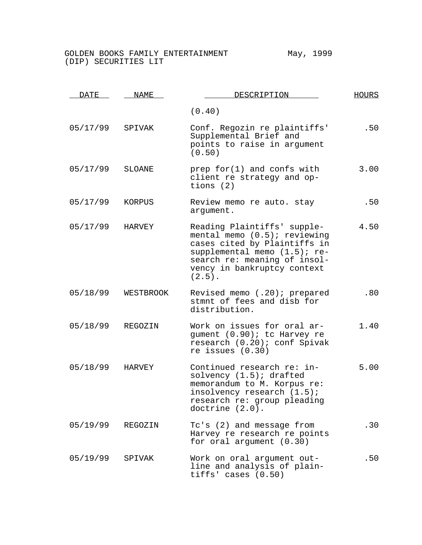| <u>DATE</u> | NAME          | DESCRIPTION                                                                                                                                                                                                | <b>HOURS</b> |
|-------------|---------------|------------------------------------------------------------------------------------------------------------------------------------------------------------------------------------------------------------|--------------|
|             |               | (0.40)                                                                                                                                                                                                     |              |
| 05/17/99    | SPIVAK        | Conf. Regozin re plaintiffs'<br>Supplemental Brief and<br>points to raise in argument<br>(0.50)                                                                                                            | .50          |
| 05/17/99    | SLOANE        | prep $for(1)$ and confs with<br>client re strategy and op-<br>tions $(2)$                                                                                                                                  | 3.00         |
| 05/17/99    | KORPUS        | Review memo re auto. stay<br>argument.                                                                                                                                                                     | .50          |
| 05/17/99    | HARVEY        | Reading Plaintiffs' supple-<br>mental memo $(0.5)$ ; reviewing<br>cases cited by Plaintiffs in<br>supplemental memo (1.5); re-<br>search re: meaning of insol-<br>vency in bankruptcy context<br>$(2.5)$ . | 4.50         |
| 05/18/99    | WESTBROOK     | Revised memo (.20); prepared<br>stmnt of fees and disb for<br>distribution.                                                                                                                                | .80          |
| 05/18/99    | REGOZIN       | Work on issues for oral ar-<br>gument (0.90); tc Harvey re<br>research (0.20); conf Spivak<br>re issues $(0.30)$                                                                                           | 1.40         |
| 05/18/99    | <b>HARVEY</b> | Continued research re: in-<br>solvency $(1.5)$ ; drafted<br>memorandum to M. Korpus re:<br>insolvency research (1.5);<br>research re: group pleading<br>doctrine $(2.0)$ .                                 | 5.00         |
| 05/19/99    | REGOZIN       | Tc's (2) and message from<br>Harvey re research re points<br>for oral argument (0.30)                                                                                                                      | .30          |
| 05/19/99    | SPIVAK        | Work on oral arqument out-<br>line and analysis of plain-<br>tiffs' cases (0.50)                                                                                                                           | .50          |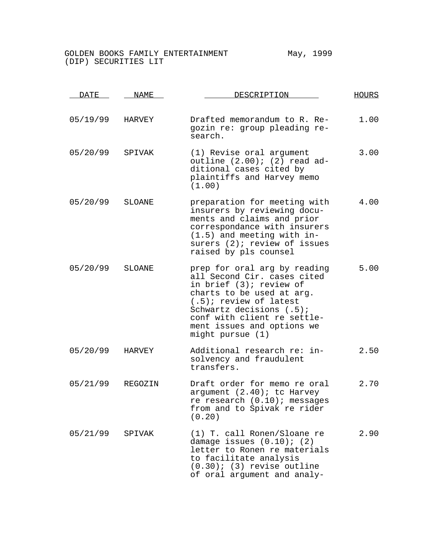| <u>DATE</u> | NAME    | DESCRIPTION                                                                                                                                                                                                                                                   | <b>HOURS</b> |
|-------------|---------|---------------------------------------------------------------------------------------------------------------------------------------------------------------------------------------------------------------------------------------------------------------|--------------|
| 05/19/99    | HARVEY  | Drafted memorandum to R. Re-<br>gozin re: group pleading re-<br>search.                                                                                                                                                                                       | 1.00         |
| 05/20/99    | SPIVAK  | (1) Revise oral argument<br>outline $(2.00)$ ; $(2)$ read ad-<br>ditional cases cited by<br>plaintiffs and Harvey memo<br>(1.00)                                                                                                                              | 3.00         |
| 05/20/99    | SLOANE  | preparation for meeting with<br>insurers by reviewing docu-<br>ments and claims and prior<br>correspondance with insurers<br>$(1.5)$ and meeting with in-<br>surers (2); review of issues<br>raised by pls counsel                                            | 4.00         |
| 05/20/99    | SLOANE  | prep for oral arg by reading<br>all Second Cir. cases cited<br>in brief (3); review of<br>charts to be used at arg.<br>$(.5)$ ; review of latest<br>Schwartz decisions (.5);<br>conf with client re settle-<br>ment issues and options we<br>might pursue (1) | 5.00         |
| 05/20/99    | HARVEY  | Additional research re: in-<br>solvency and fraudulent<br>transfers.                                                                                                                                                                                          | 2.50         |
| 05/21/99    | REGOZIN | Draft order for memo re oral<br>argument (2.40); tc Harvey<br>re research (0.10); messages<br>from and to Spivak re rider<br>(0.20)                                                                                                                           | 2.70         |
| 05/21/99    | SPIVAK  | (1) T. call Ronen/Sloane re<br>damage issues $(0.10)$ ; $(2)$<br>letter to Ronen re materials<br>to facilitate analysis<br>$(0.30)$ ; (3) revise outline<br>of oral argument and analy-                                                                       | 2.90         |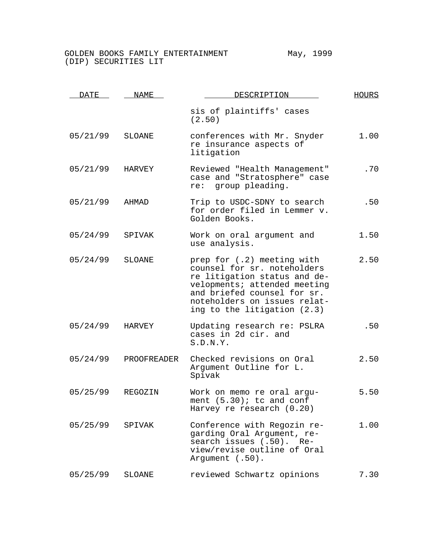| DATE     | NAME        | DESCRIPTION                                                                                                                                                                                                             | <b>HOURS</b> |
|----------|-------------|-------------------------------------------------------------------------------------------------------------------------------------------------------------------------------------------------------------------------|--------------|
|          |             | sis of plaintiffs' cases<br>(2.50)                                                                                                                                                                                      |              |
| 05/21/99 | SLOANE      | conferences with Mr. Snyder<br>re insurance aspects of<br>litigation                                                                                                                                                    | 1.00         |
| 05/21/99 | HARVEY      | Reviewed "Health Management"<br>case and "Stratosphere" case<br>re: group pleading.                                                                                                                                     | .70          |
| 05/21/99 | AHMAD       | Trip to USDC-SDNY to search<br>for order filed in Lemmer v.<br>Golden Books.                                                                                                                                            | .50          |
| 05/24/99 | SPIVAK      | Work on oral argument and<br>use analysis.                                                                                                                                                                              | 1.50         |
| 05/24/99 | SLOANE      | prep for (.2) meeting with<br>counsel for sr. noteholders<br>re litigation status and de-<br>velopments; attended meeting<br>and briefed counsel for sr.<br>noteholders on issues relat-<br>ing to the litigation (2.3) | 2.50         |
| 05/24/99 | HARVEY      | Updating research re: PSLRA<br>cases in 2d cir. and<br>S.D.N.Y.                                                                                                                                                         | .50          |
| 05/24/99 | PROOFREADER | Checked revisions on Oral<br>Argument Outline for L.<br>Spivak                                                                                                                                                          | 2.50         |
| 05/25/99 | REGOZIN     | Work on memo re oral argu-<br>ment $(5.30)$ ; tc and conf<br>Harvey re research (0.20)                                                                                                                                  | 5.50         |
| 05/25/99 | SPIVAK      | Conference with Regozin re-<br>garding Oral Argument, re-<br>search issues (.50). Re-<br>view/revise outline of Oral<br>Argument (.50).                                                                                 | 1.00         |
| 05/25/99 | SLOANE      | reviewed Schwartz opinions                                                                                                                                                                                              | 7.30         |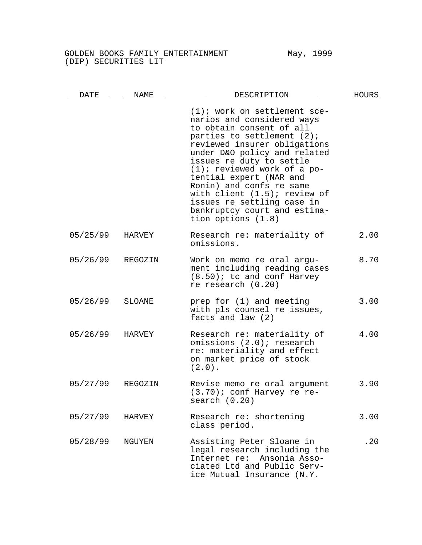| <b>DATE</b> | NAME          | DESCRIPTION                                                                                                                                                                                                                                                                                                                                                                                                                           | <b>HOURS</b> |
|-------------|---------------|---------------------------------------------------------------------------------------------------------------------------------------------------------------------------------------------------------------------------------------------------------------------------------------------------------------------------------------------------------------------------------------------------------------------------------------|--------------|
|             |               | $(1)$ ; work on settlement sce-<br>narios and considered ways<br>to obtain consent of all<br>parties to settlement (2);<br>reviewed insurer obligations<br>under D&O policy and related<br>issues re duty to settle<br>$(1)$ ; reviewed work of a po-<br>tential expert (NAR and<br>Ronin) and confs re same<br>with client $(1.5)$ ; review of<br>issues re settling case in<br>bankruptcy court and estima-<br>tion options $(1.8)$ |              |
| 05/25/99    | HARVEY        | Research re: materiality of<br>omissions.                                                                                                                                                                                                                                                                                                                                                                                             | 2.00         |
| 05/26/99    | REGOZIN       | Work on memo re oral argu-<br>ment including reading cases<br>$(8.50)$ ; tc and conf Harvey<br>re research $(0.20)$                                                                                                                                                                                                                                                                                                                   | 8.70         |
| 05/26/99    | <b>SLOANE</b> | prep for (1) and meeting<br>with pls counsel re issues,<br>facts and law (2)                                                                                                                                                                                                                                                                                                                                                          | 3.00         |
| 05/26/99    | HARVEY        | Research re: materiality of<br>omissions (2.0); research<br>re: materiality and effect<br>on market price of stock<br>$(2.0)$ .                                                                                                                                                                                                                                                                                                       | 4.00         |
| 05/27/99    | REGOZIN       | Revise memo re oral argument<br>(3.70); conf Harvey re re-<br>search(0.20)                                                                                                                                                                                                                                                                                                                                                            | 3.90         |
| 05/27/99    | HARVEY        | Research re: shortening<br>class period.                                                                                                                                                                                                                                                                                                                                                                                              | 3.00         |
| 05/28/99    | NGUYEN        | Assisting Peter Sloane in<br>legal research including the<br>Internet re: Ansonia Asso-<br>ciated Ltd and Public Serv-<br>ice Mutual Insurance (N.Y.                                                                                                                                                                                                                                                                                  | .20          |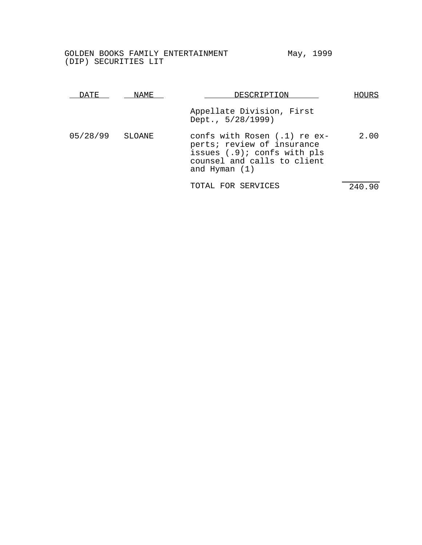| DATE.    | NAME.  | DESCRIPTION                                                                                                                                   | HOURS  |
|----------|--------|-----------------------------------------------------------------------------------------------------------------------------------------------|--------|
|          |        | Appellate Division, First<br>Dept., 5/28/1999)                                                                                                |        |
| 05/28/99 | SLOANE | confs with Rosen $(.1)$ re ex-<br>perts; review of insurance<br>issues (.9); confs with pls<br>counsel and calls to client<br>and Hyman $(1)$ | 2.00   |
|          |        | TOTAL FOR SERVICES                                                                                                                            | 240.90 |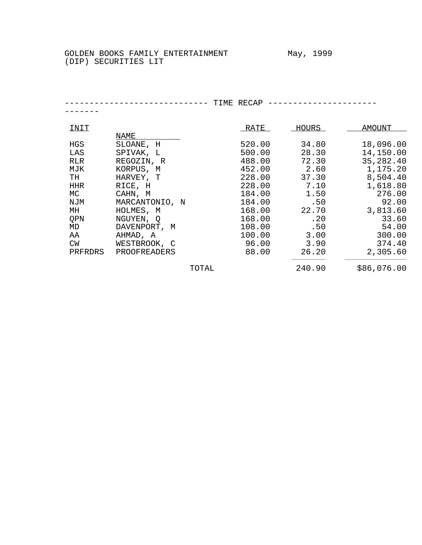--------------------------- TIME RECAP ----------------------------

| INIT      |                | RATE   | <b>HOURS</b> | AMOUNT      |
|-----------|----------------|--------|--------------|-------------|
|           | <u>NAME</u>    |        |              |             |
| HGS       | SLOANE, H      | 520.00 | 34.80        | 18,096.00   |
| LAS       | SPIVAK, L      | 500.00 | 28.30        | 14,150.00   |
| RLR       | REGOZIN, R     | 488.00 | 72.30        | 35,282.40   |
| MJK       | KORPUS, M      | 452.00 | 2.60         | 1,175.20    |
| TH        | HARVEY, T      | 228.00 | 37.30        | 8,504.40    |
| HHR       | RICE, H        | 228.00 | 7.10         | 1,618.80    |
| МC        | CAHN, M        | 184.00 | 1.50         | 276.00      |
| NJM       | MARCANTONIO, N | 184.00 | .50          | 92.00       |
| MH        | HOLMES, M      | 168.00 | 22.70        | 3,813.60    |
| QPN       | NGUYEN, Q      | 168.00 | .20          | 33.60       |
| MD        | DAVENPORT, M   | 108.00 | .50          | 54.00       |
| AA        | AHMAD, A       | 100.00 | 3.00         | 300.00      |
| <b>CW</b> | WESTBROOK, C   | 96.00  | 3.90         | 374.40      |
| PRFRDRS   | PROOFREADERS   | 88.00  | 26.20        | 2,305.60    |
|           |                | TOTAL  | 240.90       | \$86,076.00 |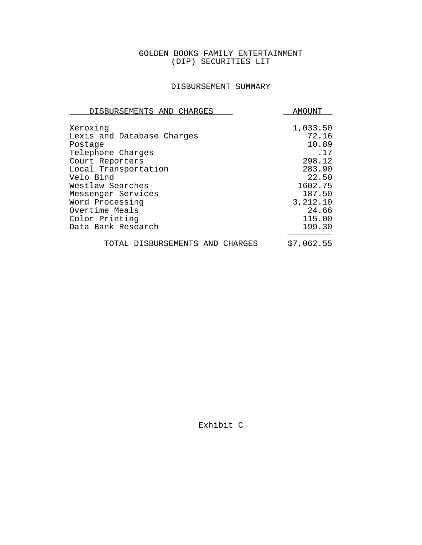# DISBURSEMENT SUMMARY

| DISBURSEMENTS AND CHARGES                         | AMOUNT                     |
|---------------------------------------------------|----------------------------|
| Xeroxinq<br>Lexis and Database Charges<br>Postage | 1,033.50<br>72.16<br>10.89 |
| Telephone Charges                                 | .17                        |
| Court Reporters                                   | 298.12                     |
| Local Transportation                              | 283.90                     |
| Velo Bind                                         | 22.50                      |
| Westlaw Searches                                  | 1602.75                    |
| Messenger Services                                | 187.50                     |
| Word Processing                                   | 3,212.10                   |
| Overtime Meals                                    | 24.66                      |
| Color Printing                                    | 115.00                     |
| Data Bank Research                                | 199.30                     |
| TOTAL DISBURSEMENTS AND CHARGES                   | \$7,062.55                 |

Exhibit C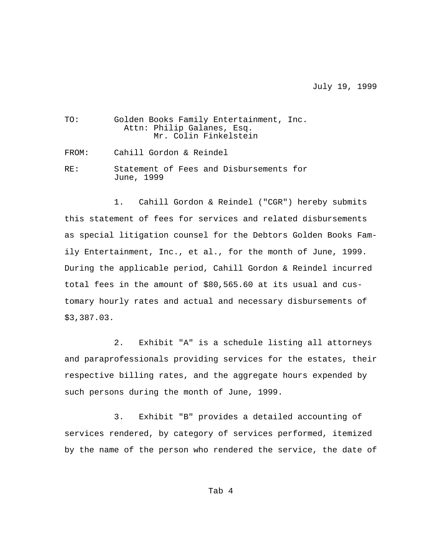July 19, 1999

| TO:   | Golden Books Family Entertainment, Inc.<br>Attn: Philip Galanes, Esq.<br>Mr. Colin Finkelstein |
|-------|------------------------------------------------------------------------------------------------|
| FROM: | Cahill Gordon & Reindel                                                                        |
| RF.:  | Statement of Fees and Disbursements for<br>June, 1999                                          |

1. Cahill Gordon & Reindel ("CGR") hereby submits this statement of fees for services and related disbursements as special litigation counsel for the Debtors Golden Books Family Entertainment, Inc., et al., for the month of June, 1999. During the applicable period, Cahill Gordon & Reindel incurred total fees in the amount of \$80,565.60 at its usual and customary hourly rates and actual and necessary disbursements of \$3,387.03.

2. Exhibit "A" is a schedule listing all attorneys and paraprofessionals providing services for the estates, their respective billing rates, and the aggregate hours expended by such persons during the month of June, 1999.

3. Exhibit "B" provides a detailed accounting of services rendered, by category of services performed, itemized by the name of the person who rendered the service, the date of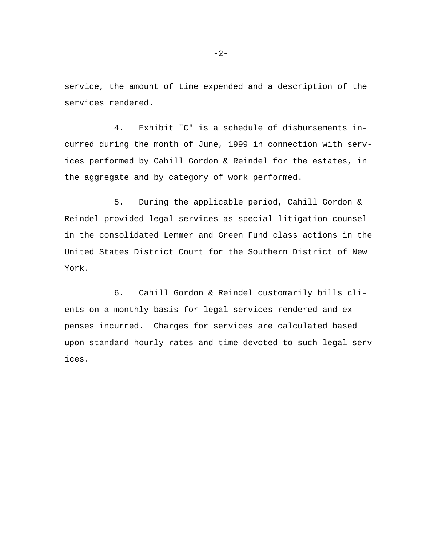service, the amount of time expended and a description of the services rendered.

4. Exhibit "C" is a schedule of disbursements incurred during the month of June, 1999 in connection with services performed by Cahill Gordon & Reindel for the estates, in the aggregate and by category of work performed.

5. During the applicable period, Cahill Gordon & Reindel provided legal services as special litigation counsel in the consolidated Lemmer and Green Fund class actions in the United States District Court for the Southern District of New York.

6. Cahill Gordon & Reindel customarily bills clients on a monthly basis for legal services rendered and expenses incurred. Charges for services are calculated based upon standard hourly rates and time devoted to such legal services.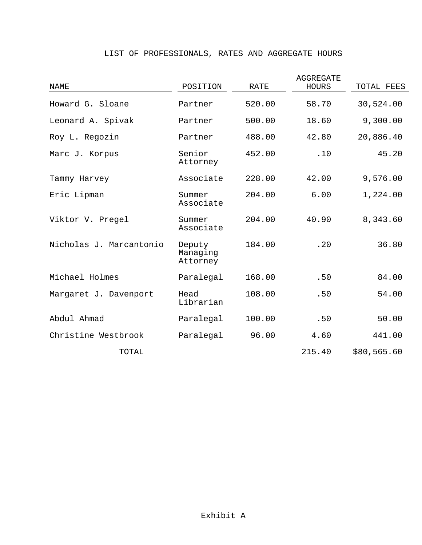# LIST OF PROFESSIONALS, RATES AND AGGREGATE HOURS

| NAME                    | POSITION                       | RATE   | AGGREGATE<br><b>HOURS</b> | TOTAL FEES  |
|-------------------------|--------------------------------|--------|---------------------------|-------------|
| Howard G. Sloane        | Partner                        | 520.00 | 58.70                     | 30,524.00   |
| Leonard A. Spivak       | Partner                        | 500.00 | 18.60                     | 9,300.00    |
| Roy L. Regozin          | Partner                        | 488.00 | 42.80                     | 20,886.40   |
| Marc J. Korpus          | Senior<br>Attorney             | 452.00 | .10                       | 45.20       |
| Tammy Harvey            | Associate                      | 228.00 | 42.00                     | 9,576.00    |
| Eric Lipman             | Summer<br>Associate            | 204.00 | 6.00                      | 1,224.00    |
| Viktor V. Pregel        | Summer<br>Associate            | 204.00 | 40.90                     | 8,343.60    |
| Nicholas J. Marcantonio | Deputy<br>Managing<br>Attorney | 184.00 | .20                       | 36.80       |
| Michael Holmes          | Paralegal                      | 168.00 | .50                       | 84.00       |
| Margaret J. Davenport   | Head<br>Librarian              | 108.00 | .50                       | 54.00       |
| Abdul Ahmad             | Paralegal                      | 100.00 | .50                       | 50.00       |
| Christine Westbrook     | Paralegal                      | 96.00  | 4.60                      | 441.00      |
| TOTAL                   |                                |        | 215.40                    | \$80,565.60 |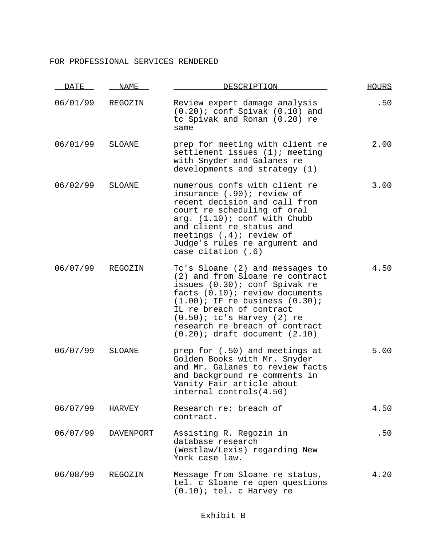#### FOR PROFESSIONAL SERVICES RENDERED

| <u>DATE</u> | NAME             | DESCRIPTION                                                                                                                                                                                                                                                                                                          | <b>HOURS</b> |
|-------------|------------------|----------------------------------------------------------------------------------------------------------------------------------------------------------------------------------------------------------------------------------------------------------------------------------------------------------------------|--------------|
| 06/01/99    | REGOZIN          | Review expert damage analysis<br>$(0.20)$ ; conf Spivak $(0.10)$ and<br>tc Spivak and Ronan (0.20) re<br>same                                                                                                                                                                                                        | .50          |
| 06/01/99    | <b>SLOANE</b>    | prep for meeting with client re<br>settlement issues $(1)$ ; meeting<br>with Snyder and Galanes re<br>developments and strategy (1)                                                                                                                                                                                  | 2.00         |
| 06/02/99    | <b>SLOANE</b>    | numerous confs with client re<br>insurance (.90); review of<br>recent decision and call from<br>court re scheduling of oral<br>arg. $(1.10)$ ; conf with Chubb<br>and client re status and<br>meetings $(.4)$ ; review of<br>Judge's rules re argument and<br>case citation $(.6)$                                   | 3.00         |
| 06/07/99    | REGOZIN          | Tc's Sloane (2) and messages to<br>(2) and from Sloane re contract<br>issues (0.30); conf Spivak re<br>facts (0.10); review documents<br>$(1.00)$ ; IF re business $(0.30)$ ;<br>IL re breach of contract<br>$(0.50)$ ; tc's Harvey $(2)$ re<br>research re breach of contract<br>$(0.20)$ ; draft document $(2.10)$ | 4.50         |
| 06/07/99    | SLOANE           | prep for (.50) and meetings at<br>Golden Books with Mr. Snyder<br>and Mr. Galanes to review facts<br>and background re comments in<br>Vanity Fair article about<br>internal controls(4.50)                                                                                                                           | 5.00         |
| 06/07/99    | HARVEY           | Research re: breach of<br>contract.                                                                                                                                                                                                                                                                                  | 4.50         |
| 06/07/99    | <b>DAVENPORT</b> | Assisting R. Regozin in<br>database research<br>(Westlaw/Lexis) regarding New<br>York case law.                                                                                                                                                                                                                      | .50          |
| 06/08/99    | REGOZIN          | Message from Sloane re status,<br>tel. c Sloane re open questions<br>$(0.10)$ ; tel. c Harvey re                                                                                                                                                                                                                     | 4.20         |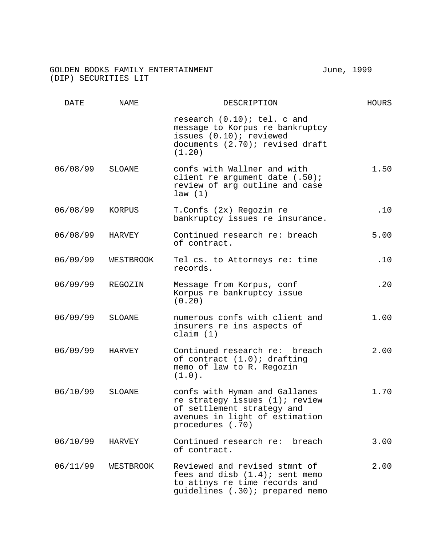# GOLDEN BOOKS FAMILY ENTERTAINMENT **FAMILY SETTER SETTER SETTER** THE STATE STATE STATE STATE STATE STATE STATE STATE STATE STATE STATE STATE STATE STATE STATE STATE STATE STATE STATE STATE STATE STATE STATE STATE STATE ST (DIP) SECURITIES LIT

| <b>DATE</b> | NAME      | DESCRIPTION                                                                                                                                         | <b>HOURS</b> |
|-------------|-----------|-----------------------------------------------------------------------------------------------------------------------------------------------------|--------------|
|             |           | research (0.10); tel. c and<br>message to Korpus re bankruptcy<br>issues (0.10); reviewed<br>documents (2.70); revised draft<br>(1.20)              |              |
| 06/08/99    | SLOANE    | confs with Wallner and with<br>client re argument date (.50);<br>review of arg outline and case<br>law(1)                                           | 1.50         |
| 06/08/99    | KORPUS    | T.Confs (2x) Regozin re<br>bankruptcy issues re insurance.                                                                                          | .10          |
| 06/08/99    | HARVEY    | Continued research re: breach<br>of contract.                                                                                                       | 5.00         |
| 06/09/99    | WESTBROOK | Tel cs. to Attorneys re: time<br>records.                                                                                                           | .10          |
| 06/09/99    | REGOZIN   | Message from Korpus, conf<br>Korpus re bankruptcy issue<br>(0.20)                                                                                   | .20          |
| 06/09/99    | SLOANE    | numerous confs with client and<br>insurers re ins aspects of<br>claim $(1)$                                                                         | 1.00         |
| 06/09/99    | HARVEY    | Continued research re: breach<br>of contract $(1.0)$ ; drafting<br>memo of law to R. Regozin<br>$(1.0)$ .                                           | 2.00         |
| 06/10/99    | SLOANE    | confs with Hyman and Gallanes<br>re strategy issues (1); review<br>of settlement strategy and<br>avenues in light of estimation<br>procedures (.70) | 1.70         |
| 06/10/99    | HARVEY    | Continued research re:<br>breach<br>of contract.                                                                                                    | 3.00         |
| 06/11/99    | WESTBROOK | Reviewed and revised stmnt of<br>fees and disb $(1.4)$ ; sent memo<br>to attnys re time records and<br>quidelines (.30); prepared memo              | 2.00         |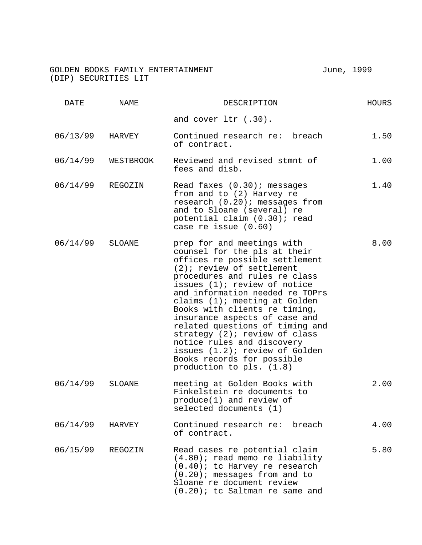#### GOLDEN BOOKS FAMILY ENTERTAINMENT **FACIL ENGLANDING** Tune, 1999 (DIP) SECURITIES LIT

DATE NAME NESCRIPTION DESCRIPTION and cover ltr (.30). 06/13/99 HARVEY Continued research re: breach of contract. 1.50 06/14/99 WESTBROOK Reviewed and revised stmnt of fees and disb. 1.00 06/14/99 REGOZIN Read faxes (0.30); messages from and to (2) Harvey re research (0.20); messages from and to Sloane (several) re potential claim (0.30); read case re issue (0.60) 1.40 06/14/99 SLOANE prep for and meetings with counsel for the pls at their offices re possible settlement (2); review of settlement procedures and rules re class issues (1); review of notice and information needed re TOPrs claims (1); meeting at Golden Books with clients re timing, insurance aspects of case and related questions of timing and strategy<sup>(2);</sup> review of class notice rules and discovery issues (1.2); review of Golden Books records for possible production to pls. (1.8) 8.00 06/14/99 SLOANE meeting at Golden Books with Finkelstein re documents to produce(1) and review of selected documents (1) 2.00 06/14/99 HARVEY Continued research re: breach of contract. 4.00 06/15/99 REGOZIN Read cases re potential claim (4.80); read memo re liability (0.40); tc Harvey re research (0.20); messages from and to Sloane re document review (0.20); tc Saltman re same and 5.80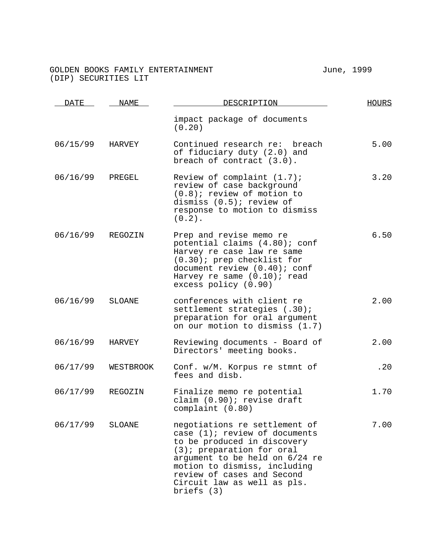# GOLDEN BOOKS FAMILY ENTERTAINMENT **FAMILY SETTER SETTER SETTER** THE STATE STATE STATE STATE STATE STATE STATE STATE STATE STATE STATE STATE STATE STATE STATE STATE STATE STATE STATE STATE STATE STATE STATE STATE STATE ST (DIP) SECURITIES LIT

| DATE     | NAME.     | DESCRIPTION                                                                                                                                                                                                                                                                  | <b>HOURS</b> |
|----------|-----------|------------------------------------------------------------------------------------------------------------------------------------------------------------------------------------------------------------------------------------------------------------------------------|--------------|
|          |           | impact package of documents<br>(0.20)                                                                                                                                                                                                                                        |              |
| 06/15/99 | HARVEY    | Continued research re: breach<br>of fiduciary duty (2.0) and<br>breach of contract $(3.0)$ .                                                                                                                                                                                 | 5.00         |
| 06/16/99 | PREGEL    | Review of complaint $(1.7)$ ;<br>review of case background<br>$(0.8)$ ; review of motion to<br>dismiss $(0.5)$ ; review of<br>response to motion to dismiss<br>$(0.2)$ .                                                                                                     | 3.20         |
| 06/16/99 | REGOZIN   | Prep and revise memo re<br>potential claims (4.80); conf<br>Harvey re case law re same<br>$(0.30)$ ; prep checklist for<br>document review (0.40); conf<br>Harvey re same $(0.10)$ ; read<br>excess policy (0.90)                                                            | 6.50         |
| 06/16/99 | SLOANE    | conferences with client re<br>settlement strategies (.30);<br>preparation for oral argument<br>on our motion to dismiss (1.7)                                                                                                                                                | 2.00         |
| 06/16/99 | HARVEY    | Reviewing documents - Board of<br>Directors' meeting books.                                                                                                                                                                                                                  | 2.00         |
| 06/17/99 | WESTBROOK | Conf. w/M. Korpus re stmnt of<br>fees and disb.                                                                                                                                                                                                                              | .20          |
| 06/17/99 | REGOZIN   | Finalize memo re potential<br>claim (0.90); revise draft<br>complaint (0.80)                                                                                                                                                                                                 | 1.70         |
| 06/17/99 | SLOANE    | negotiations re settlement of<br>case (1); review of documents<br>to be produced in discovery<br>$(3)$ ; preparation for oral<br>argument to be held on 6/24 re<br>motion to dismiss, including<br>review of cases and Second<br>Circuit law as well as pls.<br>briefs $(3)$ | 7.00         |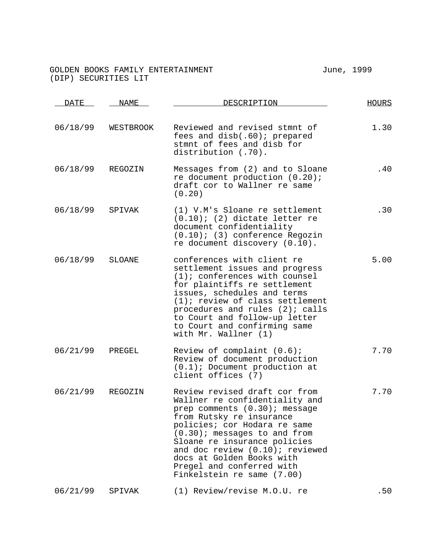#### GOLDEN BOOKS FAMILY ENTERTAINMENT **FACIL ENGLANDING** Tune, 1999 (DIP) SECURITIES LIT

DATE NAME NESCRIPTION DESCRIPTION 06/18/99 WESTBROOK Reviewed and revised stmnt of fees and disb(.60); prepared stmnt of fees and disb for distribution (.70). 1.30 06/18/99 REGOZIN Messages from (2) and to Sloane re document production (0.20); draft cor to Wallner re same (0.20) .40 06/18/99 SPIVAK (1) V.M's Sloane re settlement (0.10); (2) dictate letter re document confidentiality (0.10); (3) conference Regozin re document discovery (0.10). .30 06/18/99 SLOANE conferences with client re settlement issues and progress (1); conferences with counsel for plaintiffs re settlement issues, schedules and terms (1); review of class settlement procedures and rules (2); calls to Court and follow-up letter to Court and confirming same with Mr. Wallner (1) 5.00 06/21/99 PREGEL Review of complaint (0.6); Review of document production (0.1); Document production at client offices (7) 7.70 06/21/99 REGOZIN Review revised draft cor from Wallner re confidentiality and prep comments (0.30); message from Rutsky re insurance policies; cor Hodara re same (0.30); messages to and from Sloane re insurance policies and doc review (0.10); reviewed docs at Golden Books with Pregel and conferred with Finkelstein re same (7.00) 7.70 06/21/99 SPIVAK (1) Review/revise M.O.U. re .50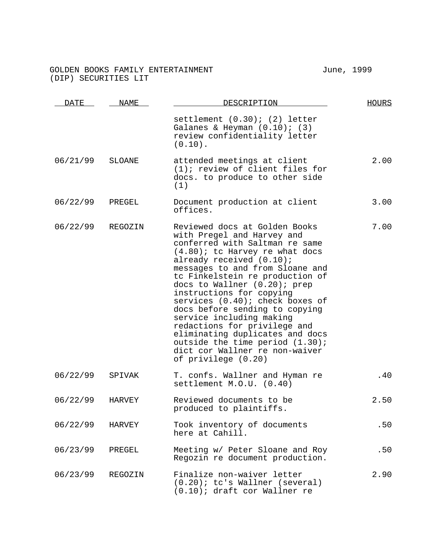# GOLDEN BOOKS FAMILY ENTERTAINMENT **FAMILY SETTER SETTER SETTER** THE STATE STATE STATE STATE STATE STATE STATE STATE STATE STATE STATE STATE STATE STATE STATE STATE STATE STATE STATE STATE STATE STATE STATE STATE STATE ST (DIP) SECURITIES LIT

| DATE     | NAME          | DESCRIPTION                                                                                                                                                                                                                                                                                                                                                                                                                                                                                                                                                      | <b>HOURS</b> |
|----------|---------------|------------------------------------------------------------------------------------------------------------------------------------------------------------------------------------------------------------------------------------------------------------------------------------------------------------------------------------------------------------------------------------------------------------------------------------------------------------------------------------------------------------------------------------------------------------------|--------------|
|          |               | settlement $(0.30)$ ; $(2)$ letter<br>Galanes & Heyman $(0.10)$ ; $(3)$<br>review confidentiality letter<br>$(0.10)$ .                                                                                                                                                                                                                                                                                                                                                                                                                                           |              |
| 06/21/99 | <b>SLOANE</b> | attended meetings at client<br>$(1)$ ; review of client files for<br>docs. to produce to other side<br>(1)                                                                                                                                                                                                                                                                                                                                                                                                                                                       | 2.00         |
| 06/22/99 | PREGEL        | Document production at client<br>offices.                                                                                                                                                                                                                                                                                                                                                                                                                                                                                                                        | 3.00         |
| 06/22/99 | REGOZIN       | Reviewed docs at Golden Books<br>with Pregel and Harvey and<br>conferred with Saltman re same<br>$(4.80)$ ; tc Harvey re what docs<br>already received (0.10);<br>messages to and from Sloane and<br>tc Finkelstein re production of<br>docs to Wallner (0.20); prep<br>instructions for copying<br>services (0.40); check boxes of<br>docs before sending to copying<br>service including making<br>redactions for privilege and<br>eliminating duplicates and docs<br>outside the time period (1.30);<br>dict cor Wallner re non-waiver<br>of privilege (0.20) | 7.00         |
| 06/22/99 | SPIVAK        | T. confs. Wallner and Hyman re<br>settlement M.O.U. (0.40)                                                                                                                                                                                                                                                                                                                                                                                                                                                                                                       | .40          |
| 06/22/99 | <b>HARVEY</b> | Reviewed documents to be<br>produced to plaintiffs.                                                                                                                                                                                                                                                                                                                                                                                                                                                                                                              | 2.50         |
| 06/22/99 | HARVEY        | Took inventory of documents<br>here at Cahill.                                                                                                                                                                                                                                                                                                                                                                                                                                                                                                                   | .50          |
| 06/23/99 | PREGEL        | Meeting w/ Peter Sloane and Roy<br>Regozin re document production.                                                                                                                                                                                                                                                                                                                                                                                                                                                                                               | .50          |
| 06/23/99 | REGOZIN       | Finalize non-waiver letter<br>$(0.20)$ ; tc's Wallner (several)<br>(0.10); draft cor Wallner re                                                                                                                                                                                                                                                                                                                                                                                                                                                                  | 2.90         |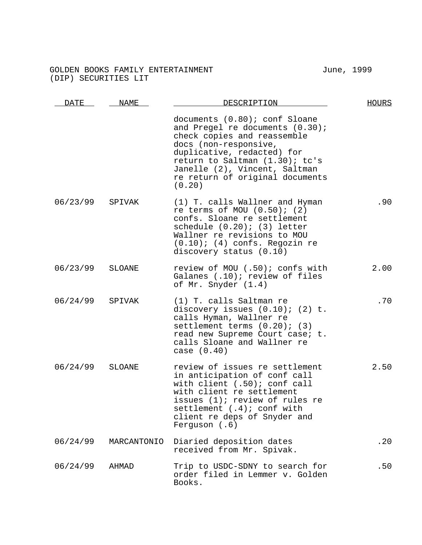# GOLDEN BOOKS FAMILY ENTERTAINMENT **FAMILY SETTER SETTER SETTER** THE STATE STATE STATE STATE STATE STATE STATE STATE STATE STATE STATE STATE STATE STATE STATE STATE STATE STATE STATE STATE STATE STATE STATE STATE STATE ST (DIP) SECURITIES LIT

| <u>DATE</u> | <b>NAME</b>   | DESCRIPTION                                                                                                                                                                                                                                                            | <b>HOURS</b> |
|-------------|---------------|------------------------------------------------------------------------------------------------------------------------------------------------------------------------------------------------------------------------------------------------------------------------|--------------|
|             |               | documents (0.80); conf Sloane<br>and Pregel re documents (0.30);<br>check copies and reassemble<br>docs (non-responsive,<br>duplicative, redacted) for<br>return to Saltman (1.30); tc's<br>Janelle (2), Vincent, Saltman<br>re return of original documents<br>(0.20) |              |
| 06/23/99    | SPIVAK        | (1) T. calls Wallner and Hyman<br>re terms of MOU $(0.50)$ ; $(2)$<br>confs. Sloane re settlement<br>schedule $(0.20)$ ; $(3)$ letter<br>Wallner re revisions to MOU<br>$(0.10)$ ; (4) confs. Regozin re<br>discovery status (0.10)                                    | .90          |
| 06/23/99    | SLOANE        | review of MOU (.50); confs with<br>Galanes (.10); review of files<br>of Mr. Snyder (1.4)                                                                                                                                                                               | 2.00         |
| 06/24/99    | SPIVAK        | (1) T. calls Saltman re<br>discovery issues $(0.10)$ ;<br>$(2)$ t.<br>calls Hyman, Wallner re<br>settlement terms $(0.20)$ ; $(3)$<br>read new Supreme Court case; t.<br>calls Sloane and Wallner re<br>case $(0.40)$                                                  | .70          |
| 06/24/99    | <b>SLOANE</b> | review of issues re settlement<br>in anticipation of conf call<br>with client (.50); conf call<br>with client re settlement<br>issues (1); review of rules re<br>settlement $(.4)$ ; conf with<br>client re deps of Snyder and<br>Ferguson $(.6)$                      | 2.50         |
| 06/24/99    | MARCANTONIO   | Diaried deposition dates<br>received from Mr. Spivak.                                                                                                                                                                                                                  | .20          |
| 06/24/99    | AHMAD         | Trip to USDC-SDNY to search for<br>order filed in Lemmer v. Golden<br>Books.                                                                                                                                                                                           | .50          |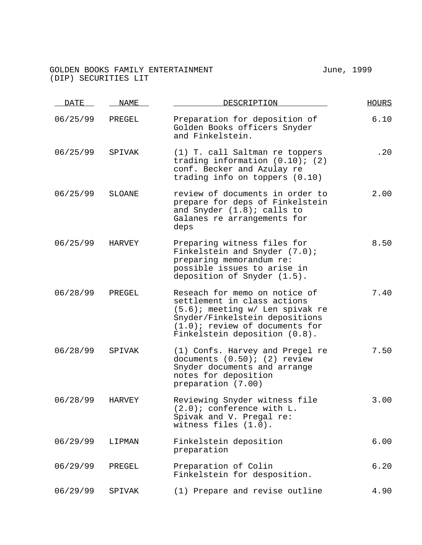## GOLDEN BOOKS FAMILY ENTERTAINMENT **FAMILY**  $\overline{J}$  June, 1999 (DIP) SECURITIES LIT

| DATE     | NAME   | DESCRIPTION                                                                                                                                                                                             | <b>HOURS</b> |
|----------|--------|---------------------------------------------------------------------------------------------------------------------------------------------------------------------------------------------------------|--------------|
| 06/25/99 | PREGEL | Preparation for deposition of<br>Golden Books officers Snyder<br>and Finkelstein.                                                                                                                       | 6.10         |
| 06/25/99 | SPIVAK | (1) T. call Saltman re toppers<br>trading information $(0.10)$ ; $(2)$<br>conf. Becker and Azulay re<br>trading info on toppers $(0.10)$                                                                | .20          |
| 06/25/99 | SLOANE | review of documents in order to<br>prepare for deps of Finkelstein<br>and Snyder $(1.8)$ ; calls to<br>Galanes re arrangements for<br>deps                                                              | 2.00         |
| 06/25/99 | HARVEY | Preparing witness files for<br>Finkelstein and Snyder (7.0);<br>preparing memorandum re:<br>possible issues to arise in<br>deposition of Snyder (1.5).                                                  | 8.50         |
| 06/28/99 | PREGEL | Reseach for memo on notice of<br>settlement in class actions<br>(5.6); meeting w/ Len spivak re<br>Snyder/Finkelstein depositions<br>$(1.0)$ ; review of documents for<br>Finkelstein deposition (0.8). | 7.40         |
| 06/28/99 | SPIVAK | (1) Confs. Harvey and Pregel re<br>documents $(0.50)$ ; $(2)$ review<br>Snyder documents and arrange<br>notes for deposition<br>preparation (7.00)                                                      | 7.50         |
| 06/28/99 | HARVEY | Reviewing Snyder witness file<br>$(2.0)$ ; conference with L.<br>Spivak and V. Pregal re:<br>witness files (1.0).                                                                                       | 3.00         |
| 06/29/99 | LIPMAN | Finkelstein deposition<br>preparation                                                                                                                                                                   | 6.00         |
| 06/29/99 | PREGEL | Preparation of Colin<br>Finkelstein for desposition.                                                                                                                                                    | 6.20         |
| 06/29/99 | SPIVAK | (1) Prepare and revise outline                                                                                                                                                                          | 4.90         |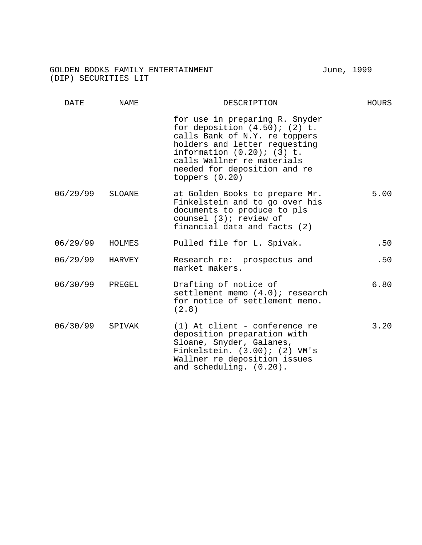## GOLDEN BOOKS FAMILY ENTERTAINMENT **FACIL ENGLAND SETTER** TURNEY June, 1999 (DIP) SECURITIES LIT

DATE NAME NESCRIPTION DESCRIPTION for use in preparing R. Snyder for deposition  $(4.50)$ ;  $(2)$  t. calls Bank of N.Y. re toppers holders and letter requesting information (0.20); (3) t. calls Wallner re materials needed for deposition and re toppers (0.20) 06/29/99 SLOANE at Golden Books to prepare Mr. Finkelstein and to go over his documents to produce to pls counsel (3); review of financial data and facts (2) 5.00 06/29/99 HOLMES Pulled file for L. Spivak. .50 06/29/99 HARVEY Research re: prospectus and market makers. .50 06/30/99 PREGEL Drafting of notice of settlement memo (4.0); research for notice of settlement memo. (2.8) 6.80 06/30/99 SPIVAK (1) At client - conference re deposition preparation with Sloane, Snyder, Galanes, Finkelstein. (3.00); (2) VM's Wallner re deposition issues and scheduling. (0.20). 3.20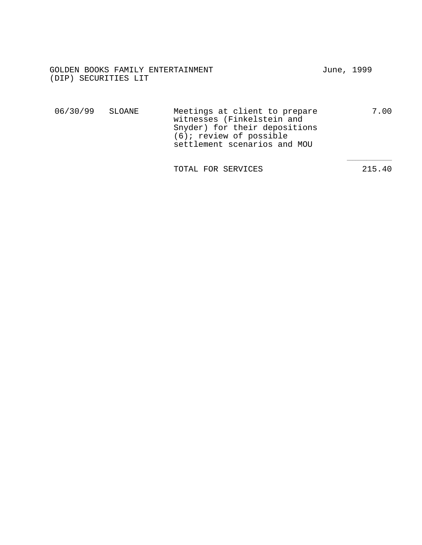| GOLDEN BOOKS FAMILY ENTERTAINMENT | June, 1999 |  |
|-----------------------------------|------------|--|
| (DIP) SECURITIES LIT              |            |  |

| 06/30/99 SLOANE | Meetings at client to prepare | 7.00 |
|-----------------|-------------------------------|------|
|                 | witnesses (Finkelstein and    |      |
|                 | Snyder) for their depositions |      |
|                 | $(6)$ ; review of possible    |      |
|                 | settlement scenarios and MOU  |      |

TOTAL FOR SERVICES 215.40

 $\overline{\phantom{a}}$  , where  $\overline{\phantom{a}}$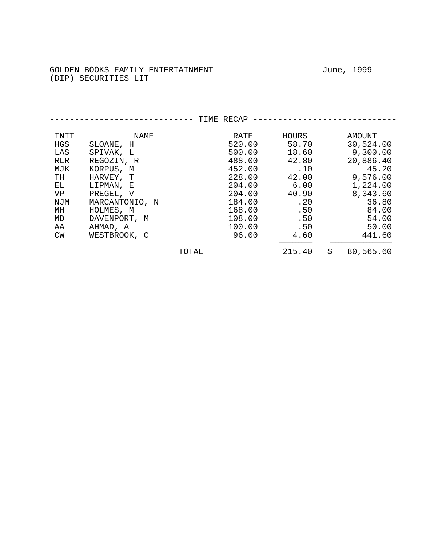----------------------------- TIME RECAP -----------------------------  $\begin{array}{cccc}\n\text{INIT} & \text{NAME} & \text{RATE} & \text{HOURS} & \text{AMOUT} \\
\text{HGS} & \text{SLOANE} & \text{H} & \text{S20.00} & \text{S30.70} & \text{S0,524.00} \\
\end{array}$ SLOANE, H
520.00 58.70 30,524.00<br>
SPIVAK, L
500.00 18.60 9,300.00 LAS SPIVAK, L<br>RLR REGOZIN, R<br>488.00 42.80 20,886.40 RLR REGOZIN, R 488.00 42.80 20,886.40<br>MJK KORPUS, M 452.00 .10 45.20 MJK KORPUS, M<br>TH HARVEY, T 228.00 42.00 9,576.00 TH HARVEY, T<br>
EL LIPMAN, E 204.00 6.00 1,224.00 EL LIPMAN, E 204.00 6.00 1,224.00 VP PREGEL, V 204.00 40.90 8,343.60<br>NJM MARCANTONIO, N 184.00 .20 36.80 NJM MARCANTONIO, N 184.00 .20 36.80 MH HOLMES, M 168.00 .50 84.00 MD DAVENPORT, M 108.00 .50 54.00<br>AA AHMAD, A 100.00 .50 50.00 AA AHMAD, A 100.00 .50 50.00 CW WESTBROOK, C  $\frac{1}{2}$  ,  $\frac{1}{2}$  ,  $\frac{1}{2}$  ,  $\frac{1}{2}$  ,  $\frac{1}{2}$  ,  $\frac{1}{2}$  ,  $\frac{1}{2}$  ,  $\frac{1}{2}$  ,  $\frac{1}{2}$  ,  $\frac{1}{2}$  ,  $\frac{1}{2}$  ,  $\frac{1}{2}$  ,  $\frac{1}{2}$  ,  $\frac{1}{2}$  ,  $\frac{1}{2}$  ,  $\frac{1}{2}$  ,  $\frac{1}{2}$  ,  $\frac{1}{2}$  ,  $\frac{1$ TOTAL 215.40 \$ 80,565.60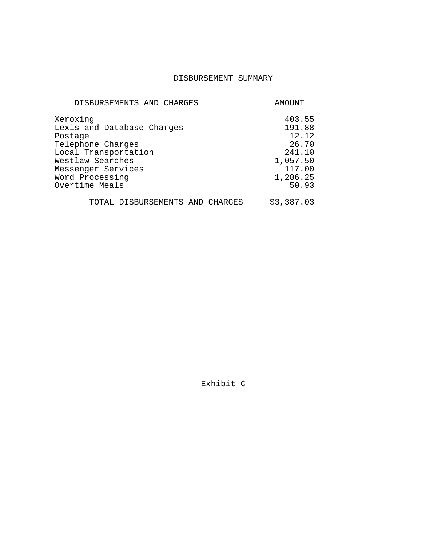## DISBURSEMENT SUMMARY

| DISBURSEMENTS AND CHARGES       | AMOUNT     |
|---------------------------------|------------|
| Xeroxinq                        | 403.55     |
| Lexis and Database Charges      | 191.88     |
| Postage                         | 12.12      |
| Telephone Charges               | 26.70      |
| Local Transportation            | 241.10     |
| Westlaw Searches                | 1,057.50   |
| Messenger Services              | 117.00     |
| Word Processing                 | 1,286.25   |
| Overtime Meals                  | 50.93      |
| TOTAL DISBURSEMENTS AND CHARGES | \$3,387.03 |

Exhibit C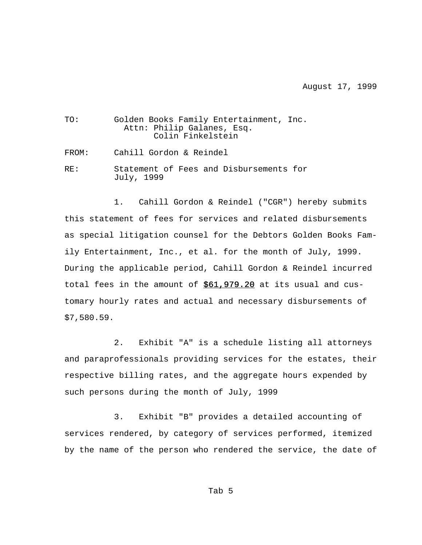August 17, 1999

| TO:   | Golden Books Family Entertainment, Inc.<br>Attn: Philip Galanes, Esq.<br>Colin Finkelstein |
|-------|--------------------------------------------------------------------------------------------|
| FROM: | Cahill Gordon & Reindel                                                                    |
| RF.:  | Statement of Fees and Disbursements for<br>July, 1999                                      |

1. Cahill Gordon & Reindel ("CGR") hereby submits this statement of fees for services and related disbursements as special litigation counsel for the Debtors Golden Books Family Entertainment, Inc., et al. for the month of July, 1999. During the applicable period, Cahill Gordon & Reindel incurred total fees in the amount of  $$61,979.20$  at its usual and customary hourly rates and actual and necessary disbursements of \$7,580.59.

2. Exhibit "A" is a schedule listing all attorneys and paraprofessionals providing services for the estates, their respective billing rates, and the aggregate hours expended by such persons during the month of July, 1999

3. Exhibit "B" provides a detailed accounting of services rendered, by category of services performed, itemized by the name of the person who rendered the service, the date of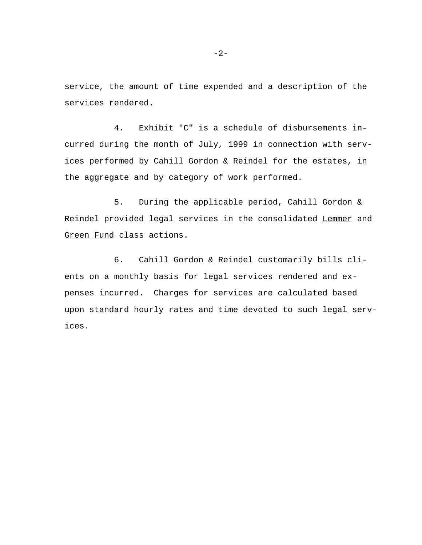service, the amount of time expended and a description of the services rendered.

4. Exhibit "C" is a schedule of disbursements incurred during the month of July, 1999 in connection with services performed by Cahill Gordon & Reindel for the estates, in the aggregate and by category of work performed.

5. During the applicable period, Cahill Gordon & Reindel provided legal services in the consolidated Lemmer and Green Fund class actions.

6. Cahill Gordon & Reindel customarily bills clients on a monthly basis for legal services rendered and expenses incurred. Charges for services are calculated based upon standard hourly rates and time devoted to such legal services.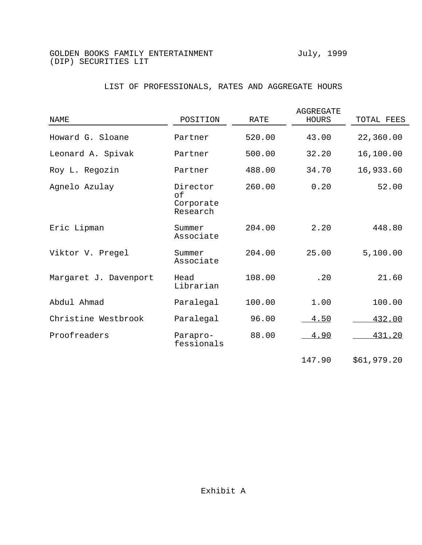# LIST OF PROFESSIONALS, RATES AND AGGREGATE HOURS

| NAME                  | POSITION                                | RATE   | AGGREGATE<br>HOURS | TOTAL FEES  |
|-----------------------|-----------------------------------------|--------|--------------------|-------------|
| Howard G. Sloane      | Partner                                 | 520.00 | 43.00              | 22,360.00   |
| Leonard A. Spivak     | Partner                                 | 500.00 | 32.20              | 16,100.00   |
| Roy L. Regozin        | Partner                                 | 488.00 | 34.70              | 16,933.60   |
| Agnelo Azulay         | Director<br>of<br>Corporate<br>Research | 260.00 | 0.20               | 52.00       |
| Eric Lipman           | Summer<br>Associate                     | 204.00 | 2.20               | 448.80      |
| Viktor V. Pregel      | Summer<br>Associate                     | 204.00 | 25.00              | 5,100.00    |
| Margaret J. Davenport | Head<br>Librarian                       | 108.00 | .20                | 21.60       |
| Abdul Ahmad           | Paralegal                               | 100.00 | 1.00               | 100.00      |
| Christine Westbrook   | Paralegal                               | 96.00  | 4.50               | 432.00      |
| Proofreaders          | Parapro-<br>fessionals                  | 88.00  | 4.90               | 431.20      |
|                       |                                         |        | 147.90             | \$61,979.20 |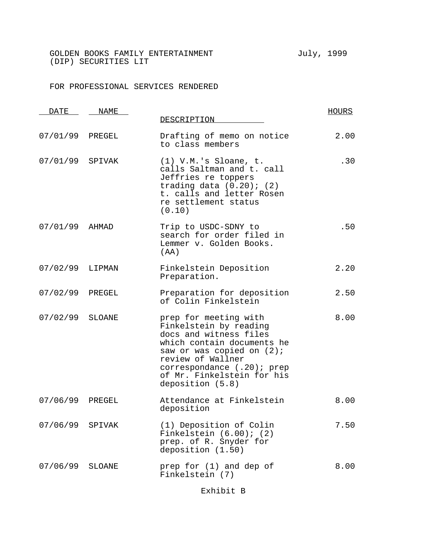## FOR PROFESSIONAL SERVICES RENDERED

| DATE            | NAME   | DESCRIPTION                                                                                                                                                                                                                                  | <u>HOURS</u> |
|-----------------|--------|----------------------------------------------------------------------------------------------------------------------------------------------------------------------------------------------------------------------------------------------|--------------|
|                 |        |                                                                                                                                                                                                                                              |              |
| 07/01/99 PREGEL |        | Drafting of memo on notice<br>to class members                                                                                                                                                                                               | 2.00         |
| 07/01/99        | SPIVAK | $(1)$ V.M.'s Sloane, t.<br>calls Saltman and t. call<br>Jeffries re toppers<br>trading data $(0.20)$ ; $(2)$<br>t. calls and letter Rosen<br>re settlement status<br>(0.10)                                                                  | .30          |
| 07/01/99        | AHMAD  | Trip to USDC-SDNY to<br>search for order filed in<br>Lemmer v. Golden Books.<br>(AA)                                                                                                                                                         | .50          |
| 07/02/99        | LIPMAN | Finkelstein Deposition<br>Preparation.                                                                                                                                                                                                       | 2.20         |
| 07/02/99        | PREGEL | Preparation for deposition<br>of Colin Finkelstein                                                                                                                                                                                           | 2.50         |
| 07/02/99        | SLOANE | prep for meeting with<br>Finkelstein by reading<br>docs and witness files<br>which contain documents he<br>saw or was copied on $(2)$ ;<br>review of Wallner<br>correspondance (.20); prep<br>of Mr. Finkelstein for his<br>deposition (5.8) | 8.00         |
| 07/06/99        | PREGEL | Attendance at Finkelstein<br>deposition                                                                                                                                                                                                      | 8.00         |
| 07/06/99        | SPIVAK | (1) Deposition of Colin<br>Finkelstein $(6.00)$ ; $(2)$<br>prep. of R. Snyder for<br>deposition (1.50)                                                                                                                                       | 7.50         |
| 07/06/99        | SLOANE | prep for (1) and dep of<br>Finkelstein (7)                                                                                                                                                                                                   | 8.00         |

Exhibit B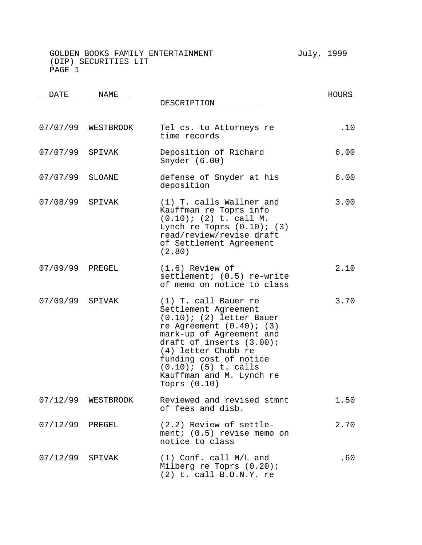| DATE            | NAME               | DESCRIPTION                                                                                                                                                                                                                                                                                      | <b>HOURS</b> |
|-----------------|--------------------|--------------------------------------------------------------------------------------------------------------------------------------------------------------------------------------------------------------------------------------------------------------------------------------------------|--------------|
|                 | 07/07/99 WESTBROOK | Tel cs. to Attorneys re<br>time records                                                                                                                                                                                                                                                          | .10          |
| 07/07/99 SPIVAK |                    | Deposition of Richard<br>Snyder $(6.00)$                                                                                                                                                                                                                                                         | 6.00         |
| 07/07/99 SLOANE |                    | defense of Snyder at his<br>deposition                                                                                                                                                                                                                                                           | 6.00         |
| 07/08/99 SPIVAK |                    | (1) T. calls Wallner and<br>Kauffman re Toprs info<br>$(0.10)$ ; (2) t. call M.<br>Lynch re Toprs $(0.10)$ ; $(3)$<br>read/review/revise draft<br>of Settlement Agreement<br>(2.80)                                                                                                              | 3.00         |
| 07/09/99 PREGEL |                    | $(1.6)$ Review of<br>settlement; (0.5) re-write<br>of memo on notice to class                                                                                                                                                                                                                    | 2.10         |
| 07/09/99 SPIVAK |                    | (1) T. call Bauer re<br>Settlement Agreement<br>$(0.10)$ ; (2) letter Bauer<br>re Agreement $(0.40)$ ; $(3)$<br>mark-up of Agreement and<br>draft of inserts (3.00);<br>(4) letter Chubb re<br>funding cost of notice<br>$(0.10)$ ; $(5)$ t. calls<br>Kauffman and M. Lynch re<br>Toprs $(0.10)$ | 3.70         |
|                 | 07/12/99 WESTBROOK | Reviewed and revised stmnt<br>of fees and disb.                                                                                                                                                                                                                                                  | 1.50         |
| 07/12/99 PREGEL |                    | (2.2) Review of settle-<br>ment; $(0.5)$ revise memo on<br>notice to class                                                                                                                                                                                                                       | 2.70         |
| 07/12/99 SPIVAK |                    | (1) Conf. call M/L and<br>Milberg re Toprs $(0.20)$ ;<br>$(2)$ t. call B.O.N.Y. re                                                                                                                                                                                                               | .60          |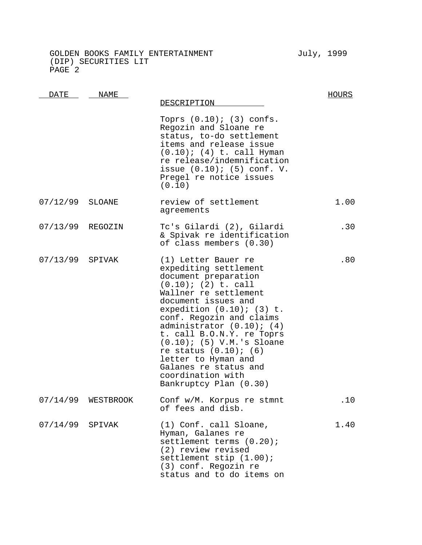| DATE     | <b>NAME</b> | DESCRIPTION                                                                                                                                                                                                                                                                                                                                                                                                                                | HOURS |
|----------|-------------|--------------------------------------------------------------------------------------------------------------------------------------------------------------------------------------------------------------------------------------------------------------------------------------------------------------------------------------------------------------------------------------------------------------------------------------------|-------|
|          |             | Toprs $(0.10)$ ; $(3)$ confs.<br>Regozin and Sloane re<br>status, to-do settlement<br>items and release issue<br>$(0.10)$ ; $(4)$ t. call Hyman<br>re release/indemnification<br>issue $(0.10)$ ; $(5)$ conf. V.<br>Pregel re notice issues<br>(0.10)                                                                                                                                                                                      |       |
| 07/12/99 | SLOANE      | review of settlement<br>agreements                                                                                                                                                                                                                                                                                                                                                                                                         | 1.00  |
| 07/13/99 | REGOZIN     | Tc's Gilardi (2), Gilardi<br>& Spivak re identification<br>of class members (0.30)                                                                                                                                                                                                                                                                                                                                                         | .30   |
| 07/13/99 | SPIVAK      | (1) Letter Bauer re<br>expediting settlement<br>document preparation<br>$(0.10)$ ; $(2)$ t. call<br>Wallner re settlement<br>document issues and<br>expedition $(0.10)$ ; $(3)$ t.<br>conf. Regozin and claims<br>administrator $(0.10)$ ; $(4)$<br>t. call B.O.N.Y. re Toprs<br>$(0.10)$ ; (5) V.M.'s Sloane<br>re status $(0.10)$ ; $(6)$<br>letter to Hyman and<br>Galanes re status and<br>coordination with<br>Bankruptcy Plan (0.30) | .80   |
| 07/14/99 | WESTBROOK   | Conf w/M. Korpus re stmnt<br>of fees and disb.                                                                                                                                                                                                                                                                                                                                                                                             | .10   |
| 07/14/99 | SPIVAK      | (1) Conf. call Sloane,<br>Hyman, Galanes re<br>settlement terms (0.20);<br>(2) review revised<br>settlement stip (1.00);<br>(3) conf. Regozin re<br>status and to do items on                                                                                                                                                                                                                                                              | 1.40  |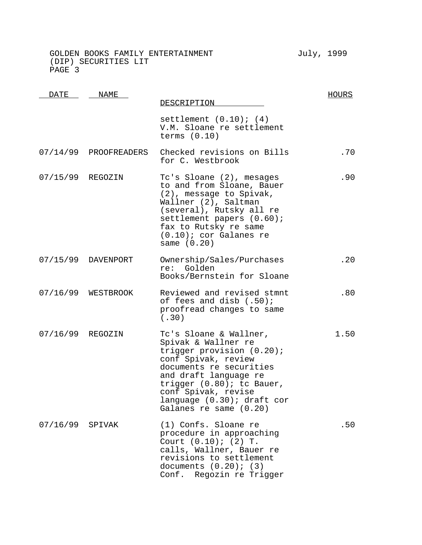| DATE             | <b>NAME</b>           | DESCRIPTION                                                                                                                                                                                                                                                            | <b>HOURS</b> |
|------------------|-----------------------|------------------------------------------------------------------------------------------------------------------------------------------------------------------------------------------------------------------------------------------------------------------------|--------------|
|                  |                       | settlement $(0.10)$ ; $(4)$<br>V.M. Sloane re settlement<br>terms $(0.10)$                                                                                                                                                                                             |              |
|                  | 07/14/99 PROOFREADERS | Checked revisions on Bills<br>for C. Westbrook                                                                                                                                                                                                                         | .70          |
| 07/15/99 REGOZIN |                       | Tc's Sloane (2), mesages<br>to and from Sloane, Bauer<br>(2), message to Spivak,<br>Wallner (2), Saltman<br>(several), Rutsky all re<br>settlement papers (0.60);<br>fax to Rutsky re same<br>$(0.10)$ ; cor Galanes re<br>same $(0.20)$                               | .90          |
|                  | 07/15/99 DAVENPORT    | Ownership/Sales/Purchases<br>re: Golden<br>Books/Bernstein for Sloane                                                                                                                                                                                                  | .20          |
|                  | 07/16/99 WESTBROOK    | Reviewed and revised stmnt<br>of fees and disb (.50);<br>proofread changes to same<br>(.30)                                                                                                                                                                            | .80          |
| 07/16/99 REGOZIN |                       | Tc's Sloane & Wallner,<br>Spivak & Wallner re<br>trigger provision (0.20);<br>conf Spivak, review<br>documents re securities<br>and draft language re<br>trigger $(0.80)$ ; to Bauer,<br>conf Spivak, revise<br>language (0.30); draft cor<br>Galanes re same $(0.20)$ | 1.50         |
| 07/16/99         | SPIVAK                | (1) Confs. Sloane re<br>procedure in approaching<br>Court $(0.10)$ ; $(2)$ T.<br>calls, Wallner, Bauer re<br>revisions to settlement<br>documents $(0.20)$ ; $(3)$<br>Conf. Regozin re Trigger                                                                         | .50          |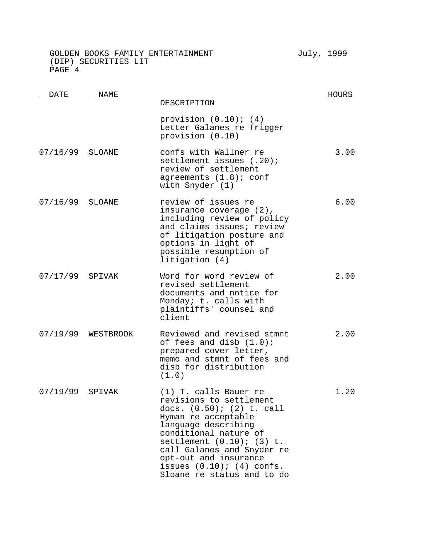| <u>DATE</u>     | NAME               | DESCRIPTION                                                                                                                                                                                                                                                                                                        | <b>HOURS</b> |
|-----------------|--------------------|--------------------------------------------------------------------------------------------------------------------------------------------------------------------------------------------------------------------------------------------------------------------------------------------------------------------|--------------|
|                 |                    | provision $(0.10)$ ; $(4)$<br>Letter Galanes re Trigger<br>provision (0.10)                                                                                                                                                                                                                                        |              |
| 07/16/99 SLOANE |                    | confs with Wallner re<br>settlement issues (.20);<br>review of settlement<br>agreements $(1.8)$ ; conf<br>with Snyder (1)                                                                                                                                                                                          | 3.00         |
| 07/16/99 SLOANE |                    | review of issues re<br>insurance coverage (2),<br>including review of policy<br>and claims issues; review<br>of litigation posture and<br>options in light of<br>possible resumption of<br>litigation (4)                                                                                                          | 6.00         |
| 07/17/99 SPIVAK |                    | Word for word review of<br>revised settlement<br>documents and notice for<br>Monday; t. calls with<br>plaintiffs' counsel and<br>client                                                                                                                                                                            | 2.00         |
|                 | 07/19/99 WESTBROOK | Reviewed and revised stmnt<br>of fees and disb $(1.0)$ ;<br>prepared cover letter,<br>memo and stmnt of fees and<br>disb for distribution<br>(1.0)                                                                                                                                                                 | 2.00         |
| 07/19/99 SPIVAK |                    | (1) T. calls Bauer re<br>revisions to settlement<br>docs. $(0.50)$ ; $(2)$ t. call<br>Hyman re acceptable<br>language describing<br>conditional nature of<br>settlement $(0.10)$ ; $(3)$ t.<br>call Galanes and Snyder re<br>opt-out and insurance<br>issues $(0.10)$ ; $(4)$ confs.<br>Sloane re status and to do | 1.20         |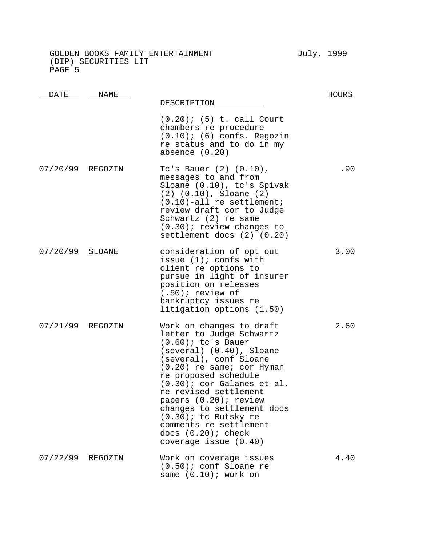DATE NAME

DESCRIPTION HOURS (0.20); (5) t. call Court chambers re procedure  $(0.10)$ ;  $(6)$  confs. Regozin re status and to do in my absence (0.20) 07/20/99 REGOZIN Tc's Bauer (2) (0.10), .90

- messages to and from Sloane (0.10), tc's Spivak (2) (0.10), Sloane (2) (0.10)-all re settlement; review draft cor to Judge Schwartz (2) re same (0.30); review changes to settlement docs (2) (0.20)
- 07/20/99 SLOANE consideration of opt out issue (1); confs with client re options to pursue in light of insurer position on releases (.50); review of bankruptcy issues re litigation options (1.50) 3.00
- 07/21/99 REGOZIN Work on changes to draft letter to Judge Schwartz (0.60); tc's Bauer (several) (0.40), Sloane (several), conf Sloane (0.20) re same; cor Hyman re proposed schedule (0.30); cor Galanes et al. re revised settlement papers (0.20); review changes to settlement docs (0.30); tc Rutsky re comments re settlement docs  $(0.20)$ ; check coverage issue (0.40) 2.60 07/22/99 REGOZIN Work on coverage issues (0.50); conf Sloane re same (0.10); work on 4.40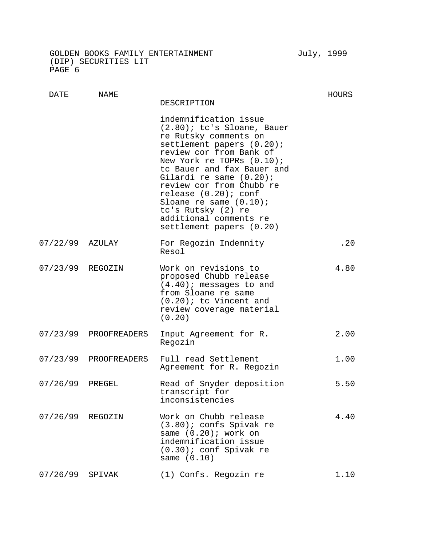GOLDEN BOOKS FAMILY ENTERTAINMENT FOR THE July, 1999 (DIP) SECURITIES LIT PAGE 6

DATE NAME DESCRIPTION HOURS indemnification issue (2.80); tc's Sloane, Bauer re Rutsky comments on settlement papers (0.20); review cor from Bank of New York re TOPRs (0.10); tc Bauer and fax Bauer and Gilardi re same (0.20); review cor from Chubb re release (0.20); conf Sloane re same (0.10); tc's Rutsky (2) re additional comments re settlement papers (0.20) 07/22/99 AZULAY For Regozin Indemnity Resol .20 07/23/99 REGOZIN Work on revisions to proposed Chubb release (4.40); messages to and from Sloane re same (0.20); tc Vincent and review coverage material (0.20) 4.80 07/23/99 PROOFREADERS Input Agreement for R. Regozin 2.00 07/23/99 PROOFREADERS Full read Settlement Agreement for R. Regozin 1.00 07/26/99 PREGEL Read of Snyder deposition transcript for inconsistencies 5.50 07/26/99 REGOZIN Work on Chubb release (3.80); confs Spivak re same (0.20); work on indemnification issue (0.30); conf Spivak re same (0.10) 4.40 07/26/99 SPIVAK (1) Confs. Regozin re 1.10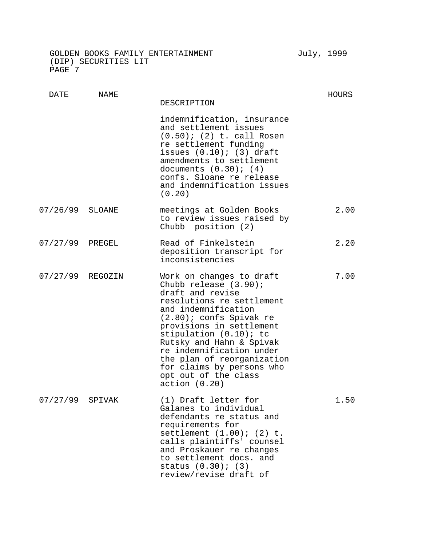DATE NAME DESCRIPTION HOURS indemnification, insurance and settlement issues (0.50); (2) t. call Rosen re settlement funding issues  $(0.10)$ ;  $(3)$  draft amendments to settlement documents  $(0.30)$ ;  $(4)$ confs. Sloane re release and indemnification issues (0.20) 07/26/99 SLOANE meetings at Golden Books to review issues raised by Chubb position (2) 2.00 07/27/99 PREGEL Read of Finkelstein deposition transcript for inconsistencies 2.20 07/27/99 REGOZIN Work on changes to draft Chubb release (3.90); draft and revise resolutions re settlement and indemnification (2.80); confs Spivak re provisions in settlement stipulation (0.10); tc Rutsky and Hahn & Spivak re indemnification under the plan of reorganization for claims by persons who opt out of the class action (0.20) 7.00 07/27/99 SPIVAK (1) Draft letter for Galanes to individual defendants re status and requirements for settlement (1.00); (2) t. calls plaintiffs' counsel and Proskauer re changes 1.50

to settlement docs. and

status (0.30); (3) review/revise draft of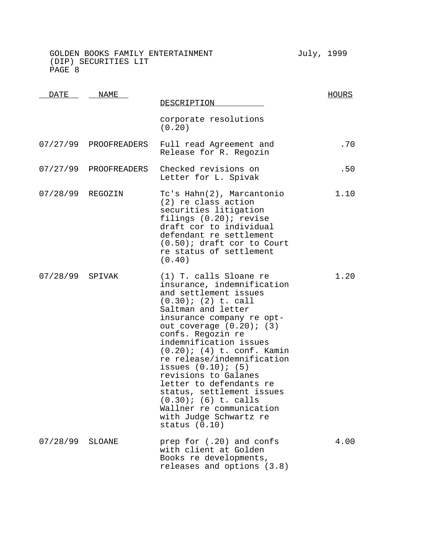| DATE             | <b>NAME</b>           | DESCRIPTION                                                                                                                                                                                                                                                                                                                                                                                                                                                                                                                    | <b>HOURS</b> |
|------------------|-----------------------|--------------------------------------------------------------------------------------------------------------------------------------------------------------------------------------------------------------------------------------------------------------------------------------------------------------------------------------------------------------------------------------------------------------------------------------------------------------------------------------------------------------------------------|--------------|
|                  |                       | corporate resolutions<br>(0.20)                                                                                                                                                                                                                                                                                                                                                                                                                                                                                                |              |
|                  | 07/27/99 PROOFREADERS | Full read Agreement and<br>Release for R. Regozin                                                                                                                                                                                                                                                                                                                                                                                                                                                                              | .70          |
|                  | 07/27/99 PROOFREADERS | Checked revisions on<br>Letter for L. Spivak                                                                                                                                                                                                                                                                                                                                                                                                                                                                                   | .50          |
| 07/28/99 REGOZIN |                       | Tc's Hahn(2), Marcantonio<br>(2) re class action<br>securities litigation<br>filings (0.20); revise<br>draft cor to individual<br>defendant re settlement<br>$(0.50)$ ; draft cor to Court<br>re status of settlement<br>(0.40)                                                                                                                                                                                                                                                                                                | 1.10         |
| 07/28/99 SPIVAK  |                       | (1) T. calls Sloane re<br>insurance, indemnification<br>and settlement issues<br>$(0.30)$ ; $(2)$ t. call<br>Saltman and letter<br>insurance company re opt-<br>out coverage $(0.20)$ ; $(3)$<br>confs. Regozin re<br>indemnification issues<br>$(0.20)$ ; $(4)$ t. conf. Kamin<br>re release/indemnification<br>issues $(0.10)$ ; $(5)$<br>revisions to Galanes<br>letter to defendants re<br>status, settlement issues<br>$(0.30)$ ; $(6)$ t. calls<br>Wallner re communication<br>with Judge Schwartz re<br>status $(0.10)$ | 1.20         |
| 07/28/99         | SLOANE                | prep for (.20) and confs<br>with client at Golden<br>Books re developments,<br>releases and options (3.8)                                                                                                                                                                                                                                                                                                                                                                                                                      | 4.00         |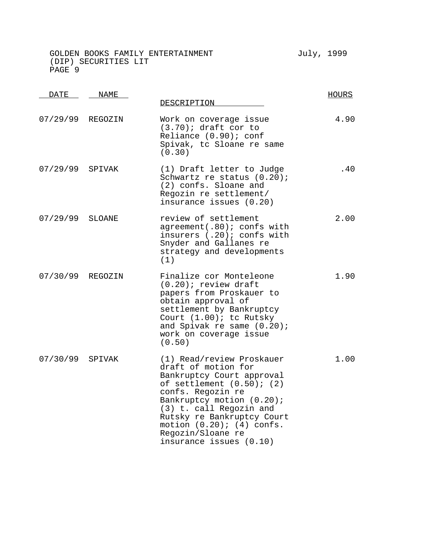| DATE             | NAME    | DESCRIPTION                                                                                                                                                                                                                                                                                                  | HOURS |
|------------------|---------|--------------------------------------------------------------------------------------------------------------------------------------------------------------------------------------------------------------------------------------------------------------------------------------------------------------|-------|
| 07/29/99         | REGOZIN | Work on coverage issue<br>$(3.70)$ ; draft cor to<br>Reliance (0.90); conf<br>Spivak, tc Sloane re same<br>(0.30)                                                                                                                                                                                            | 4.90  |
| 07/29/99         | SPIVAK  | (1) Draft letter to Judge<br>Schwartz re status (0.20);<br>(2) confs. Sloane and<br>Regozin re settlement/<br>insurance issues (0.20)                                                                                                                                                                        | .40   |
| 07/29/99         | SLOANE  | review of settlement<br>agreement(.80); confs with<br>insurers (.20); confs with<br>Snyder and Gallanes re<br>strategy and developments<br>(1)                                                                                                                                                               | 2.00  |
| 07/30/99 REGOZIN |         | Finalize cor Monteleone<br>$(0.20)$ ; review draft<br>papers from Proskauer to<br>obtain approval of<br>settlement by Bankruptcy<br>Court (1.00); tc Rutsky<br>and Spivak re same (0.20);<br>work on coverage issue<br>(0.50)                                                                                | 1.90  |
| 07/30/99         | SPIVAK  | (1) Read/review Proskauer<br>draft of motion for<br>Bankruptcy Court approval<br>of settlement $(0.50)$ ; $(2)$<br>confs. Regozin re<br>Bankruptcy motion (0.20);<br>(3) t. call Regozin and<br>Rutsky re Bankruptcy Court<br>motion $(0.20)$ ; $(4)$ confs.<br>Regozin/Sloane re<br>insurance issues (0.10) | 1.00  |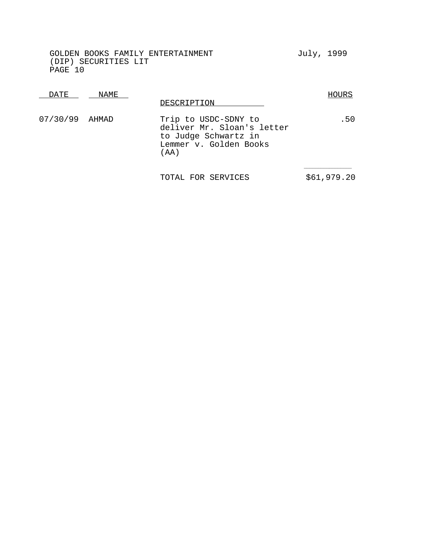| DATE           | NAME | DESCRIPTION                                                                                                    | HOURS |
|----------------|------|----------------------------------------------------------------------------------------------------------------|-------|
| 07/30/99 AHMAD |      | Trip to USDC-SDNY to<br>deliver Mr. Sloan's letter<br>to Judge Schwartz in<br>Lemmer v. Golden Books<br>( AA ) | . 50  |
|                |      |                                                                                                                |       |

TOTAL FOR SERVICES  $$61,979.20$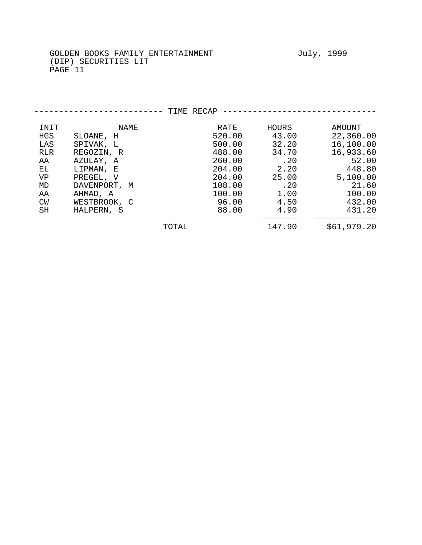PAGE 11

| <b>INIT</b> | <b>NAME</b>  |       | RATE   | <u>HOURS</u> | AMOUNT      |
|-------------|--------------|-------|--------|--------------|-------------|
| HGS         | SLOANE, H    |       | 520.00 | 43.00        | 22,360.00   |
| LAS         | SPIVAK, L    |       | 500.00 | 32.20        | 16,100.00   |
| RLR         | REGOZIN, R   |       | 488.00 | 34.70        | 16,933.60   |
| AA          | AZULAY, A    |       | 260.00 | .20          | 52.00       |
| EL.         | LIPMAN, E    |       | 204.00 | 2.20         | 448.80      |
| VP          | PREGEL, V    |       | 204.00 | 25.00        | 5,100.00    |
| MD          | DAVENPORT, M |       | 108.00 | .20          | 21.60       |
| AA          | AHMAD, A     |       | 100.00 | 1.00         | 100.00      |
| CW          | WESTBROOK, C |       | 96.00  | 4.50         | 432.00      |
| SH          | HALPERN, S   |       | 88.00  | 4.90         | 431.20      |
|             |              | TOTAL |        | 147.90       | \$61,979.20 |

------------------------ TIME RECAP -------------------------------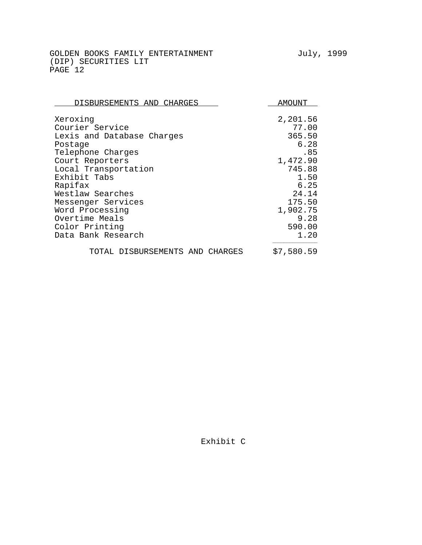| DISBURSEMENTS AND CHARGES       | <b>AMOTINT</b> |
|---------------------------------|----------------|
| Xeroxing                        | 2,201.56       |
| Courier Service                 | 77.00          |
| Lexis and Database Charges      | 365.50         |
| Postage                         | 6.28           |
| Telephone Charges               | .85            |
| Court Reporters                 | 1,472.90       |
| Local Transportation            | 745.88         |
| Exhibit Tabs                    | 1.50           |
| Rapifax                         | 6.25           |
| Westlaw Searches                | 24.14          |
| Messenger Services              | 175.50         |
| Word Processing                 | 1,902.75       |
| Overtime Meals                  | 9.28           |
| Color Printing                  | 590.00         |
| Data Bank Research              | 1.20           |
| TOTAL DISBURSEMENTS AND CHARGES | \$7,580.59     |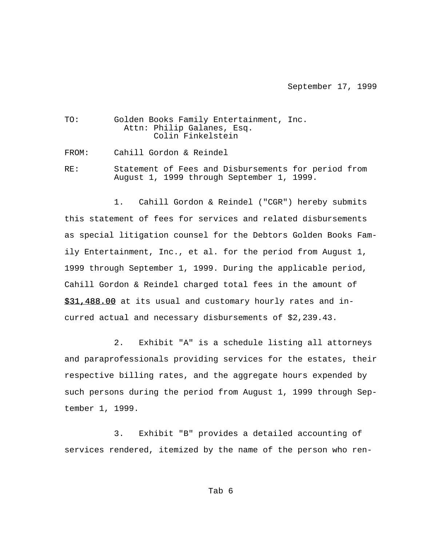#### September 17, 1999

| TO: | Golden Books Family Entertainment, Inc. |  |
|-----|-----------------------------------------|--|
|     | Attn: Philip Galanes, Esq.              |  |
|     | Colin Finkelstein                       |  |

FROM: Cahill Gordon & Reindel

RE: Statement of Fees and Disbursements for period from August 1, 1999 through September 1, 1999.

1. Cahill Gordon & Reindel ("CGR") hereby submits this statement of fees for services and related disbursements as special litigation counsel for the Debtors Golden Books Family Entertainment, Inc., et al. for the period from August 1, 1999 through September 1, 1999. During the applicable period, Cahill Gordon & Reindel charged total fees in the amount of \$31,488.00 at its usual and customary hourly rates and incurred actual and necessary disbursements of \$2,239.43.

2. Exhibit "A" is a schedule listing all attorneys and paraprofessionals providing services for the estates, their respective billing rates, and the aggregate hours expended by such persons during the period from August 1, 1999 through September 1, 1999.

3. Exhibit "B" provides a detailed accounting of services rendered, itemized by the name of the person who ren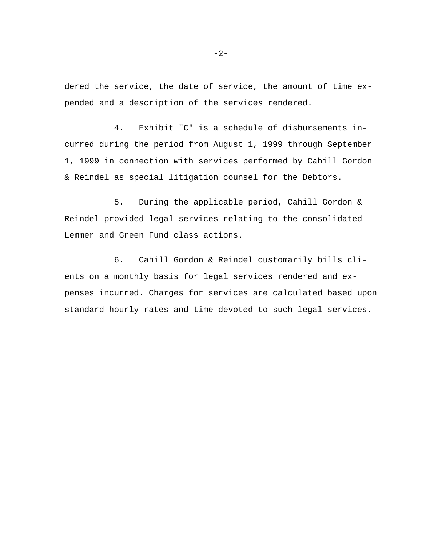dered the service, the date of service, the amount of time expended and a description of the services rendered.

4. Exhibit "C" is a schedule of disbursements incurred during the period from August 1, 1999 through September 1, 1999 in connection with services performed by Cahill Gordon & Reindel as special litigation counsel for the Debtors.

5. During the applicable period, Cahill Gordon & Reindel provided legal services relating to the consolidated Lemmer and Green Fund class actions.

6. Cahill Gordon & Reindel customarily bills clients on a monthly basis for legal services rendered and expenses incurred. Charges for services are calculated based upon standard hourly rates and time devoted to such legal services.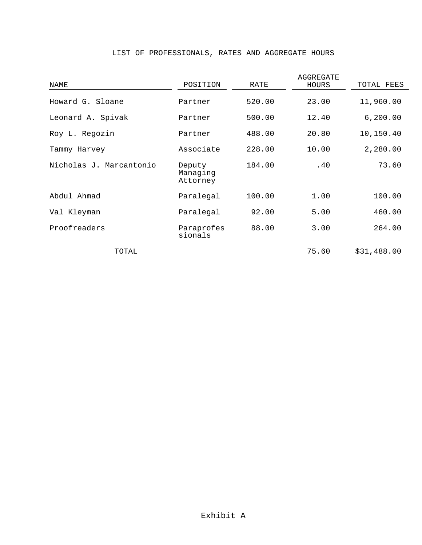| NAME                    | POSITION                       | RATE   | AGGREGATE<br>HOURS | TOTAL FEES  |
|-------------------------|--------------------------------|--------|--------------------|-------------|
| Howard G. Sloane        | Partner                        | 520.00 | 23.00              | 11,960.00   |
| Leonard A. Spivak       | Partner                        | 500.00 | 12.40              | 6, 200.00   |
| Roy L. Regozin          | Partner                        | 488.00 | 20.80              | 10,150.40   |
| Tammy Harvey            | Associate                      | 228.00 | 10.00              | 2,280.00    |
| Nicholas J. Marcantonio | Deputy<br>Managing<br>Attorney | 184.00 | .40                | 73.60       |
| Abdul Ahmad             | Paralegal                      | 100.00 | 1.00               | 100.00      |
| Val Kleyman             | Paralegal                      | 92.00  | 5.00               | 460.00      |
| Proofreaders            | Paraprofes<br>sionals          | 88.00  | 3.00               | 264.00      |
| TOTAL                   |                                |        | 75.60              | \$31,488.00 |

## LIST OF PROFESSIONALS, RATES AND AGGREGATE HOURS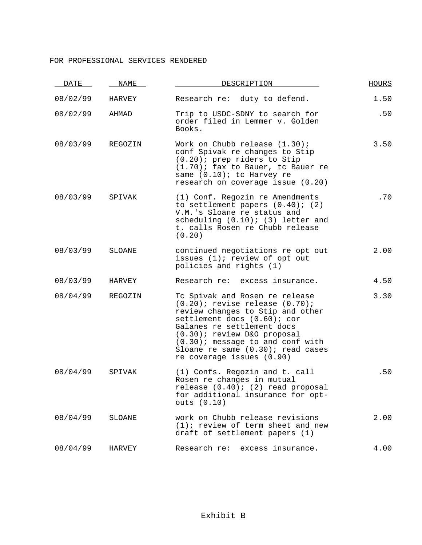### FOR PROFESSIONAL SERVICES RENDERED

| DATE     | NAME          | DESCRIPTION                                                                                                                                                                                                                                                                                                  | <b>HOURS</b> |
|----------|---------------|--------------------------------------------------------------------------------------------------------------------------------------------------------------------------------------------------------------------------------------------------------------------------------------------------------------|--------------|
| 08/02/99 | HARVEY        | Research re: duty to defend.                                                                                                                                                                                                                                                                                 | 1.50         |
| 08/02/99 | AHMAD         | Trip to USDC-SDNY to search for<br>order filed in Lemmer v. Golden<br>Books.                                                                                                                                                                                                                                 | .50          |
| 08/03/99 | REGOZIN       | Work on Chubb release $(1.30)$ ;<br>conf Spivak re changes to Stip<br>$(0.20)$ ; prep riders to Stip<br>$(1.70)$ ; fax to Bauer, to Bauer re<br>same (0.10); tc Harvey re<br>research on coverage issue (0.20)                                                                                               | 3.50         |
| 08/03/99 | SPIVAK        | (1) Conf. Regozin re Amendments<br>to settlement papers $(0.40)$ ; $(2)$<br>V.M.'s Sloane re status and<br>scheduling $(0.10)$ ; $(3)$ letter and<br>t. calls Rosen re Chubb release<br>(0.20)                                                                                                               | .70          |
| 08/03/99 | <b>SLOANE</b> | continued negotiations re opt out<br>issues (1); review of opt out<br>policies and rights (1)                                                                                                                                                                                                                | 2.00         |
| 08/03/99 | HARVEY        | Research re: excess insurance.                                                                                                                                                                                                                                                                               | 4.50         |
| 08/04/99 | REGOZIN       | Tc Spivak and Rosen re release<br>$(0.20)$ ; revise release $(0.70)$ ;<br>review changes to Stip and other<br>settlement docs (0.60); cor<br>Galanes re settlement docs<br>(0.30); review D&O proposal<br>(0.30); message to and conf with<br>Sloane re same (0.30); read cases<br>re coverage issues (0.90) | 3.30         |
| 08/04/99 | SPIVAK        | (1) Confs. Regozin and t. call<br>Rosen re changes in mutual<br>release (0.40); (2) read proposal<br>for additional insurance for opt-<br>outs $(0.10)$                                                                                                                                                      | .50          |
| 08/04/99 | SLOANE        | work on Chubb release revisions<br>$(1)$ ; review of term sheet and new<br>draft of settlement papers (1)                                                                                                                                                                                                    | 2.00         |
| 08/04/99 | HARVEY        | Research re: excess insurance.                                                                                                                                                                                                                                                                               | 4.00         |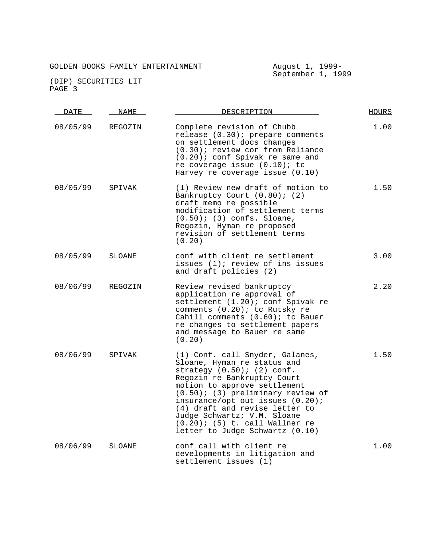| DATE     | NAME          | DESCRIPTION                                                                                                                                                                                                                                                                                                                                                                             | HOURS |
|----------|---------------|-----------------------------------------------------------------------------------------------------------------------------------------------------------------------------------------------------------------------------------------------------------------------------------------------------------------------------------------------------------------------------------------|-------|
| 08/05/99 | REGOZIN       | Complete revision of Chubb<br>release (0.30); prepare comments<br>on settlement docs changes<br>(0.30); review cor from Reliance<br>$(0.20)$ ; conf Spivak re same and<br>re coverage issue $(0.10)$ ; tc<br>Harvey re coverage issue $(0.10)$                                                                                                                                          | 1.00  |
| 08/05/99 | SPIVAK        | (1) Review new draft of motion to<br>Bankruptcy Court (0.80); (2)<br>draft memo re possible<br>modification of settlement terms<br>$(0.50)$ ; (3) confs. Sloane,<br>Regozin, Hyman re proposed<br>revision of settlement terms<br>(0.20)                                                                                                                                                | 1.50  |
| 08/05/99 | SLOANE        | conf with client re settlement<br>issues (1); review of ins issues<br>and draft policies (2)                                                                                                                                                                                                                                                                                            | 3.00  |
| 08/06/99 | REGOZIN       | Review revised bankruptcy<br>application re approval of<br>settlement (1.20); conf Spivak re<br>comments (0.20); tc Rutsky re<br>Cahill comments (0.60); tc Bauer<br>re changes to settlement papers<br>and message to Bauer re same<br>(0.20)                                                                                                                                          | 2.20  |
| 08/06/99 | SPIVAK        | (1) Conf. call Snyder, Galanes,<br>Sloane, Hyman re status and<br>strategy $(0.50)$ ; $(2)$ conf.<br>Regozin re Bankruptcy Court<br>motion to approve settlement<br>$(0.50)$ ; (3) preliminary review of<br>insurance/opt out issues (0.20);<br>(4) draft and revise letter to<br>Judge Schwartz; V.M. Sloane<br>$(0.20)$ ; $(5)$ t. call Wallner re<br>letter to Judge Schwartz (0.10) | 1.50  |
| 08/06/99 | <b>SLOANE</b> | conf call with client re<br>developments in litigation and<br>settlement issues (1)                                                                                                                                                                                                                                                                                                     | 1.00  |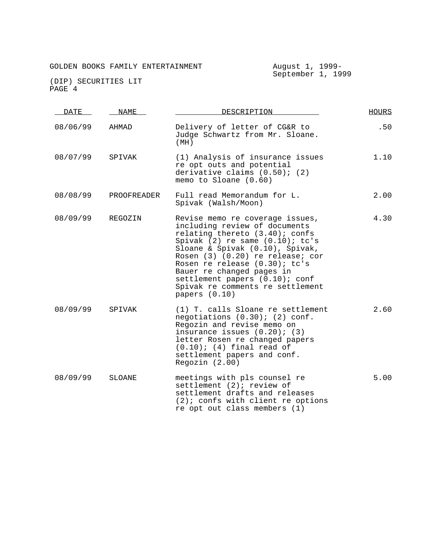| <b>DATE</b> | NAME          | DESCRIPTION                                                                                                                                                                                                                                                                                                                                                              | <b>HOURS</b> |
|-------------|---------------|--------------------------------------------------------------------------------------------------------------------------------------------------------------------------------------------------------------------------------------------------------------------------------------------------------------------------------------------------------------------------|--------------|
| 08/06/99    | AHMAD         | Delivery of letter of CG&R to<br>Judge Schwartz from Mr. Sloane.<br>(MH)                                                                                                                                                                                                                                                                                                 | .50          |
| 08/07/99    | SPIVAK        | (1) Analysis of insurance issues<br>re opt outs and potential<br>derivative claims $(0.50)$ ; $(2)$<br>memo to Sloane (0.60)                                                                                                                                                                                                                                             | 1.10         |
| 08/08/99    | PROOFREADER   | Full read Memorandum for L.<br>Spivak (Walsh/Moon)                                                                                                                                                                                                                                                                                                                       | 2.00         |
| 08/09/99    | REGOZIN       | Revise memo re coverage issues,<br>including review of documents<br>relating thereto (3.40); confs<br>Spivak $(2)$ re same $(0.10)$ ; tc's<br>Sloane & Spivak (0.10), Spivak,<br>Rosen (3) (0.20) re release; cor<br>Rosen re release (0.30); tc's<br>Bauer re changed pages in<br>settlement papers (0.10); conf<br>Spivak re comments re settlement<br>papers $(0.10)$ | 4.30         |
| 08/09/99    | SPIVAK        | (1) T. calls Sloane re settlement<br>negotiations $(0.30)$ ; $(2)$ conf.<br>Regozin and revise memo on<br>insurance issues $(0.20)$ ; $(3)$<br>letter Rosen re changed papers<br>$(0.10)$ ; $(4)$ final read of<br>settlement papers and conf.<br>Regozin $(2.00)$                                                                                                       | 2.60         |
| 08/09/99    | <b>SLOANE</b> | meetings with pls counsel re<br>settlement (2); review of<br>settlement drafts and releases<br>$(2)$ ; confs with client re options<br>re opt out class members (1)                                                                                                                                                                                                      | 5.00         |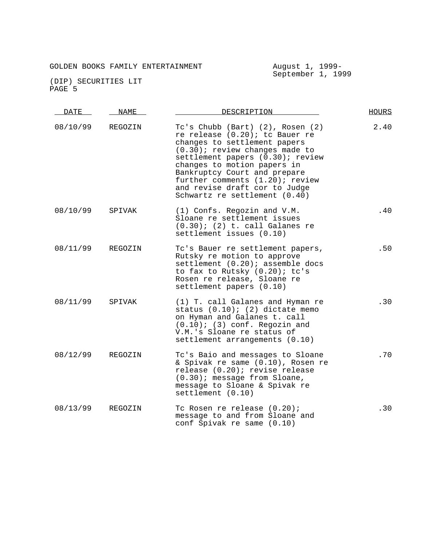| DATE     | <b>NAME</b> | DESCRIPTION                                                                                                                                                                                                                                                                                                                                     | <b>HOURS</b> |
|----------|-------------|-------------------------------------------------------------------------------------------------------------------------------------------------------------------------------------------------------------------------------------------------------------------------------------------------------------------------------------------------|--------------|
| 08/10/99 | REGOZIN     | Tc's Chubb (Bart) (2), Rosen (2)<br>re release (0.20); to Bauer re<br>changes to settlement papers<br>$(0.30)$ ; review changes made to<br>settlement papers (0.30); review<br>changes to motion papers in<br>Bankruptcy Court and prepare<br>further comments (1.20); review<br>and revise draft cor to Judge<br>Schwartz re settlement (0.40) | 2.40         |
| 08/10/99 | SPIVAK      | (1) Confs. Regozin and V.M.<br>Sloane re settlement issues<br>$(0.30)$ ; $(2)$ t. call Galanes re<br>settlement issues (0.10)                                                                                                                                                                                                                   | .40          |
| 08/11/99 | REGOZIN     | Tc's Bauer re settlement papers,<br>Rutsky re motion to approve<br>settlement (0.20); assemble docs<br>to fax to Rutsky (0.20); tc's<br>Rosen re release, Sloane re<br>settlement papers (0.10)                                                                                                                                                 | .50          |
| 08/11/99 | SPIVAK      | (1) T. call Galanes and Hyman re<br>status $(0.10)$ ; $(2)$ dictate memo<br>on Hyman and Galanes t. call<br>$(0.10)$ ; (3) conf. Regozin and<br>V.M.'s Sloane re status of<br>settlement arrangements (0.10)                                                                                                                                    | .30          |
| 08/12/99 | REGOZIN     | Tc's Baio and messages to Sloane<br>& Spivak re same (0.10), Rosen re<br>release (0.20); revise release<br>(0.30); message from Sloane,<br>message to Sloane & Spivak re<br>settlement (0.10)                                                                                                                                                   | .70          |
| 08/13/99 | REGOZIN     | Tc Rosen re release (0.20);<br>message to and from Sloane and<br>conf Spivak re same (0.10)                                                                                                                                                                                                                                                     | .30          |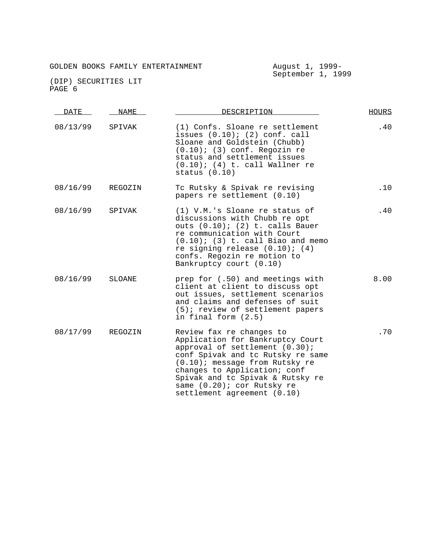| <b>DATE</b> | <b>NAME</b> | DESCRIPTION                                                                                                                                                                                                                                                                                               | <b>HOURS</b> |
|-------------|-------------|-----------------------------------------------------------------------------------------------------------------------------------------------------------------------------------------------------------------------------------------------------------------------------------------------------------|--------------|
| 08/13/99    | SPIVAK      | (1) Confs. Sloane re settlement<br>issues $(0.10)$ ; $(2)$ conf. call<br>Sloane and Goldstein (Chubb)<br>$(0.10)$ ; (3) conf. Regozin re<br>status and settlement issues<br>$(0.10)$ ; (4) t. call Wallner re<br>status $(0.10)$                                                                          | .40          |
| 08/16/99    | REGOZIN     | Tc Rutsky & Spivak re revising<br>papers re settlement (0.10)                                                                                                                                                                                                                                             | .10          |
| 08/16/99    | SPIVAK      | (1) V.M.'s Sloane re status of<br>discussions with Chubb re opt<br>outs $(0.10)$ ; $(2)$ t. calls Bauer<br>re communication with Court<br>$(0.10)$ ; (3) t. call Biao and memo<br>re signing release $(0.10)$ ; $(4)$<br>confs. Regozin re motion to<br>Bankruptcy court (0.10)                           | .40          |
| 08/16/99    | SLOANE      | prep for (.50) and meetings with<br>client at client to discuss opt<br>out issues, settlement scenarios<br>and claims and defenses of suit<br>(5); review of settlement papers<br>in final form (2.5)                                                                                                     | 8.00         |
| 08/17/99    | REGOZIN     | Review fax re changes to<br>Application for Bankruptcy Court<br>approval of settlement $(0.30)$ ;<br>conf Spivak and tc Rutsky re same<br>(0.10); message from Rutsky re<br>changes to Application; conf<br>Spivak and tc Spivak & Rutsky re<br>same (0.20); cor Rutsky re<br>settlement agreement (0.10) | .70          |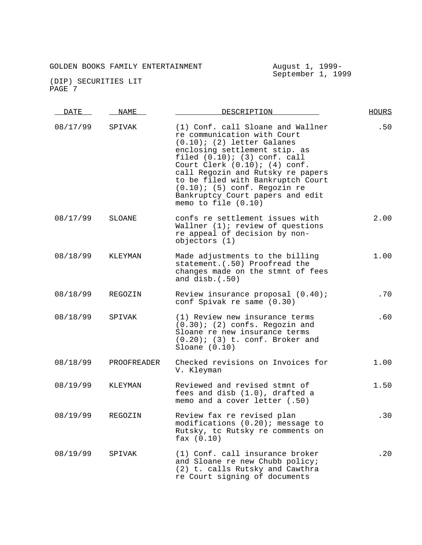| DATE     | NAME        | DESCRIPTION                                                                                                                                                                                                                                                                                                                                                                             | <b>HOURS</b> |
|----------|-------------|-----------------------------------------------------------------------------------------------------------------------------------------------------------------------------------------------------------------------------------------------------------------------------------------------------------------------------------------------------------------------------------------|--------------|
| 08/17/99 | SPIVAK      | (1) Conf. call Sloane and Wallner<br>re communication with Court<br>$(0.10)$ ; (2) letter Galanes<br>enclosing settlement stip. as<br>filed $(0.10)$ ; $(3)$ conf. call<br>Court Clerk $(0.10)$ ; $(4)$ conf.<br>call Regozin and Rutsky re papers<br>to be filed with Bankruptch Court<br>$(0.10)$ ; (5) conf. Regozin re<br>Bankruptcy Court papers and edit<br>memo to file $(0.10)$ | .50          |
| 08/17/99 | SLOANE      | confs re settlement issues with<br>Wallner $(1)$ ; review of questions<br>re appeal of decision by non-<br>objectors (1)                                                                                                                                                                                                                                                                | 2.00         |
| 08/18/99 | KLEYMAN     | Made adjustments to the billing<br>statement. (.50) Proofread the<br>changes made on the stmnt of fees<br>and $disb.(.50)$                                                                                                                                                                                                                                                              | 1.00         |
| 08/18/99 | REGOZIN     | Review insurance proposal (0.40);<br>conf Spivak re same (0.30)                                                                                                                                                                                                                                                                                                                         | .70          |
| 08/18/99 | SPIVAK      | (1) Review new insurance terms<br>$(0.30)$ ; (2) confs. Regozin and<br>Sloane re new insurance terms<br>$(0.20)$ ; (3) t. conf. Broker and<br>Sloane $(0.10)$                                                                                                                                                                                                                           | .60          |
| 08/18/99 | PROOFREADER | Checked revisions on Invoices for<br>V. Kleyman                                                                                                                                                                                                                                                                                                                                         | 1.00         |
| 08/19/99 | KLEYMAN     | Reviewed and revised stmnt of<br>fees and disb (1.0), drafted a<br>memo and a cover letter (.50)                                                                                                                                                                                                                                                                                        | 1.50         |
| 08/19/99 | REGOZIN     | Review fax re revised plan<br>modifications (0.20); message to<br>Rutsky, tc Rutsky re comments on<br>$\text{fax} (0.10)$                                                                                                                                                                                                                                                               | .30          |
| 08/19/99 | SPIVAK      | (1) Conf. call insurance broker<br>and Sloane re new Chubb policy;<br>(2) t. calls Rutsky and Cawthra<br>re Court signing of documents                                                                                                                                                                                                                                                  | .20          |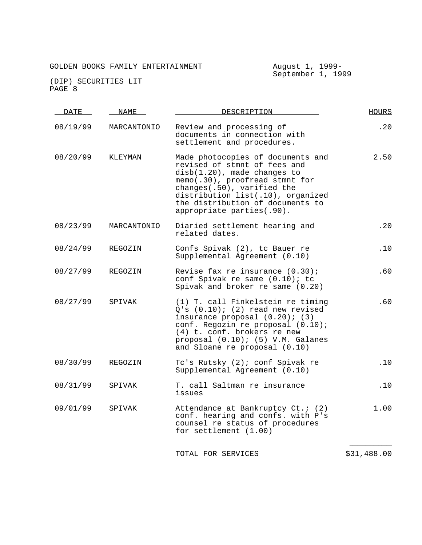# GOLDEN BOOKS FAMILY ENTERTAINMENT August 1, 1999-

| HOURS       | DESCRIPTION                                                                                                                                                                                                                                                            | NAME        | DATE     |
|-------------|------------------------------------------------------------------------------------------------------------------------------------------------------------------------------------------------------------------------------------------------------------------------|-------------|----------|
| .20         | Review and processing of<br>documents in connection with<br>settlement and procedures.                                                                                                                                                                                 | MARCANTONIO | 08/19/99 |
| 2.50        | Made photocopies of documents and<br>revised of stmnt of fees and<br>disb(1.20), made changes to<br>memo(.30), proofread stmnt for<br>changes(.50), varified the<br>distribution list(.10), organized<br>the distribution of documents to<br>appropriate parties(.90). | KLEYMAN     | 08/20/99 |
| .20         | Diaried settlement hearing and<br>related dates.                                                                                                                                                                                                                       | MARCANTONIO | 08/23/99 |
| .10         | Confs Spivak (2), tc Bauer re<br>Supplemental Agreement (0.10)                                                                                                                                                                                                         | REGOZIN     | 08/24/99 |
| .60         | Revise fax re insurance $(0.30)$ ;<br>conf Spivak re same (0.10); tc<br>Spivak and broker re same (0.20)                                                                                                                                                               | REGOZIN     | 08/27/99 |
| .60         | (1) T. call Finkelstein re timing<br>Q's (0.10); (2) read new revised<br>insurance proposal $(0.20)$ ; $(3)$<br>conf. Regozin re proposal (0.10);<br>(4) t. conf. brokers re new<br>proposal (0.10); (5) V.M. Galanes<br>and Sloane re proposal (0.10)                 | SPIVAK      | 08/27/99 |
| .10         | Tc's Rutsky (2); conf Spivak re<br>Supplemental Agreement (0.10)                                                                                                                                                                                                       | REGOZIN     | 08/30/99 |
| .10         | T. call Saltman re insurance<br>issues                                                                                                                                                                                                                                 | SPIVAK      | 08/31/99 |
| 1.00        | Attendance at Bankruptcy Ct.; (2)<br>conf. hearing and confs. with P's<br>counsel re status of procedures<br>for settlement $(1.00)$                                                                                                                                   | SPIVAK      | 09/01/99 |
| \$31,488.00 | TOTAL FOR SERVICES                                                                                                                                                                                                                                                     |             |          |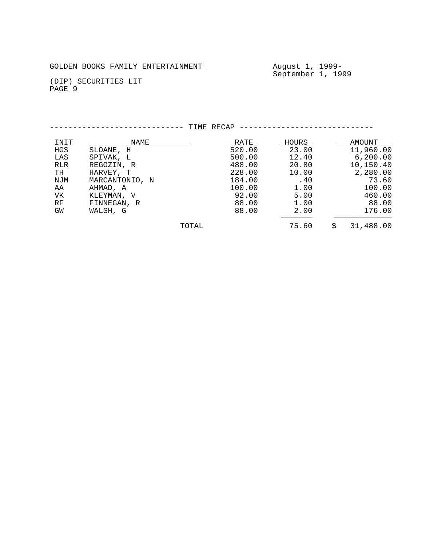# GOLDEN BOOKS FAMILY ENTERTAINMENT August 1, 1999-

September 1, 1999

|            |                | TIME RECAP |        |       |                 |
|------------|----------------|------------|--------|-------|-----------------|
| INIT       | NAME           |            | RATE   | HOURS | AMOUNT          |
| HGS        | SLOANE, H      |            | 520.00 | 23.00 | 11,960.00       |
| LAS        | SPIVAK, L      |            | 500.00 | 12.40 | 6, 200.00       |
| <b>RLR</b> | REGOZIN, R     |            | 488.00 | 20.80 | 10,150.40       |
| TH         | HARVEY, T      |            | 228.00 | 10.00 | 2,280.00        |
| NJM        | MARCANTONIO, N |            | 184.00 | .40   | 73.60           |
| AA         | AHMAD, A       |            | 100.00 | 1.00  | 100.00          |
| VK         | KLEYMAN, V     |            | 92.00  | 5.00  | 460.00          |
| RF         | FINNEGAN, R    |            | 88.00  | 1.00  | 88.00           |
| GW         | WALSH, G       |            | 88.00  | 2.00  | 176.00          |
|            |                | TOTAL      |        | 75.60 | \$<br>31,488.00 |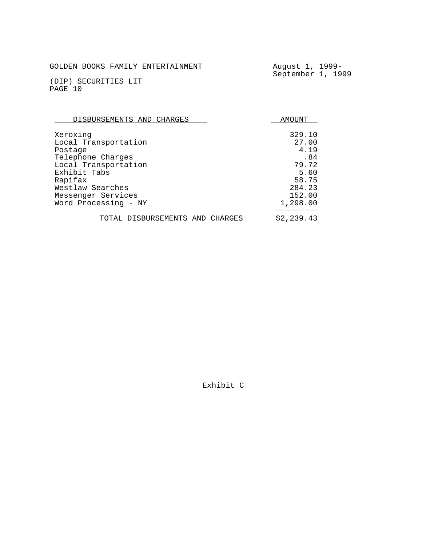August 1, 1999-<br>September 1, 1999

(DIP) SECURITIES LIT PAGE 10

| DISBURSEMENTS AND CHARGES       | AMOUNT     |  |  |
|---------------------------------|------------|--|--|
| Xeroxing                        | 329.10     |  |  |
| Local Transportation            | 27.00      |  |  |
| Postage                         | 4.19       |  |  |
| Telephone Charges               | .84        |  |  |
| Local Transportation            | 79.72      |  |  |
| Exhibit Tabs                    | 5.60       |  |  |
| Rapifax                         | 58.75      |  |  |
| Westlaw Searches                | 284.23     |  |  |
| Messenger Services              | 152.00     |  |  |
| Word Processing - NY            | 1,298.00   |  |  |
| TOTAL DISBURSEMENTS AND CHARGES | \$2,239.43 |  |  |

Exhibit C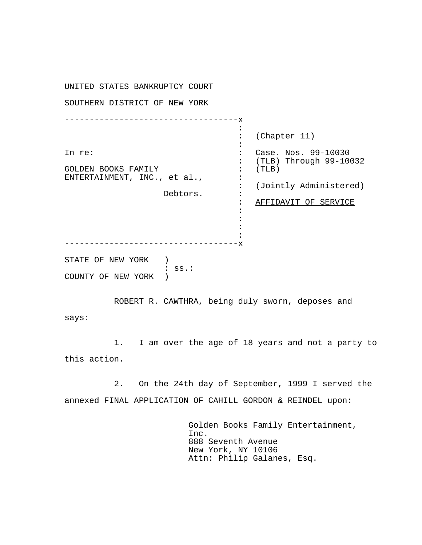UNITED STATES BANKRUPTCY COURT SOUTHERN DISTRICT OF NEW YORK ----------------------------------- x In re: GOLDEN BOOKS FAMILY ENTERTAINMENT, INC., et al., Debtors. : : : : : : : : : : : : : : (Chapter 11) Case. Nos. 99-10030 (TLB) Through 99-10032 (TLB) (Jointly Administered) AFFIDAVIT OF SERVICE -----------------------------------x STATE OF NEW YORK ) : ss.: COUNTY OF NEW YORK )

ROBERT R. CAWTHRA, being duly sworn, deposes and says:

1. I am over the age of 18 years and not a party to this action.

2. On the 24th day of September, 1999 I served the annexed FINAL APPLICATION OF CAHILL GORDON & REINDEL upon:

> Golden Books Family Entertainment, Inc. 888 Seventh Avenue New York, NY 10106 Attn: Philip Galanes, Esq.